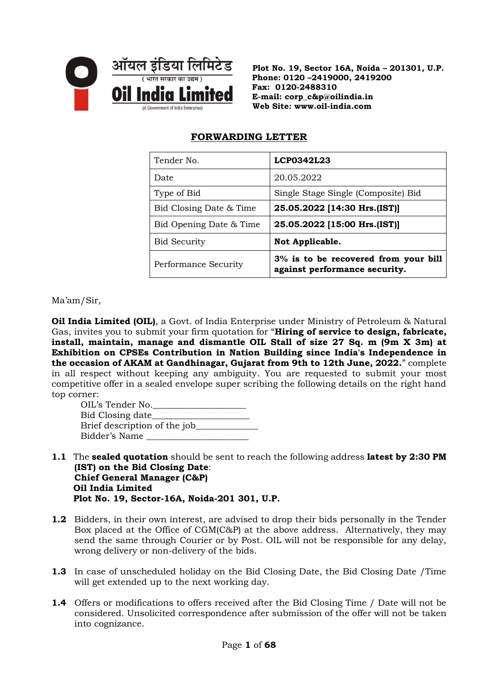

**Plot No. 19, Sector 16A, Noida – 201301, U.P. Phone: 0120 –2419000, 2419200 Fax: 0120-2488310 E-mail: corp\_c&p@oilindia.in Web Site: www.oil-india.com**

# **FORWARDING LETTER**

| Tender No.              | <b>LCP0342L23</b>                                                     |
|-------------------------|-----------------------------------------------------------------------|
| Date                    | 20.05.2022                                                            |
| Type of Bid             | Single Stage Single (Composite) Bid                                   |
| Bid Closing Date & Time | 25.05.2022 [14:30 Hrs.(IST)]                                          |
| Bid Opening Date & Time | 25.05.2022 [15:00 Hrs.(IST)]                                          |
| <b>Bid Security</b>     | Not Applicable.                                                       |
| Performance Security    | 3% is to be recovered from your bill<br>against performance security. |

# Ma'am/Sir,

**Oil India Limited (OIL)**, a Govt. of India Enterprise under Ministry of Petroleum & Natural Gas, invites you to submit your firm quotation for "**Hiring of service to design, fabricate, install, maintain, manage and dismantle OIL Stall of size 27 Sq. m (9m X 3m) at Exhibition on CPSEs Contribution in Nation Building since India's Independence in the occasion of AKAM at Gandhinagar, Gujarat from 9th to 12th June, 2022.**" complete in all respect without keeping any ambiguity. You are requested to submit your most competitive offer in a sealed envelope super scribing the following details on the right hand top corner:

| OIL's Tender No.             |  |
|------------------------------|--|
| Bid Closing date             |  |
| Brief description of the job |  |
| Bidder's Name                |  |

- **1.1** The **sealed quotation** should be sent to reach the following address **latest by 2:30 PM (IST) on the Bid Closing Date**: **Chief General Manager (C&P) Oil India Limited Plot No. 19, Sector-16A, Noida-201 301, U.P.**
- **1.2** Bidders, in their own interest, are advised to drop their bids personally in the Tender Box placed at the Office of CGM(C&P) at the above address. Alternatively, they may send the same through Courier or by Post. OIL will not be responsible for any delay, wrong delivery or non-delivery of the bids.
- **1.3** In case of unscheduled holiday on the Bid Closing Date, the Bid Closing Date /Time will get extended up to the next working day.
- **1.4** Offers or modifications to offers received after the Bid Closing Time / Date will not be considered. Unsolicited correspondence after submission of the offer will not be taken into cognizance.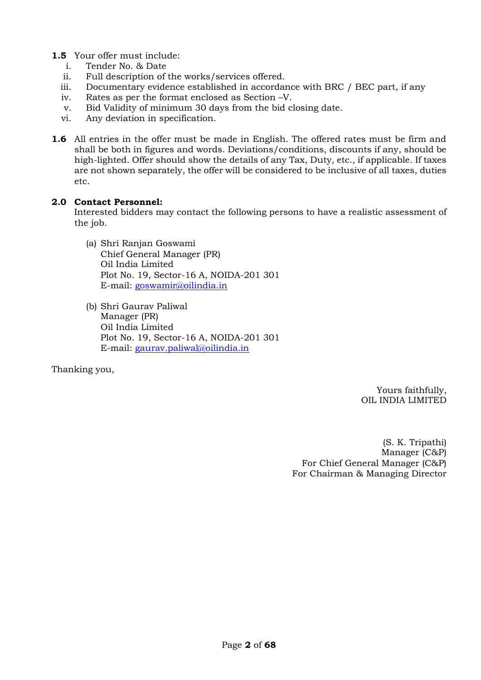- **1.5** Your offer must include:
	- i. Tender No. & Date
	- ii. Full description of the works/services offered.
	- iii. Documentary evidence established in accordance with BRC / BEC part, if any
	- iv. Rates as per the format enclosed as Section –V.
	- v. Bid Validity of minimum 30 days from the bid closing date.
	- vi. Any deviation in specification.
- **1.6** All entries in the offer must be made in English. The offered rates must be firm and shall be both in figures and words. Deviations/conditions, discounts if any, should be high-lighted. Offer should show the details of any Tax, Duty, etc., if applicable. If taxes are not shown separately, the offer will be considered to be inclusive of all taxes, duties etc.

## **2.0 Contact Personnel:**

Interested bidders may contact the following persons to have a realistic assessment of the job.

- (a) Shri Ranjan Goswami Chief General Manager (PR) Oil India Limited Plot No. 19, Sector-16 A, NOIDA-201 301 E-mail: [goswamir@oilindia.in](mailto:goswamir@oilindia.in)
- (b) Shri Gaurav Paliwal Manager (PR) Oil India Limited Plot No. 19, Sector-16 A, NOIDA-201 301 E-mail: gaurav.paliwal@oilindia.in

Thanking you,

 Yours faithfully, OIL INDIA LIMITED

 (S. K. Tripathi) Manager (C&P) For Chief General Manager (C&P) For Chairman & Managing Director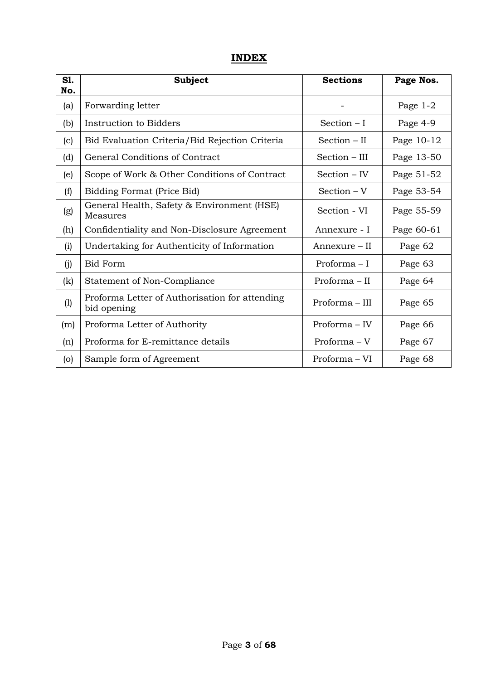# **INDEX**

| S1.<br>No. | <b>Subject</b>                                                | <b>Sections</b> | Page Nos.  |
|------------|---------------------------------------------------------------|-----------------|------------|
| (a)        | Forwarding letter                                             |                 | Page $1-2$ |
| (b)        | Instruction to Bidders                                        | Section $-I$    | Page 4-9   |
| (c)        | Bid Evaluation Criteria/Bid Rejection Criteria                | Section - II    | Page 10-12 |
| (d)        | General Conditions of Contract                                | Section - III   | Page 13-50 |
| (e)        | Scope of Work & Other Conditions of Contract                  | $Section - IV$  | Page 51-52 |
| (f)        | Bidding Format (Price Bid)                                    | $Section - V$   | Page 53-54 |
| (g)        | General Health, Safety & Environment (HSE)<br>Measures        | Section - VI    | Page 55-59 |
| (h)        | Confidentiality and Non-Disclosure Agreement                  | Annexure - I    | Page 60-61 |
| (i)        | Undertaking for Authenticity of Information                   | Annexure – II   | Page 62    |
| (i)        | <b>Bid Form</b>                                               | Proforma $-I$   | Page 63    |
| (k)        | Statement of Non-Compliance                                   | Proforma - II   | Page 64    |
| (1)        | Proforma Letter of Authorisation for attending<br>bid opening | Proforma - III  | Page 65    |
| (m)        | Proforma Letter of Authority                                  | Proforma - IV   | Page 66    |
| (n)        | Proforma for E-remittance details                             | Proforma - V    | Page 67    |
| (0)        | Sample form of Agreement                                      | Proforma - VI   | Page 68    |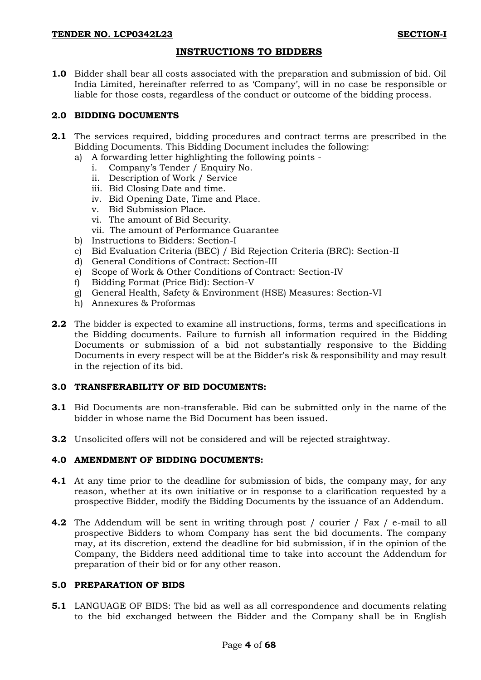**1.0** Bidder shall bear all costs associated with the preparation and submission of bid. Oil India Limited, hereinafter referred to as 'Company', will in no case be responsible or liable for those costs, regardless of the conduct or outcome of the bidding process.

# **2.0 BIDDING DOCUMENTS**

- **2.1** The services required, bidding procedures and contract terms are prescribed in the Bidding Documents. This Bidding Document includes the following:
	- a) A forwarding letter highlighting the following points
		- i. Company's Tender / Enquiry No.
		- ii. Description of Work / Service
		- iii. Bid Closing Date and time.
		- iv. Bid Opening Date, Time and Place.
		- v. Bid Submission Place.
		- vi. The amount of Bid Security.
		- vii. The amount of Performance Guarantee
	- b) Instructions to Bidders: Section-I
	- c) Bid Evaluation Criteria (BEC) / Bid Rejection Criteria (BRC): Section-II
	- d) General Conditions of Contract: Section-III
	- e) Scope of Work & Other Conditions of Contract: Section-IV
	- f) Bidding Format (Price Bid): Section-V
	- g) General Health, Safety & Environment (HSE) Measures: Section-VI
	- h) Annexures & Proformas
- **2.2** The bidder is expected to examine all instructions, forms, terms and specifications in the Bidding documents. Failure to furnish all information required in the Bidding Documents or submission of a bid not substantially responsive to the Bidding Documents in every respect will be at the Bidder's risk & responsibility and may result in the rejection of its bid.

# **3.0 TRANSFERABILITY OF BID DOCUMENTS:**

- **3.1** Bid Documents are non-transferable. Bid can be submitted only in the name of the bidder in whose name the Bid Document has been issued.
- **3.2** Unsolicited offers will not be considered and will be rejected straightway.

## **4.0 AMENDMENT OF BIDDING DOCUMENTS:**

- **4.1** At any time prior to the deadline for submission of bids, the company may, for any reason, whether at its own initiative or in response to a clarification requested by a prospective Bidder, modify the Bidding Documents by the issuance of an Addendum.
- **4.2** The Addendum will be sent in writing through post / courier / Fax / e-mail to all prospective Bidders to whom Company has sent the bid documents. The company may, at its discretion, extend the deadline for bid submission, if in the opinion of the Company, the Bidders need additional time to take into account the Addendum for preparation of their bid or for any other reason.

## **5.0 PREPARATION OF BIDS**

**5.1** LANGUAGE OF BIDS: The bid as well as all correspondence and documents relating to the bid exchanged between the Bidder and the Company shall be in English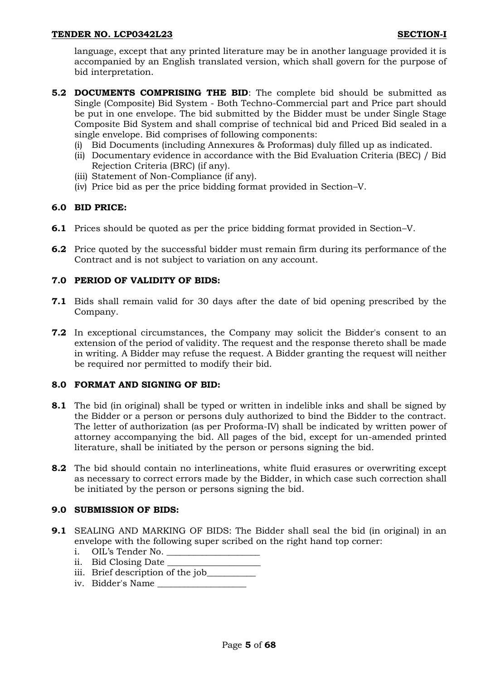language, except that any printed literature may be in another language provided it is accompanied by an English translated version, which shall govern for the purpose of bid interpretation.

- **5.2 DOCUMENTS COMPRISING THE BID**: The complete bid should be submitted as Single (Composite) Bid System - Both Techno-Commercial part and Price part should be put in one envelope. The bid submitted by the Bidder must be under Single Stage Composite Bid System and shall comprise of technical bid and Priced Bid sealed in a single envelope. Bid comprises of following components:
	- (i) Bid Documents (including Annexures & Proformas) duly filled up as indicated.
	- (ii) Documentary evidence in accordance with the Bid Evaluation Criteria (BEC) / Bid Rejection Criteria (BRC) (if any).
	- (iii) Statement of Non-Compliance (if any).
	- (iv) Price bid as per the price bidding format provided in Section–V.

# **6.0 BID PRICE:**

- **6.1** Prices should be quoted as per the price bidding format provided in Section–V.
- **6.2** Price quoted by the successful bidder must remain firm during its performance of the Contract and is not subject to variation on any account.

## **7.0 PERIOD OF VALIDITY OF BIDS:**

- **7.1** Bids shall remain valid for 30 days after the date of bid opening prescribed by the Company.
- **7.2** In exceptional circumstances, the Company may solicit the Bidder's consent to an extension of the period of validity. The request and the response thereto shall be made in writing. A Bidder may refuse the request. A Bidder granting the request will neither be required nor permitted to modify their bid.

## **8.0 FORMAT AND SIGNING OF BID:**

- **8.1** The bid (in original) shall be typed or written in indelible inks and shall be signed by the Bidder or a person or persons duly authorized to bind the Bidder to the contract. The letter of authorization (as per Proforma-IV) shall be indicated by written power of attorney accompanying the bid. All pages of the bid, except for un-amended printed literature, shall be initiated by the person or persons signing the bid.
- **8.2** The bid should contain no interlineations, white fluid erasures or overwriting except as necessary to correct errors made by the Bidder, in which case such correction shall be initiated by the person or persons signing the bid.

## **9.0 SUBMISSION OF BIDS:**

- **9.1** SEALING AND MARKING OF BIDS: The Bidder shall seal the bid (in original) in an envelope with the following super scribed on the right hand top corner:
	- i. OIL's Tender No.
	- ii. Bid Closing Date
	- iii. Brief description of the job\_\_\_\_\_\_\_\_\_\_\_
	- iv. Bidder's Name \_\_\_\_\_\_\_\_\_\_\_\_\_\_\_\_\_\_\_\_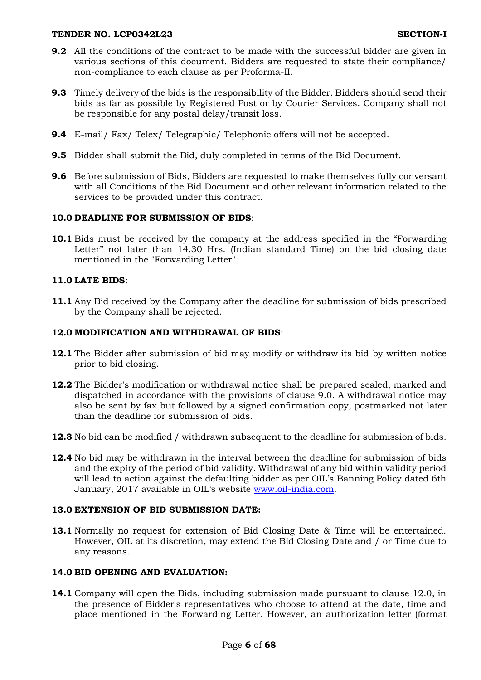## **TENDER NO. LCP0342L23 SECTION-I**

- **9.2** All the conditions of the contract to be made with the successful bidder are given in various sections of this document. Bidders are requested to state their compliance/ non-compliance to each clause as per Proforma-II.
- **9.3** Timely delivery of the bids is the responsibility of the Bidder. Bidders should send their bids as far as possible by Registered Post or by Courier Services. Company shall not be responsible for any postal delay/transit loss.
- **9.4** E-mail/ Fax/ Telex/ Telegraphic/ Telephonic offers will not be accepted.
- **9.5** Bidder shall submit the Bid, duly completed in terms of the Bid Document.
- **9.6** Before submission of Bids, Bidders are requested to make themselves fully conversant with all Conditions of the Bid Document and other relevant information related to the services to be provided under this contract.

## **10.0 DEADLINE FOR SUBMISSION OF BIDS**:

**10.1** Bids must be received by the company at the address specified in the "Forwarding Letter" not later than 14.30 Hrs. (Indian standard Time) on the bid closing date mentioned in the "Forwarding Letter".

## **11.0 LATE BIDS**:

**11.1** Any Bid received by the Company after the deadline for submission of bids prescribed by the Company shall be rejected.

## **12.0 MODIFICATION AND WITHDRAWAL OF BIDS**:

- **12.1** The Bidder after submission of bid may modify or withdraw its bid by written notice prior to bid closing.
- **12.2** The Bidder's modification or withdrawal notice shall be prepared sealed, marked and dispatched in accordance with the provisions of clause 9.0. A withdrawal notice may also be sent by fax but followed by a signed confirmation copy, postmarked not later than the deadline for submission of bids.
- **12.3** No bid can be modified / withdrawn subsequent to the deadline for submission of bids.
- **12.4** No bid may be withdrawn in the interval between the deadline for submission of bids and the expiry of the period of bid validity. Withdrawal of any bid within validity period will lead to action against the defaulting bidder as per OIL's Banning Policy dated 6th January, 2017 available in OIL's website [www.oil-india.com.](http://www.oil-india.com/)

# **13.0 EXTENSION OF BID SUBMISSION DATE:**

**13.1** Normally no request for extension of Bid Closing Date & Time will be entertained. However, OIL at its discretion, may extend the Bid Closing Date and / or Time due to any reasons.

## **14.0 BID OPENING AND EVALUATION:**

**14.1** Company will open the Bids, including submission made pursuant to clause 12.0, in the presence of Bidder's representatives who choose to attend at the date, time and place mentioned in the Forwarding Letter. However, an authorization letter (format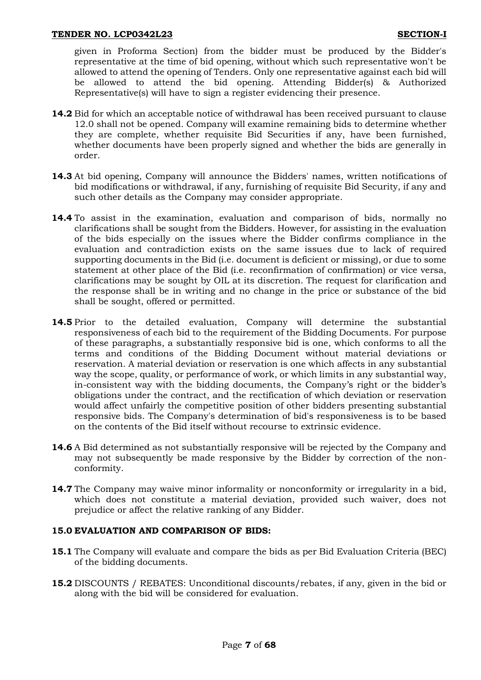given in Proforma Section) from the bidder must be produced by the Bidder's representative at the time of bid opening, without which such representative won't be allowed to attend the opening of Tenders. Only one representative against each bid will be allowed to attend the bid opening. Attending Bidder(s) & Authorized Representative(s) will have to sign a register evidencing their presence.

- **14.2** Bid for which an acceptable notice of withdrawal has been received pursuant to clause 12.0 shall not be opened. Company will examine remaining bids to determine whether they are complete, whether requisite Bid Securities if any, have been furnished, whether documents have been properly signed and whether the bids are generally in order.
- **14.3** At bid opening, Company will announce the Bidders' names, written notifications of bid modifications or withdrawal, if any, furnishing of requisite Bid Security, if any and such other details as the Company may consider appropriate.
- **14.4** To assist in the examination, evaluation and comparison of bids, normally no clarifications shall be sought from the Bidders. However, for assisting in the evaluation of the bids especially on the issues where the Bidder confirms compliance in the evaluation and contradiction exists on the same issues due to lack of required supporting documents in the Bid (i.e. document is deficient or missing), or due to some statement at other place of the Bid (i.e. reconfirmation of confirmation) or vice versa, clarifications may be sought by OIL at its discretion. The request for clarification and the response shall be in writing and no change in the price or substance of the bid shall be sought, offered or permitted.
- **14.5** Prior to the detailed evaluation, Company will determine the substantial responsiveness of each bid to the requirement of the Bidding Documents. For purpose of these paragraphs, a substantially responsive bid is one, which conforms to all the terms and conditions of the Bidding Document without material deviations or reservation. A material deviation or reservation is one which affects in any substantial way the scope, quality, or performance of work, or which limits in any substantial way, in-consistent way with the bidding documents, the Company's right or the bidder's obligations under the contract, and the rectification of which deviation or reservation would affect unfairly the competitive position of other bidders presenting substantial responsive bids. The Company's determination of bid's responsiveness is to be based on the contents of the Bid itself without recourse to extrinsic evidence.
- **14.6** A Bid determined as not substantially responsive will be rejected by the Company and may not subsequently be made responsive by the Bidder by correction of the nonconformity.
- **14.7** The Company may waive minor informality or nonconformity or irregularity in a bid, which does not constitute a material deviation, provided such waiver, does not prejudice or affect the relative ranking of any Bidder.

## **15.0 EVALUATION AND COMPARISON OF BIDS:**

- **15.1** The Company will evaluate and compare the bids as per Bid Evaluation Criteria (BEC) of the bidding documents.
- **15.2** DISCOUNTS / REBATES: Unconditional discounts/rebates, if any, given in the bid or along with the bid will be considered for evaluation.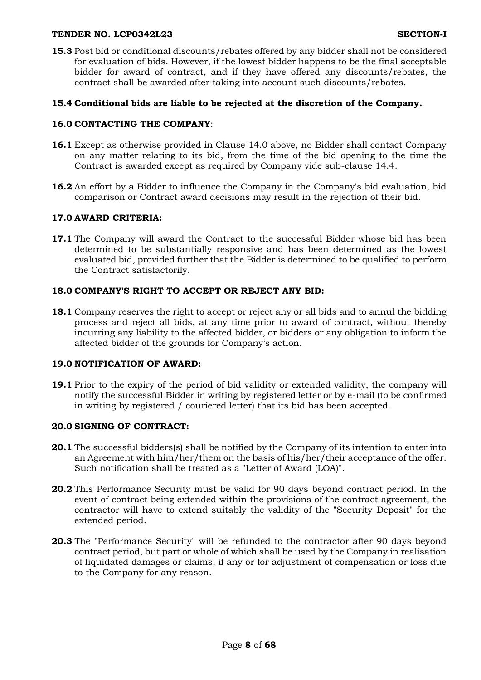## **TENDER NO. LCP0342L23 SECTION-I**

**15.3** Post bid or conditional discounts/rebates offered by any bidder shall not be considered for evaluation of bids. However, if the lowest bidder happens to be the final acceptable bidder for award of contract, and if they have offered any discounts/rebates, the contract shall be awarded after taking into account such discounts/rebates.

## **15.4 Conditional bids are liable to be rejected at the discretion of the Company.**

### **16.0 CONTACTING THE COMPANY**:

- **16.1** Except as otherwise provided in Clause 14.0 above, no Bidder shall contact Company on any matter relating to its bid, from the time of the bid opening to the time the Contract is awarded except as required by Company vide sub-clause 14.4.
- **16.2** An effort by a Bidder to influence the Company in the Company's bid evaluation, bid comparison or Contract award decisions may result in the rejection of their bid.

### **17.0 AWARD CRITERIA:**

**17.1** The Company will award the Contract to the successful Bidder whose bid has been determined to be substantially responsive and has been determined as the lowest evaluated bid, provided further that the Bidder is determined to be qualified to perform the Contract satisfactorily.

### **18.0 COMPANY'S RIGHT TO ACCEPT OR REJECT ANY BID:**

**18.1** Company reserves the right to accept or reject any or all bids and to annul the bidding process and reject all bids, at any time prior to award of contract, without thereby incurring any liability to the affected bidder, or bidders or any obligation to inform the affected bidder of the grounds for Company's action.

#### **19.0 NOTIFICATION OF AWARD:**

**19.1** Prior to the expiry of the period of bid validity or extended validity, the company will notify the successful Bidder in writing by registered letter or by e-mail (to be confirmed in writing by registered / couriered letter) that its bid has been accepted.

#### **20.0 SIGNING OF CONTRACT:**

- **20.1** The successful bidders(s) shall be notified by the Company of its intention to enter into an Agreement with him/her/them on the basis of his/her/their acceptance of the offer. Such notification shall be treated as a "Letter of Award (LOA)".
- **20.2** This Performance Security must be valid for 90 days beyond contract period. In the event of contract being extended within the provisions of the contract agreement, the contractor will have to extend suitably the validity of the "Security Deposit" for the extended period.
- **20.3** The "Performance Security" will be refunded to the contractor after 90 days beyond contract period, but part or whole of which shall be used by the Company in realisation of liquidated damages or claims, if any or for adjustment of compensation or loss due to the Company for any reason.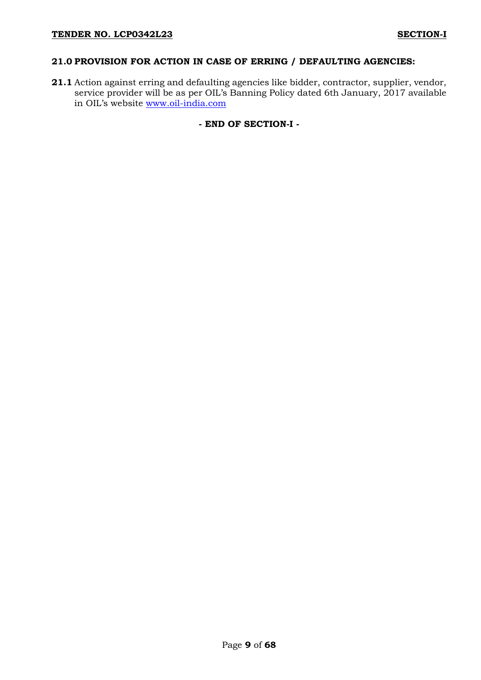### **21.0 PROVISION FOR ACTION IN CASE OF ERRING / DEFAULTING AGENCIES:**

**21.1** Action against erring and defaulting agencies like bidder, contractor, supplier, vendor, service provider will be as per OIL's Banning Policy dated 6th January, 2017 available in OIL's website [www.oil-india.com](http://www.oil-india.com/) 

**- END OF SECTION-I -**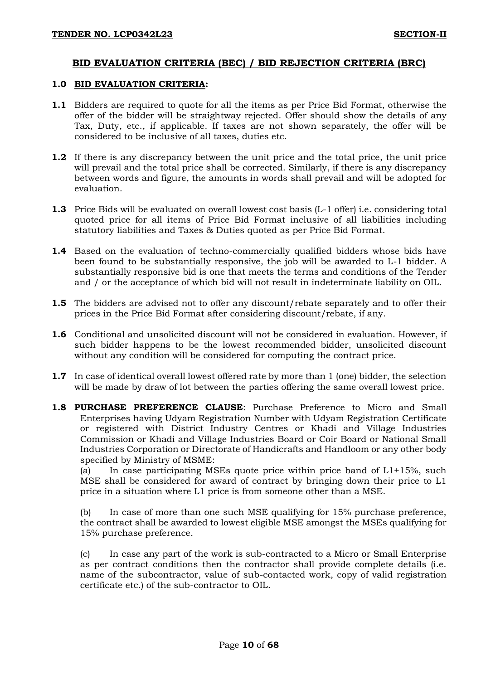# **BID EVALUATION CRITERIA (BEC) / BID REJECTION CRITERIA (BRC)**

#### **1.0 BID EVALUATION CRITERIA:**

- **1.1** Bidders are required to quote for all the items as per Price Bid Format, otherwise the offer of the bidder will be straightway rejected. Offer should show the details of any Tax, Duty, etc., if applicable. If taxes are not shown separately, the offer will be considered to be inclusive of all taxes, duties etc.
- **1.2** If there is any discrepancy between the unit price and the total price, the unit price will prevail and the total price shall be corrected. Similarly, if there is any discrepancy between words and figure, the amounts in words shall prevail and will be adopted for evaluation.
- **1.3** Price Bids will be evaluated on overall lowest cost basis (L-1 offer) i.e. considering total quoted price for all items of Price Bid Format inclusive of all liabilities including statutory liabilities and Taxes & Duties quoted as per Price Bid Format.
- **1.4** Based on the evaluation of techno-commercially qualified bidders whose bids have been found to be substantially responsive, the job will be awarded to L-1 bidder. A substantially responsive bid is one that meets the terms and conditions of the Tender and / or the acceptance of which bid will not result in indeterminate liability on OIL.
- **1.5** The bidders are advised not to offer any discount/rebate separately and to offer their prices in the Price Bid Format after considering discount/rebate, if any.
- **1.6** Conditional and unsolicited discount will not be considered in evaluation. However, if such bidder happens to be the lowest recommended bidder, unsolicited discount without any condition will be considered for computing the contract price.
- **1.7** In case of identical overall lowest offered rate by more than 1 (one) bidder, the selection will be made by draw of lot between the parties offering the same overall lowest price.
- **1.8 PURCHASE PREFERENCE CLAUSE**: Purchase Preference to Micro and Small Enterprises having Udyam Registration Number with Udyam Registration Certificate or registered with District Industry Centres or Khadi and Village Industries Commission or Khadi and Village Industries Board or Coir Board or National Small Industries Corporation or Directorate of Handicrafts and Handloom or any other body specified by Ministry of MSME:

(a) In case participating MSEs quote price within price band of  $L1+15%$ , such MSE shall be considered for award of contract by bringing down their price to L1 price in a situation where L1 price is from someone other than a MSE.

(b) In case of more than one such MSE qualifying for 15% purchase preference, the contract shall be awarded to lowest eligible MSE amongst the MSEs qualifying for 15% purchase preference.

(c) In case any part of the work is sub-contracted to a Micro or Small Enterprise as per contract conditions then the contractor shall provide complete details (i.e. name of the subcontractor, value of sub-contacted work, copy of valid registration certificate etc.) of the sub-contractor to OIL.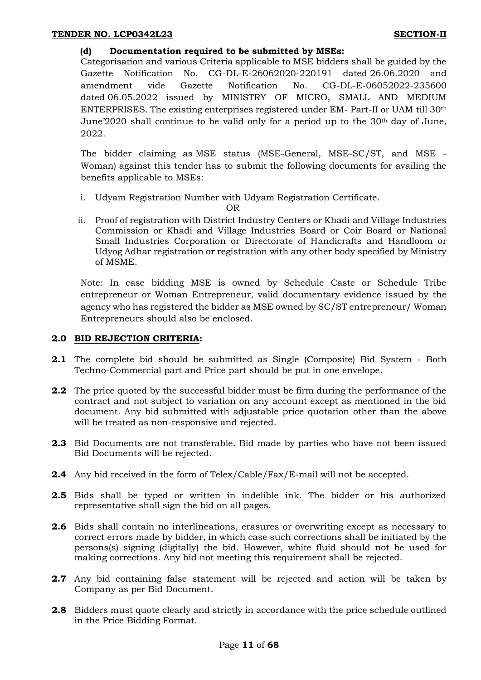## **(d) Documentation required to be submitted by MSEs:**

Categorisation and various Criteria applicable to MSE bidders shall be guided by the Gazette Notification No. CG-DL-E-26062020-220191 dated 26.06.2020 and amendment vide Gazette Notification No. CG-DL-E-06052022-235600 dated 06.05.2022 issued by MINISTRY OF MICRO, SMALL AND MEDIUM ENTERPRISES. The existing enterprises registered under EM- Part-II or UAM till 30th June'2020 shall continue to be valid only for a period up to the 30th day of June, 2022.

The bidder claiming as MSE status (MSE-General, MSE-SC/ST, and MSE - Woman) against this tender has to submit the following documents for availing the benefits applicable to MSEs:

i. Udyam Registration Number with Udyam Registration Certificate.

OR

ii. Proof of registration with District Industry Centers or Khadi and Village Industries Commission or Khadi and Village Industries Board or Coir Board or National Small Industries Corporation or Directorate of Handicrafts and Handloom or Udyog Adhar registration or registration with any other body specified by Ministry of MSME.

Note: In case bidding MSE is owned by Schedule Caste or Schedule Tribe entrepreneur or Woman Entrepreneur, valid documentary evidence issued by the agency who has registered the bidder as MSE owned by SC/ST entrepreneur/ Woman Entrepreneurs should also be enclosed.

# **2.0 BID REJECTION CRITERIA:**

- **2.1** The complete bid should be submitted as Single (Composite) Bid System Both Techno-Commercial part and Price part should be put in one envelope.
- **2.2** The price quoted by the successful bidder must be firm during the performance of the contract and not subject to variation on any account except as mentioned in the bid document. Any bid submitted with adjustable price quotation other than the above will be treated as non-responsive and rejected.
- **2.3** Bid Documents are not transferable. Bid made by parties who have not been issued Bid Documents will be rejected.
- **2.4** Any bid received in the form of Telex/Cable/Fax/E-mail will not be accepted.
- **2.5** Bids shall be typed or written in indelible ink. The bidder or his authorized representative shall sign the bid on all pages.
- **2.6** Bids shall contain no interlineations, erasures or overwriting except as necessary to correct errors made by bidder, in which case such corrections shall be initiated by the persons(s) signing (digitally) the bid. However, white fluid should not be used for making corrections. Any bid not meeting this requirement shall be rejected.
- **2.7** Any bid containing false statement will be rejected and action will be taken by Company as per Bid Document.
- **2.8** Bidders must quote clearly and strictly in accordance with the price schedule outlined in the Price Bidding Format.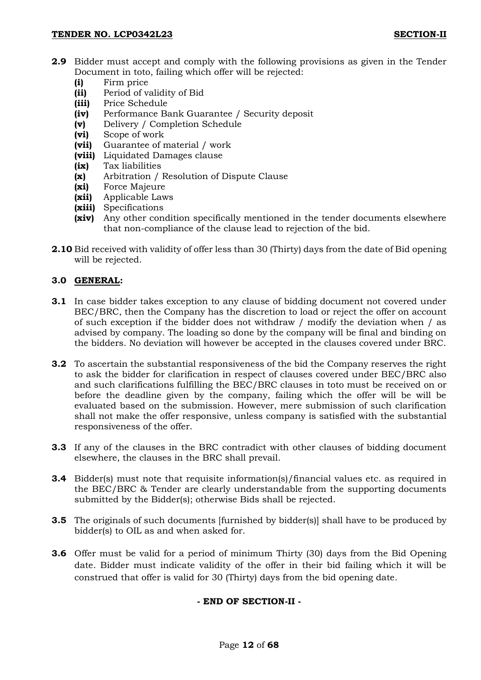- **2.9** Bidder must accept and comply with the following provisions as given in the Tender Document in toto, failing which offer will be rejected:
	- **(i)** Firm price
	- **(ii)** Period of validity of Bid
	- **(iii)** Price Schedule
	- **(iv)** Performance Bank Guarantee / Security deposit
	- **(v)** Delivery / Completion Schedule
	- **(vi)** Scope of work
	- **(vii)** Guarantee of material / work
	- **(viii)** Liquidated Damages clause
	- **(ix)** Tax liabilities
	- **(x)** Arbitration / Resolution of Dispute Clause
	- **(xi)** Force Majeure
	- **(xii)** Applicable Laws
	- **(xiii)** Specifications
	- **(xiv)** Any other condition specifically mentioned in the tender documents elsewhere that non-compliance of the clause lead to rejection of the bid.
- **2.10** Bid received with validity of offer less than 30 (Thirty) days from the date of Bid opening will be rejected.

# **3.0 GENERAL:**

- **3.1** In case bidder takes exception to any clause of bidding document not covered under BEC/BRC, then the Company has the discretion to load or reject the offer on account of such exception if the bidder does not withdraw / modify the deviation when / as advised by company. The loading so done by the company will be final and binding on the bidders. No deviation will however be accepted in the clauses covered under BRC.
- **3.2** To ascertain the substantial responsiveness of the bid the Company reserves the right to ask the bidder for clarification in respect of clauses covered under BEC/BRC also and such clarifications fulfilling the BEC/BRC clauses in toto must be received on or before the deadline given by the company, failing which the offer will be will be evaluated based on the submission. However, mere submission of such clarification shall not make the offer responsive, unless company is satisfied with the substantial responsiveness of the offer.
- **3.3** If any of the clauses in the BRC contradict with other clauses of bidding document elsewhere, the clauses in the BRC shall prevail.
- **3.4** Bidder(s) must note that requisite information(s)/financial values etc. as required in the BEC/BRC & Tender are clearly understandable from the supporting documents submitted by the Bidder(s); otherwise Bids shall be rejected.
- **3.5** The originals of such documents [furnished by bidder(s)] shall have to be produced by bidder(s) to OIL as and when asked for.
- **3.6** Offer must be valid for a period of minimum Thirty (30) days from the Bid Opening date. Bidder must indicate validity of the offer in their bid failing which it will be construed that offer is valid for 30 (Thirty) days from the bid opening date.

## **- END OF SECTION-II -**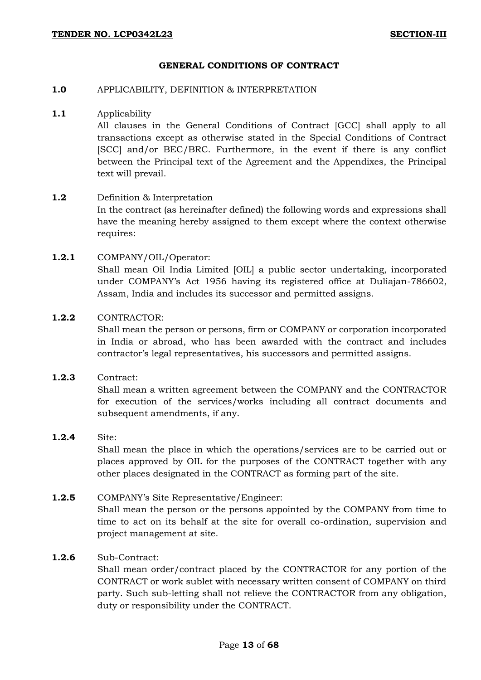#### **GENERAL CONDITIONS OF CONTRACT**

#### **1.0** APPLICABILITY, DEFINITION & INTERPRETATION

#### **1.1** Applicability

All clauses in the General Conditions of Contract [GCC] shall apply to all transactions except as otherwise stated in the Special Conditions of Contract [SCC] and/or BEC/BRC. Furthermore, in the event if there is any conflict between the Principal text of the Agreement and the Appendixes, the Principal text will prevail.

### **1.2** Definition & Interpretation

In the contract (as hereinafter defined) the following words and expressions shall have the meaning hereby assigned to them except where the context otherwise requires:

### **1.2.1** COMPANY/OIL/Operator:

Shall mean Oil India Limited [OIL] a public sector undertaking, incorporated under COMPANY's Act 1956 having its registered office at Duliajan-786602, Assam, India and includes its successor and permitted assigns.

## **1.2.2** CONTRACTOR:

Shall mean the person or persons, firm or COMPANY or corporation incorporated in India or abroad, who has been awarded with the contract and includes contractor's legal representatives, his successors and permitted assigns.

### **1.2.3** Contract:

Shall mean a written agreement between the COMPANY and the CONTRACTOR for execution of the services/works including all contract documents and subsequent amendments, if any.

#### **1.2.4** Site:

Shall mean the place in which the operations/services are to be carried out or places approved by OIL for the purposes of the CONTRACT together with any other places designated in the CONTRACT as forming part of the site.

## **1.2.5** COMPANY's Site Representative/Engineer:

Shall mean the person or the persons appointed by the COMPANY from time to time to act on its behalf at the site for overall co-ordination, supervision and project management at site.

#### **1.2.6** Sub-Contract:

Shall mean order/contract placed by the CONTRACTOR for any portion of the CONTRACT or work sublet with necessary written consent of COMPANY on third party. Such sub-letting shall not relieve the CONTRACTOR from any obligation, duty or responsibility under the CONTRACT.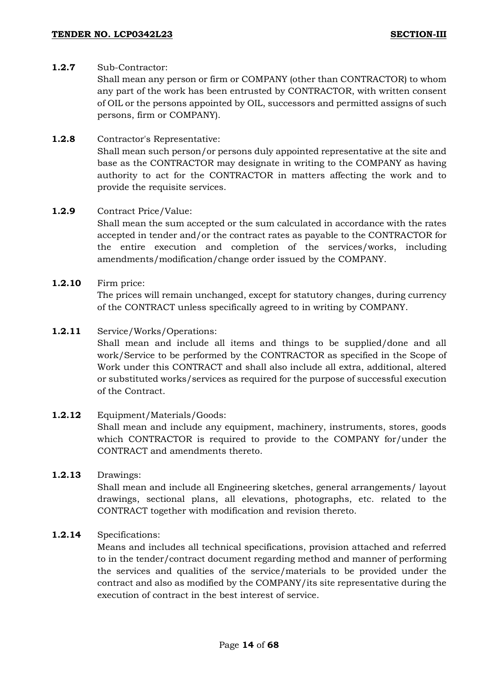# **1.2.7** Sub-Contractor:

Shall mean any person or firm or COMPANY (other than CONTRACTOR) to whom any part of the work has been entrusted by CONTRACTOR, with written consent of OIL or the persons appointed by OIL, successors and permitted assigns of such persons, firm or COMPANY).

### **1.2.8** Contractor's Representative:

Shall mean such person/or persons duly appointed representative at the site and base as the CONTRACTOR may designate in writing to the COMPANY as having authority to act for the CONTRACTOR in matters affecting the work and to provide the requisite services.

### **1.2.9** Contract Price/Value:

Shall mean the sum accepted or the sum calculated in accordance with the rates accepted in tender and/or the contract rates as payable to the CONTRACTOR for the entire execution and completion of the services/works, including amendments/modification/change order issued by the COMPANY.

## **1.2.10** Firm price:

The prices will remain unchanged, except for statutory changes, during currency of the CONTRACT unless specifically agreed to in writing by COMPANY.

### **1.2.11** Service/Works/Operations:

Shall mean and include all items and things to be supplied/done and all work/Service to be performed by the CONTRACTOR as specified in the Scope of Work under this CONTRACT and shall also include all extra, additional, altered or substituted works/services as required for the purpose of successful execution of the Contract.

#### **1.2.12** Equipment/Materials/Goods:

Shall mean and include any equipment, machinery, instruments, stores, goods which CONTRACTOR is required to provide to the COMPANY for/under the CONTRACT and amendments thereto.

## **1.2.13** Drawings:

Shall mean and include all Engineering sketches, general arrangements/ layout drawings, sectional plans, all elevations, photographs, etc. related to the CONTRACT together with modification and revision thereto.

## **1.2.14** Specifications:

Means and includes all technical specifications, provision attached and referred to in the tender/contract document regarding method and manner of performing the services and qualities of the service/materials to be provided under the contract and also as modified by the COMPANY/its site representative during the execution of contract in the best interest of service.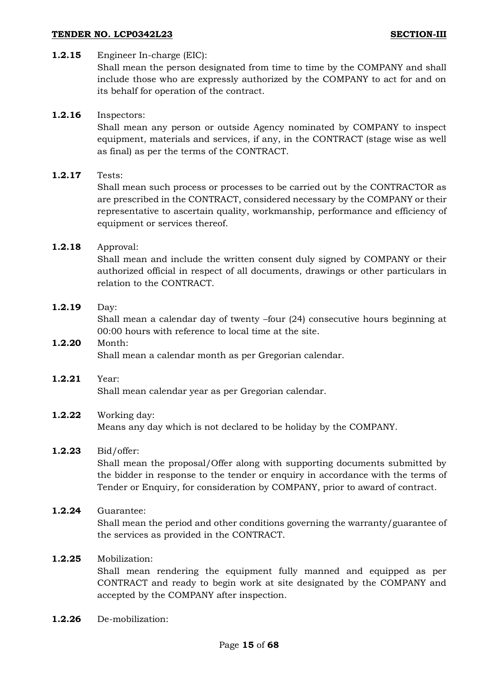## **TENDER NO. LCP0342L23 SECTION-III**

## **1.2.15** Engineer In-charge (EIC):

Shall mean the person designated from time to time by the COMPANY and shall include those who are expressly authorized by the COMPANY to act for and on its behalf for operation of the contract.

## **1.2.16** Inspectors:

Shall mean any person or outside Agency nominated by COMPANY to inspect equipment, materials and services, if any, in the CONTRACT (stage wise as well as final) as per the terms of the CONTRACT.

## **1.2.17** Tests:

Shall mean such process or processes to be carried out by the CONTRACTOR as are prescribed in the CONTRACT, considered necessary by the COMPANY or their representative to ascertain quality, workmanship, performance and efficiency of equipment or services thereof.

# **1.2.18** Approval:

Shall mean and include the written consent duly signed by COMPANY or their authorized official in respect of all documents, drawings or other particulars in relation to the CONTRACT.

# **1.2.19** Day:

Shall mean a calendar day of twenty –four (24) consecutive hours beginning at 00:00 hours with reference to local time at the site.

## **1.2.20** Month: Shall mean a calendar month as per Gregorian calendar.

**1.2.21** Year: Shall mean calendar year as per Gregorian calendar.

# **1.2.22** Working day:

Means any day which is not declared to be holiday by the COMPANY.

## **1.2.23** Bid/offer:

Shall mean the proposal/Offer along with supporting documents submitted by the bidder in response to the tender or enquiry in accordance with the terms of Tender or Enquiry, for consideration by COMPANY, prior to award of contract.

# **1.2.24** Guarantee:

Shall mean the period and other conditions governing the warranty/guarantee of the services as provided in the CONTRACT.

## **1.2.25** Mobilization:

Shall mean rendering the equipment fully manned and equipped as per CONTRACT and ready to begin work at site designated by the COMPANY and accepted by the COMPANY after inspection.

**1.2.26** De-mobilization: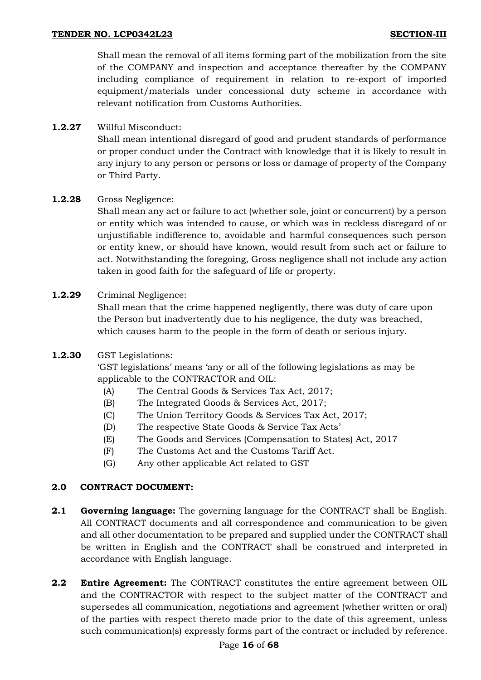Shall mean the removal of all items forming part of the mobilization from the site of the COMPANY and inspection and acceptance thereafter by the COMPANY including compliance of requirement in relation to re-export of imported equipment/materials under concessional duty scheme in accordance with relevant notification from Customs Authorities.

**1.2.27** Willful Misconduct:

Shall mean intentional disregard of good and prudent standards of performance or proper conduct under the Contract with knowledge that it is likely to result in any injury to any person or persons or loss or damage of property of the Company or Third Party.

# **1.2.28** Gross Negligence:

Shall mean any act or failure to act (whether sole, joint or concurrent) by a person or entity which was intended to cause, or which was in reckless disregard of or unjustifiable indifference to, avoidable and harmful consequences such person or entity knew, or should have known, would result from such act or failure to act. Notwithstanding the foregoing, Gross negligence shall not include any action taken in good faith for the safeguard of life or property.

# **1.2.29** Criminal Negligence:

Shall mean that the crime happened negligently, there was duty of care upon the Person but inadvertently due to his negligence, the duty was breached, which causes harm to the people in the form of death or serious injury.

## **1.2.30** GST Legislations:

'GST legislations' means 'any or all of the following legislations as may be applicable to the CONTRACTOR and OIL:

- (A) The Central Goods & Services Tax Act, 2017;
- (B) The Integrated Goods & Services Act, 2017;
- (C) The Union Territory Goods & Services Tax Act, 2017;
- (D) The respective State Goods & Service Tax Acts'
- (E) The Goods and Services (Compensation to States) Act, 2017
- (F) The Customs Act and the Customs Tariff Act.
- (G) Any other applicable Act related to GST

## **2.0 CONTRACT DOCUMENT:**

- **2.1 Governing language:** The governing language for the CONTRACT shall be English. All CONTRACT documents and all correspondence and communication to be given and all other documentation to be prepared and supplied under the CONTRACT shall be written in English and the CONTRACT shall be construed and interpreted in accordance with English language.
- **2.2 Entire Agreement:** The CONTRACT constitutes the entire agreement between OIL and the CONTRACTOR with respect to the subject matter of the CONTRACT and supersedes all communication, negotiations and agreement (whether written or oral) of the parties with respect thereto made prior to the date of this agreement, unless such communication(s) expressly forms part of the contract or included by reference.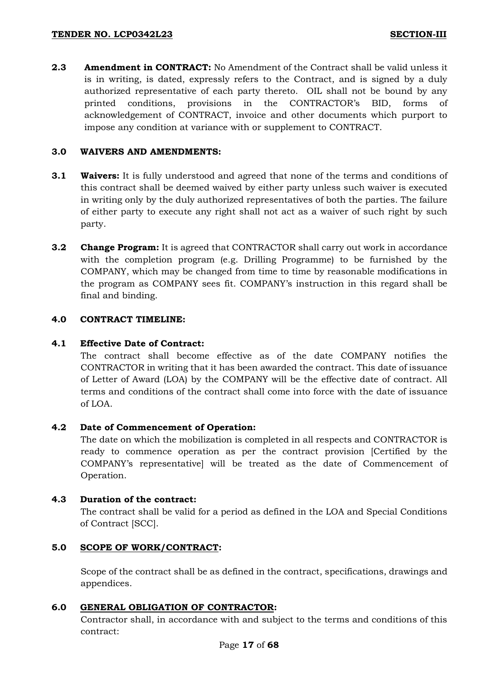**2.3 Amendment in CONTRACT:** No Amendment of the Contract shall be valid unless it is in writing, is dated, expressly refers to the Contract, and is signed by a duly authorized representative of each party thereto. OIL shall not be bound by any printed conditions, provisions in the CONTRACTOR's BID, forms of acknowledgement of CONTRACT, invoice and other documents which purport to impose any condition at variance with or supplement to CONTRACT.

# **3.0 WAIVERS AND AMENDMENTS:**

- **3.1 Waivers:** It is fully understood and agreed that none of the terms and conditions of this contract shall be deemed waived by either party unless such waiver is executed in writing only by the duly authorized representatives of both the parties. The failure of either party to execute any right shall not act as a waiver of such right by such party.
- **3.2 Change Program:** It is agreed that CONTRACTOR shall carry out work in accordance with the completion program (e.g. Drilling Programme) to be furnished by the COMPANY, which may be changed from time to time by reasonable modifications in the program as COMPANY sees fit. COMPANY's instruction in this regard shall be final and binding.

# **4.0 CONTRACT TIMELINE:**

# **4.1 Effective Date of Contract:**

The contract shall become effective as of the date COMPANY notifies the CONTRACTOR in writing that it has been awarded the contract. This date of issuance of Letter of Award (LOA) by the COMPANY will be the effective date of contract. All terms and conditions of the contract shall come into force with the date of issuance of LOA.

## **4.2 Date of Commencement of Operation:**

The date on which the mobilization is completed in all respects and CONTRACTOR is ready to commence operation as per the contract provision [Certified by the COMPANY's representative] will be treated as the date of Commencement of Operation.

# **4.3 Duration of the contract:**

The contract shall be valid for a period as defined in the LOA and Special Conditions of Contract [SCC].

## **5.0 SCOPE OF WORK/CONTRACT:**

Scope of the contract shall be as defined in the contract, specifications, drawings and appendices.

## **6.0 GENERAL OBLIGATION OF CONTRACTOR:**

Contractor shall, in accordance with and subject to the terms and conditions of this contract: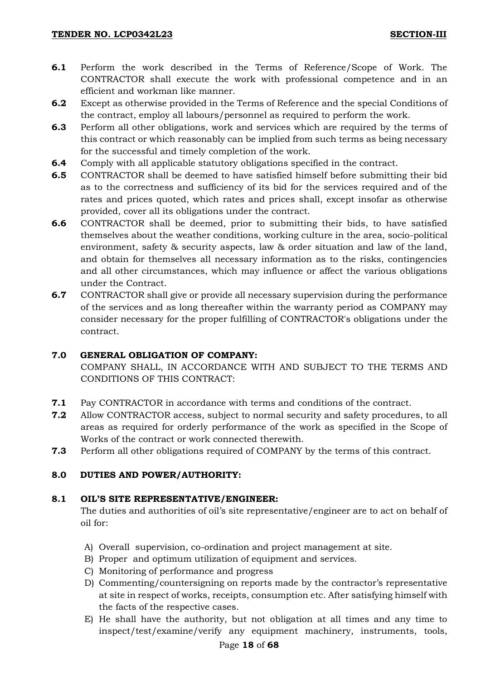- **6.1** Perform the work described in the Terms of Reference/Scope of Work. The CONTRACTOR shall execute the work with professional competence and in an efficient and workman like manner.
- **6.2** Except as otherwise provided in the Terms of Reference and the special Conditions of the contract, employ all labours/personnel as required to perform the work.
- **6.3** Perform all other obligations, work and services which are required by the terms of this contract or which reasonably can be implied from such terms as being necessary for the successful and timely completion of the work.
- **6.4** Comply with all applicable statutory obligations specified in the contract.
- **6.5** CONTRACTOR shall be deemed to have satisfied himself before submitting their bid as to the correctness and sufficiency of its bid for the services required and of the rates and prices quoted, which rates and prices shall, except insofar as otherwise provided, cover all its obligations under the contract.
- **6.6** CONTRACTOR shall be deemed, prior to submitting their bids, to have satisfied themselves about the weather conditions, working culture in the area, socio-political environment, safety & security aspects, law & order situation and law of the land, and obtain for themselves all necessary information as to the risks, contingencies and all other circumstances, which may influence or affect the various obligations under the Contract.
- **6.7** CONTRACTOR shall give or provide all necessary supervision during the performance of the services and as long thereafter within the warranty period as COMPANY may consider necessary for the proper fulfilling of CONTRACTOR's obligations under the contract.

## **7.0 GENERAL OBLIGATION OF COMPANY:**

COMPANY SHALL, IN ACCORDANCE WITH AND SUBJECT TO THE TERMS AND CONDITIONS OF THIS CONTRACT:

- **7.1** Pay CONTRACTOR in accordance with terms and conditions of the contract.
- **7.2** Allow CONTRACTOR access, subject to normal security and safety procedures, to all areas as required for orderly performance of the work as specified in the Scope of Works of the contract or work connected therewith.
- **7.3** Perform all other obligations required of COMPANY by the terms of this contract.

# **8.0 DUTIES AND POWER/AUTHORITY:**

## **8.1 OIL'S SITE REPRESENTATIVE/ENGINEER:**

The duties and authorities of oil's site representative/engineer are to act on behalf of oil for:

- A) Overall supervision, co-ordination and project management at site.
- B) Proper and optimum utilization of equipment and services.
- C) Monitoring of performance and progress
- D) Commenting/countersigning on reports made by the contractor's representative at site in respect of works, receipts, consumption etc. After satisfying himself with the facts of the respective cases.
- E) He shall have the authority, but not obligation at all times and any time to inspect/test/examine/verify any equipment machinery, instruments, tools,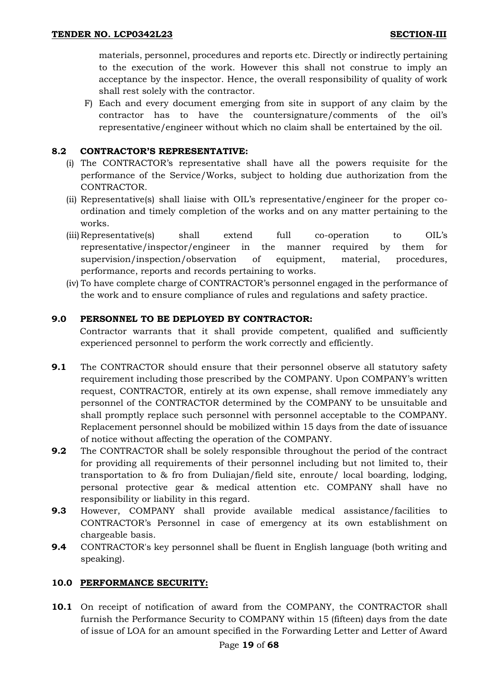materials, personnel, procedures and reports etc. Directly or indirectly pertaining to the execution of the work. However this shall not construe to imply an acceptance by the inspector. Hence, the overall responsibility of quality of work shall rest solely with the contractor.

F) Each and every document emerging from site in support of any claim by the contractor has to have the countersignature/comments of the oil's representative/engineer without which no claim shall be entertained by the oil.

# **8.2 CONTRACTOR'S REPRESENTATIVE:**

- (i) The CONTRACTOR's representative shall have all the powers requisite for the performance of the Service/Works, subject to holding due authorization from the CONTRACTOR.
- (ii) Representative(s) shall liaise with OIL's representative/engineer for the proper coordination and timely completion of the works and on any matter pertaining to the works.
- (iii)Representative(s) shall extend full co-operation to OIL's representative/inspector/engineer in the manner required by them for supervision/inspection/observation of equipment, material, procedures, performance, reports and records pertaining to works.
- (iv) To have complete charge of CONTRACTOR's personnel engaged in the performance of the work and to ensure compliance of rules and regulations and safety practice.

# **9.0 PERSONNEL TO BE DEPLOYED BY CONTRACTOR:**

Contractor warrants that it shall provide competent, qualified and sufficiently experienced personnel to perform the work correctly and efficiently.

- **9.1** The CONTRACTOR should ensure that their personnel observe all statutory safety requirement including those prescribed by the COMPANY. Upon COMPANY's written request, CONTRACTOR, entirely at its own expense, shall remove immediately any personnel of the CONTRACTOR determined by the COMPANY to be unsuitable and shall promptly replace such personnel with personnel acceptable to the COMPANY. Replacement personnel should be mobilized within 15 days from the date of issuance of notice without affecting the operation of the COMPANY.
- **9.2** The CONTRACTOR shall be solely responsible throughout the period of the contract for providing all requirements of their personnel including but not limited to, their transportation to & fro from Duliajan/field site, enroute/ local boarding, lodging, personal protective gear & medical attention etc. COMPANY shall have no responsibility or liability in this regard.
- **9.3** However, COMPANY shall provide available medical assistance/facilities to CONTRACTOR's Personnel in case of emergency at its own establishment on chargeable basis.
- **9.4** CONTRACTOR's key personnel shall be fluent in English language (both writing and speaking).

# <span id="page-18-0"></span>**10.0 PERFORMANCE SECURITY:**

**10.1** On receipt of notification of award from the COMPANY, the CONTRACTOR shall furnish the Performance Security to COMPANY within 15 (fifteen) days from the date of issue of LOA for an amount specified in the Forwarding Letter and Letter of Award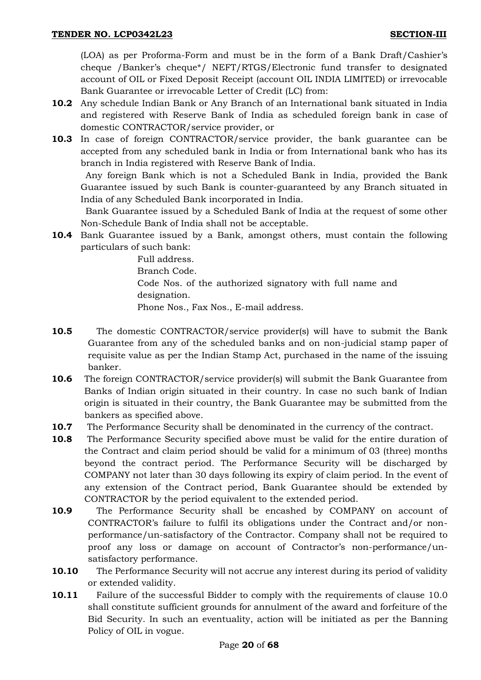(LOA) as per Proforma-Form and must be in the form of a Bank Draft/Cashier's cheque /Banker's cheque\*/ NEFT/RTGS/Electronic fund transfer to designated account of OIL or Fixed Deposit Receipt (account OIL INDIA LIMITED) or irrevocable Bank Guarantee or irrevocable Letter of Credit (LC) from:

- **10.2** Any schedule Indian Bank or Any Branch of an International bank situated in India and registered with Reserve Bank of India as scheduled foreign bank in case of domestic CONTRACTOR/service provider, or
- **10.3** In case of foreign CONTRACTOR/service provider, the bank guarantee can be accepted from any scheduled bank in India or from International bank who has its branch in India registered with Reserve Bank of India.

 Any foreign Bank which is not a Scheduled Bank in India, provided the Bank Guarantee issued by such Bank is counter-guaranteed by any Branch situated in India of any Scheduled Bank incorporated in India.

 Bank Guarantee issued by a Scheduled Bank of India at the request of some other Non-Schedule Bank of India shall not be acceptable.

**10.4** Bank Guarantee issued by a Bank, amongst others, must contain the following particulars of such bank:

Full address. Branch Code. Code Nos. of the authorized signatory with full name and designation. Phone Nos., Fax Nos., E-mail address.

- **10.5** The domestic CONTRACTOR/service provider(s) will have to submit the Bank Guarantee from any of the scheduled banks and on non-judicial stamp paper of requisite value as per the Indian Stamp Act, purchased in the name of the issuing banker.
- **10.6** The foreign CONTRACTOR/service provider(s) will submit the Bank Guarantee from Banks of Indian origin situated in their country. In case no such bank of Indian origin is situated in their country, the Bank Guarantee may be submitted from the bankers as specified above.
- **10.7** The Performance Security shall be denominated in the currency of the contract.
- **10.8** The Performance Security specified above must be valid for the entire duration of the Contract and claim period should be valid for a minimum of 03 (three) months beyond the contract period. The Performance Security will be discharged by COMPANY not later than 30 days following its expiry of claim period. In the event of any extension of the Contract period, Bank Guarantee should be extended by CONTRACTOR by the period equivalent to the extended period.
- **10.9** The Performance Security shall be encashed by COMPANY on account of CONTRACTOR's failure to fulfil its obligations under the Contract and/or nonperformance/un-satisfactory of the Contractor. Company shall not be required to proof any loss or damage on account of Contractor's non-performance/unsatisfactory performance.
- **10.10** The Performance Security will not accrue any interest during its period of validity or extended validity.
- **10.11** Failure of the successful Bidder to comply with the requirements of clause [10.0](#page-18-0) shall constitute sufficient grounds for annulment of the award and forfeiture of the Bid Security. In such an eventuality, action will be initiated as per the Banning Policy of OIL in vogue.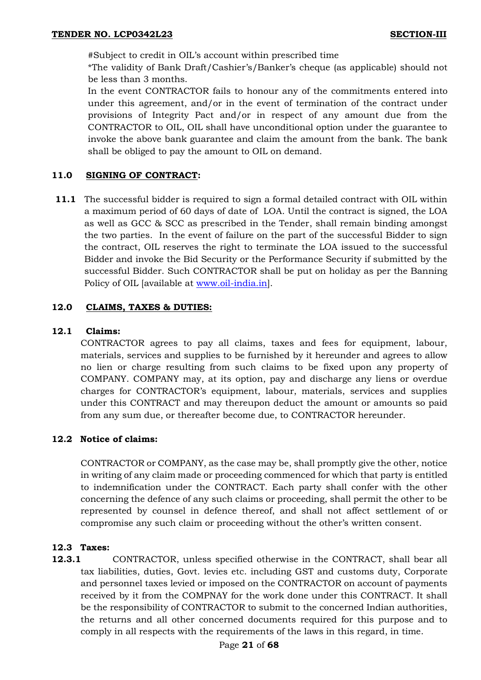#Subject to credit in OIL's account within prescribed time

\*The validity of Bank Draft/Cashier's/Banker's cheque (as applicable) should not be less than 3 months.

In the event CONTRACTOR fails to honour any of the commitments entered into under this agreement, and/or in the event of termination of the contract under provisions of Integrity Pact and/or in respect of any amount due from the CONTRACTOR to OIL, OIL shall have unconditional option under the guarantee to invoke the above bank guarantee and claim the amount from the bank. The bank shall be obliged to pay the amount to OIL on demand.

# **11.0 SIGNING OF CONTRACT:**

**11.1** The successful bidder is required to sign a formal detailed contract with OIL within a maximum period of 60 days of date of LOA. Until the contract is signed, the LOA as well as GCC & SCC as prescribed in the Tender, shall remain binding amongst the two parties. In the event of failure on the part of the successful Bidder to sign the contract, OIL reserves the right to terminate the LOA issued to the successful Bidder and invoke the Bid Security or the Performance Security if submitted by the successful Bidder. Such CONTRACTOR shall be put on holiday as per the Banning Policy of OIL [available at [www.oil-india.in\]](http://www.oil-india.in/).

# **12.0 CLAIMS, TAXES & DUTIES:**

# **12.1 Claims:**

CONTRACTOR agrees to pay all claims, taxes and fees for equipment, labour, materials, services and supplies to be furnished by it hereunder and agrees to allow no lien or charge resulting from such claims to be fixed upon any property of COMPANY. COMPANY may, at its option, pay and discharge any liens or overdue charges for CONTRACTOR's equipment, labour, materials, services and supplies under this CONTRACT and may thereupon deduct the amount or amounts so paid from any sum due, or thereafter become due, to CONTRACTOR hereunder.

# **12.2 Notice of claims:**

CONTRACTOR or COMPANY, as the case may be, shall promptly give the other, notice in writing of any claim made or proceeding commenced for which that party is entitled to indemnification under the CONTRACT. Each party shall confer with the other concerning the defence of any such claims or proceeding, shall permit the other to be represented by counsel in defence thereof, and shall not affect settlement of or compromise any such claim or proceeding without the other's written consent.

# **12.3 Taxes:**

**12.3.1** CONTRACTOR, unless specified otherwise in the CONTRACT, shall bear all tax liabilities, duties, Govt. levies etc. including GST and customs duty, Corporate and personnel taxes levied or imposed on the CONTRACTOR on account of payments received by it from the COMPNAY for the work done under this CONTRACT. It shall be the responsibility of CONTRACTOR to submit to the concerned Indian authorities, the returns and all other concerned documents required for this purpose and to comply in all respects with the requirements of the laws in this regard, in time.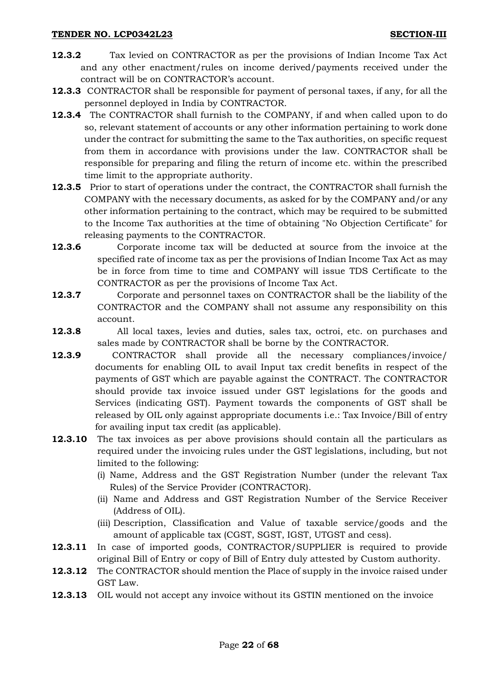## **TENDER NO. LCP0342L23 SECTION-III**

- **12.3.2** Tax levied on CONTRACTOR as per the provisions of Indian Income Tax Act and any other enactment/rules on income derived/payments received under the contract will be on CONTRACTOR's account.
- **12.3.3** CONTRACTOR shall be responsible for payment of personal taxes, if any, for all the personnel deployed in India by CONTRACTOR.
- **12.3.4** The CONTRACTOR shall furnish to the COMPANY, if and when called upon to do so, relevant statement of accounts or any other information pertaining to work done under the contract for submitting the same to the Tax authorities, on specific request from them in accordance with provisions under the law. CONTRACTOR shall be responsible for preparing and filing the return of income etc. within the prescribed time limit to the appropriate authority.
- **12.3.5** Prior to start of operations under the contract, the CONTRACTOR shall furnish the COMPANY with the necessary documents, as asked for by the COMPANY and/or any other information pertaining to the contract, which may be required to be submitted to the Income Tax authorities at the time of obtaining "No Objection Certificate" for releasing payments to the CONTRACTOR.
- **12.3.6** Corporate income tax will be deducted at source from the invoice at the specified rate of income tax as per the provisions of Indian Income Tax Act as may be in force from time to time and COMPANY will issue TDS Certificate to the CONTRACTOR as per the provisions of Income Tax Act.
- **12.3.7** Corporate and personnel taxes on CONTRACTOR shall be the liability of the CONTRACTOR and the COMPANY shall not assume any responsibility on this account.
- **12.3.8** All local taxes, levies and duties, sales tax, octroi, etc. on purchases and sales made by CONTRACTOR shall be borne by the CONTRACTOR.
- **12.3.9** CONTRACTOR shall provide all the necessary compliances/invoice/ documents for enabling OIL to avail Input tax credit benefits in respect of the payments of GST which are payable against the CONTRACT. The CONTRACTOR should provide tax invoice issued under GST legislations for the goods and Services (indicating GST). Payment towards the components of GST shall be released by OIL only against appropriate documents i.e.: Tax Invoice/Bill of entry for availing input tax credit (as applicable).
- **12.3.10** The tax invoices as per above provisions should contain all the particulars as required under the invoicing rules under the GST legislations, including, but not limited to the following:
	- (i) Name, Address and the GST Registration Number (under the relevant Tax Rules) of the Service Provider (CONTRACTOR).
	- (ii) Name and Address and GST Registration Number of the Service Receiver (Address of OIL).
	- (iii) Description, Classification and Value of taxable service/goods and the amount of applicable tax (CGST, SGST, IGST, UTGST and cess).
- **12.3.11** In case of imported goods, CONTRACTOR/SUPPLIER is required to provide original Bill of Entry or copy of Bill of Entry duly attested by Custom authority.
- **12.3.12** The CONTRACTOR should mention the Place of supply in the invoice raised under GST Law.
- **12.3.13** OIL would not accept any invoice without its GSTIN mentioned on the invoice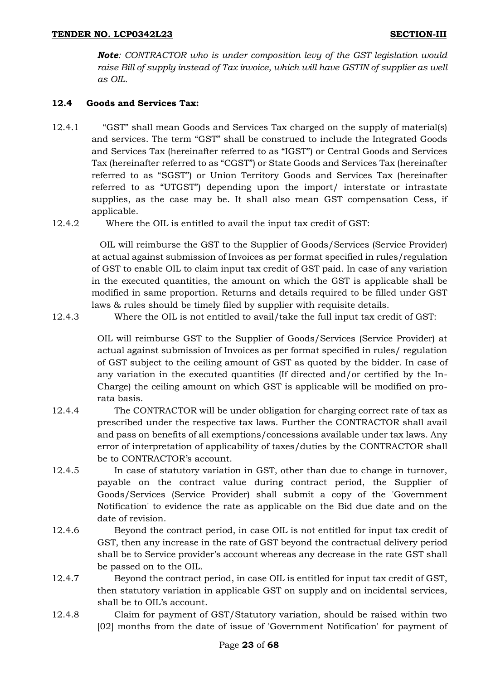*Note: CONTRACTOR who is under composition levy of the GST legislation would*  raise Bill of supply instead of Tax invoice, which will have GSTIN of supplier as well *as OIL.*

# **12.4 Goods and Services Tax:**

- 12.4.1 "GST" shall mean Goods and Services Tax charged on the supply of material(s) and services. The term "GST" shall be construed to include the Integrated Goods and Services Tax (hereinafter referred to as "IGST") or Central Goods and Services Tax (hereinafter referred to as "CGST") or State Goods and Services Tax (hereinafter referred to as "SGST") or Union Territory Goods and Services Tax (hereinafter referred to as "UTGST") depending upon the import/ interstate or intrastate supplies, as the case may be. It shall also mean GST compensation Cess, if applicable.
- 12.4.2 Where the OIL is entitled to avail the input tax credit of GST:

 OIL will reimburse the GST to the Supplier of Goods/Services (Service Provider) at actual against submission of Invoices as per format specified in rules/regulation of GST to enable OIL to claim input tax credit of GST paid. In case of any variation in the executed quantities, the amount on which the GST is applicable shall be modified in same proportion. Returns and details required to be filled under GST laws & rules should be timely filed by supplier with requisite details.

12.4.3 Where the OIL is not entitled to avail/take the full input tax credit of GST:

OIL will reimburse GST to the Supplier of Goods/Services (Service Provider) at actual against submission of Invoices as per format specified in rules/ regulation of GST subject to the ceiling amount of GST as quoted by the bidder. In case of any variation in the executed quantities (If directed and/or certified by the In-Charge) the ceiling amount on which GST is applicable will be modified on prorata basis.

- 12.4.4 The CONTRACTOR will be under obligation for charging correct rate of tax as prescribed under the respective tax laws. Further the CONTRACTOR shall avail and pass on benefits of all exemptions/concessions available under tax laws. Any error of interpretation of applicability of taxes/duties by the CONTRACTOR shall be to CONTRACTOR's account.
- 12.4.5 In case of statutory variation in GST, other than due to change in turnover, payable on the contract value during contract period, the Supplier of Goods/Services (Service Provider) shall submit a copy of the 'Government Notification' to evidence the rate as applicable on the Bid due date and on the date of revision.
- 12.4.6 Beyond the contract period, in case OIL is not entitled for input tax credit of GST, then any increase in the rate of GST beyond the contractual delivery period shall be to Service provider's account whereas any decrease in the rate GST shall be passed on to the OIL.
- 12.4.7 Beyond the contract period, in case OIL is entitled for input tax credit of GST, then statutory variation in applicable GST on supply and on incidental services, shall be to OIL's account.
- 12.4.8 Claim for payment of GST/Statutory variation, should be raised within two [02] months from the date of issue of 'Government Notification' for payment of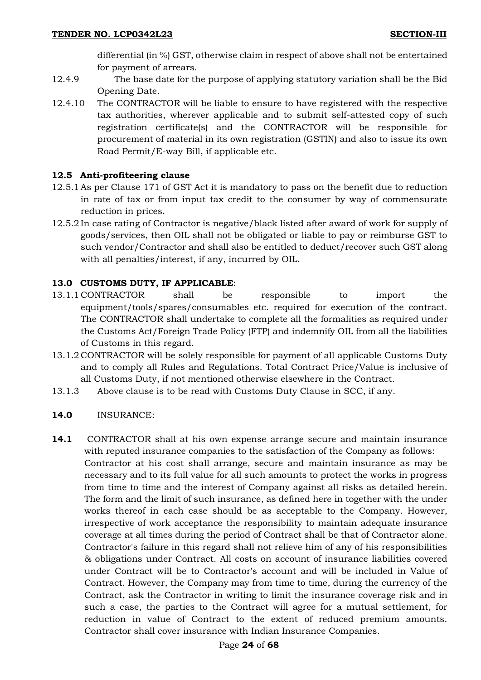differential (in %) GST, otherwise claim in respect of above shall not be entertained for payment of arrears.

- 12.4.9 The base date for the purpose of applying statutory variation shall be the Bid Opening Date.
- 12.4.10 The CONTRACTOR will be liable to ensure to have registered with the respective tax authorities, wherever applicable and to submit self-attested copy of such registration certificate(s) and the CONTRACTOR will be responsible for procurement of material in its own registration (GSTIN) and also to issue its own Road Permit/E-way Bill, if applicable etc.

# **12.5 Anti-profiteering clause**

- 12.5.1As per Clause 171 of GST Act it is mandatory to pass on the benefit due to reduction in rate of tax or from input tax credit to the consumer by way of commensurate reduction in prices.
- 12.5.2In case rating of Contractor is negative/black listed after award of work for supply of goods/services, then OIL shall not be obligated or liable to pay or reimburse GST to such vendor/Contractor and shall also be entitled to deduct/recover such GST along with all penalties/interest, if any, incurred by OIL.

# **13.0 CUSTOMS DUTY, IF APPLICABLE**:

- 13.1.1 CONTRACTOR shall be responsible to import the equipment/tools/spares/consumables etc. required for execution of the contract. The CONTRACTOR shall undertake to complete all the formalities as required under the Customs Act/Foreign Trade Policy (FTP) and indemnify OIL from all the liabilities of Customs in this regard.
- 13.1.2 CONTRACTOR will be solely responsible for payment of all applicable Customs Duty and to comply all Rules and Regulations. Total Contract Price/Value is inclusive of all Customs Duty, if not mentioned otherwise elsewhere in the Contract.
- 13.1.3 Above clause is to be read with Customs Duty Clause in SCC, if any.
- **14.0** INSURANCE:
- **14.1** CONTRACTOR shall at his own expense arrange secure and maintain insurance with reputed insurance companies to the satisfaction of the Company as follows: Contractor at his cost shall arrange, secure and maintain insurance as may be necessary and to its full value for all such amounts to protect the works in progress from time to time and the interest of Company against all risks as detailed herein. The form and the limit of such insurance, as defined here in together with the under works thereof in each case should be as acceptable to the Company. However, irrespective of work acceptance the responsibility to maintain adequate insurance coverage at all times during the period of Contract shall be that of Contractor alone. Contractor's failure in this regard shall not relieve him of any of his responsibilities & obligations under Contract. All costs on account of insurance liabilities covered under Contract will be to Contractor's account and will be included in Value of Contract. However, the Company may from time to time, during the currency of the Contract, ask the Contractor in writing to limit the insurance coverage risk and in such a case, the parties to the Contract will agree for a mutual settlement, for reduction in value of Contract to the extent of reduced premium amounts. Contractor shall cover insurance with Indian Insurance Companies.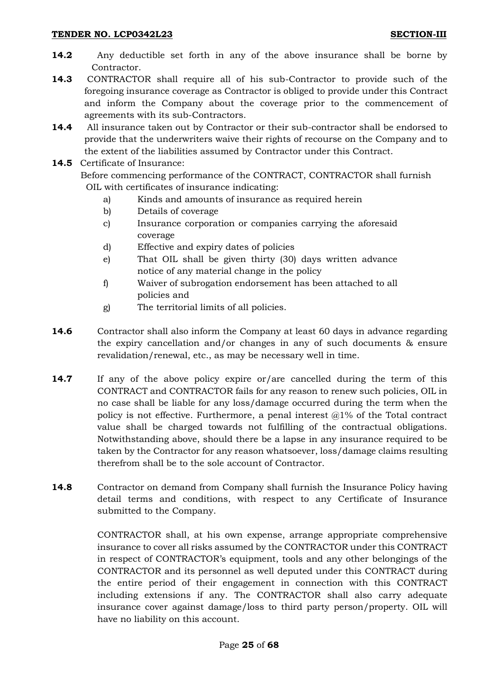## **TENDER NO. LCP0342L23 SECTION-III**

- **14.2** Any deductible set forth in any of the above insurance shall be borne by Contractor.
- **14.3** CONTRACTOR shall require all of his sub-Contractor to provide such of the foregoing insurance coverage as Contractor is obliged to provide under this Contract and inform the Company about the coverage prior to the commencement of agreements with its sub-Contractors.
- **14.4** All insurance taken out by Contractor or their sub-contractor shall be endorsed to provide that the underwriters waive their rights of recourse on the Company and to the extent of the liabilities assumed by Contractor under this Contract.

# **14.5** Certificate of Insurance: Before commencing performance of the CONTRACT, CONTRACTOR shall furnish OIL with certificates of insurance indicating:

- a) Kinds and amounts of insurance as required herein
- b) Details of coverage
- c) Insurance corporation or companies carrying the aforesaid coverage
- d) Effective and expiry dates of policies
- e) That OIL shall be given thirty (30) days written advance notice of any material change in the policy
- f) Waiver of subrogation endorsement has been attached to all policies and
- g) The territorial limits of all policies.
- **14.6** Contractor shall also inform the Company at least 60 days in advance regarding the expiry cancellation and/or changes in any of such documents & ensure revalidation/renewal, etc., as may be necessary well in time.
- **14.7** If any of the above policy expire or/are cancelled during the term of this CONTRACT and CONTRACTOR fails for any reason to renew such policies, OIL in no case shall be liable for any loss/damage occurred during the term when the policy is not effective. Furthermore, a penal interest  $@1\%$  of the Total contract value shall be charged towards not fulfilling of the contractual obligations. Notwithstanding above, should there be a lapse in any insurance required to be taken by the Contractor for any reason whatsoever, loss/damage claims resulting therefrom shall be to the sole account of Contractor.
- **14.8** Contractor on demand from Company shall furnish the Insurance Policy having detail terms and conditions, with respect to any Certificate of Insurance submitted to the Company.

CONTRACTOR shall, at his own expense, arrange appropriate comprehensive insurance to cover all risks assumed by the CONTRACTOR under this CONTRACT in respect of CONTRACTOR's equipment, tools and any other belongings of the CONTRACTOR and its personnel as well deputed under this CONTRACT during the entire period of their engagement in connection with this CONTRACT including extensions if any. The CONTRACTOR shall also carry adequate insurance cover against damage/loss to third party person/property. OIL will have no liability on this account.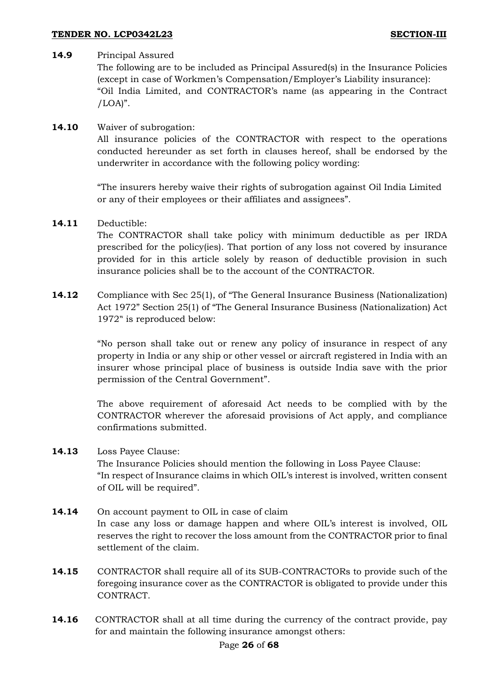# **14.9** Principal Assured

The following are to be included as Principal Assured(s) in the Insurance Policies (except in case of Workmen's Compensation/Employer's Liability insurance): "Oil India Limited, and CONTRACTOR's name (as appearing in the Contract /LOA)".

# **14.10** Waiver of subrogation:

All insurance policies of the CONTRACTOR with respect to the operations conducted hereunder as set forth in clauses hereof, shall be endorsed by the underwriter in accordance with the following policy wording:

"The insurers hereby waive their rights of subrogation against Oil India Limited or any of their employees or their affiliates and assignees".

# **14.11** Deductible:

The CONTRACTOR shall take policy with minimum deductible as per IRDA prescribed for the policy(ies). That portion of any loss not covered by insurance provided for in this article solely by reason of deductible provision in such insurance policies shall be to the account of the CONTRACTOR.

**14.12** Compliance with Sec 25(1), of "The General Insurance Business (Nationalization) Act 1972" Section 25(1) of "The General Insurance Business (Nationalization) Act 1972" is reproduced below:

> "No person shall take out or renew any policy of insurance in respect of any property in India or any ship or other vessel or aircraft registered in India with an insurer whose principal place of business is outside India save with the prior permission of the Central Government".

> The above requirement of aforesaid Act needs to be complied with by the CONTRACTOR wherever the aforesaid provisions of Act apply, and compliance confirmations submitted.

## **14.13** Loss Payee Clause:

The Insurance Policies should mention the following in Loss Payee Clause: "In respect of Insurance claims in which OIL's interest is involved, written consent of OIL will be required".

- **14.14** On account payment to OIL in case of claim In case any loss or damage happen and where OIL's interest is involved, OIL reserves the right to recover the loss amount from the CONTRACTOR prior to final settlement of the claim.
- **14.15** CONTRACTOR shall require all of its SUB-CONTRACTORs to provide such of the foregoing insurance cover as the CONTRACTOR is obligated to provide under this CONTRACT.
- **14.16** CONTRACTOR shall at all time during the currency of the contract provide, pay for and maintain the following insurance amongst others: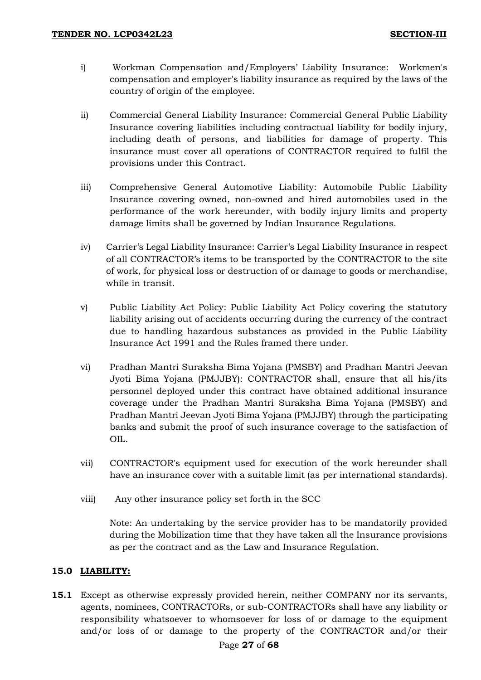- i) Workman Compensation and/Employers' Liability Insurance: Workmen's compensation and employer's liability insurance as required by the laws of the country of origin of the employee.
- ii) Commercial General Liability Insurance: Commercial General Public Liability Insurance covering liabilities including contractual liability for bodily injury, including death of persons, and liabilities for damage of property. This insurance must cover all operations of CONTRACTOR required to fulfil the provisions under this Contract.
- iii) Comprehensive General Automotive Liability: Automobile Public Liability Insurance covering owned, non-owned and hired automobiles used in the performance of the work hereunder, with bodily injury limits and property damage limits shall be governed by Indian Insurance Regulations.
- iv) Carrier's Legal Liability Insurance: Carrier's Legal Liability Insurance in respect of all CONTRACTOR's items to be transported by the CONTRACTOR to the site of work, for physical loss or destruction of or damage to goods or merchandise, while in transit.
- v) Public Liability Act Policy: Public Liability Act Policy covering the statutory liability arising out of accidents occurring during the currency of the contract due to handling hazardous substances as provided in the Public Liability Insurance Act 1991 and the Rules framed there under.
- vi) Pradhan Mantri Suraksha Bima Yojana (PMSBY) and Pradhan Mantri Jeevan Jyoti Bima Yojana (PMJJBY): CONTRACTOR shall, ensure that all his/its personnel deployed under this contract have obtained additional insurance coverage under the Pradhan Mantri Suraksha Bima Yojana (PMSBY) and Pradhan Mantri Jeevan Jyoti Bima Yojana (PMJJBY) through the participating banks and submit the proof of such insurance coverage to the satisfaction of OIL.
- vii) CONTRACTOR's equipment used for execution of the work hereunder shall have an insurance cover with a suitable limit (as per international standards).
- viii) Any other insurance policy set forth in the SCC

Note: An undertaking by the service provider has to be mandatorily provided during the Mobilization time that they have taken all the Insurance provisions as per the contract and as the Law and Insurance Regulation.

# **15.0 LIABILITY:**

**15.1** Except as otherwise expressly provided herein, neither COMPANY nor its servants, agents, nominees, CONTRACTORs, or sub-CONTRACTORs shall have any liability or responsibility whatsoever to whomsoever for loss of or damage to the equipment and/or loss of or damage to the property of the CONTRACTOR and/or their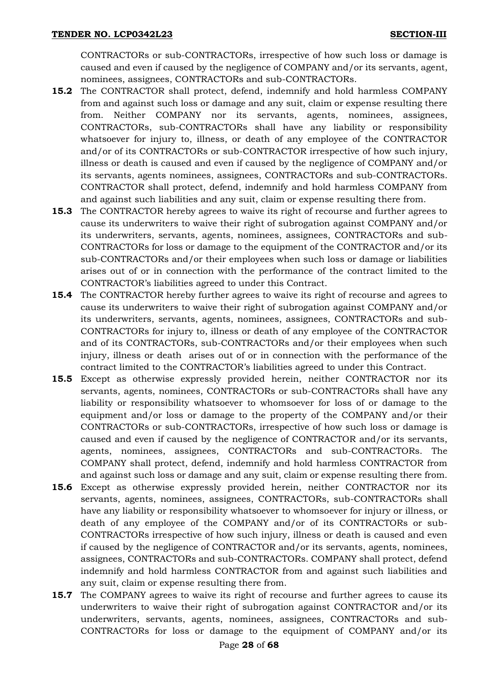CONTRACTORs or sub-CONTRACTORs, irrespective of how such loss or damage is caused and even if caused by the negligence of COMPANY and/or its servants, agent, nominees, assignees, CONTRACTORs and sub-CONTRACTORs.

- **15.2** The CONTRACTOR shall protect, defend, indemnify and hold harmless COMPANY from and against such loss or damage and any suit, claim or expense resulting there from. Neither COMPANY nor its servants, agents, nominees, assignees, CONTRACTORs, sub-CONTRACTORs shall have any liability or responsibility whatsoever for injury to, illness, or death of any employee of the CONTRACTOR and/or of its CONTRACTORs or sub-CONTRACTOR irrespective of how such injury, illness or death is caused and even if caused by the negligence of COMPANY and/or its servants, agents nominees, assignees, CONTRACTORs and sub-CONTRACTORs. CONTRACTOR shall protect, defend, indemnify and hold harmless COMPANY from and against such liabilities and any suit, claim or expense resulting there from.
- **15.3** The CONTRACTOR hereby agrees to waive its right of recourse and further agrees to cause its underwriters to waive their right of subrogation against COMPANY and/or its underwriters, servants, agents, nominees, assignees, CONTRACTORs and sub-CONTRACTORs for loss or damage to the equipment of the CONTRACTOR and/or its sub-CONTRACTORs and/or their employees when such loss or damage or liabilities arises out of or in connection with the performance of the contract limited to the CONTRACTOR's liabilities agreed to under this Contract.
- **15.4** The CONTRACTOR hereby further agrees to waive its right of recourse and agrees to cause its underwriters to waive their right of subrogation against COMPANY and/or its underwriters, servants, agents, nominees, assignees, CONTRACTORs and sub-CONTRACTORs for injury to, illness or death of any employee of the CONTRACTOR and of its CONTRACTORs, sub-CONTRACTORs and/or their employees when such injury, illness or death arises out of or in connection with the performance of the contract limited to the CONTRACTOR's liabilities agreed to under this Contract.
- **15.5** Except as otherwise expressly provided herein, neither CONTRACTOR nor its servants, agents, nominees, CONTRACTORs or sub-CONTRACTORs shall have any liability or responsibility whatsoever to whomsoever for loss of or damage to the equipment and/or loss or damage to the property of the COMPANY and/or their CONTRACTORs or sub-CONTRACTORs, irrespective of how such loss or damage is caused and even if caused by the negligence of CONTRACTOR and/or its servants, agents, nominees, assignees, CONTRACTORs and sub-CONTRACTORs. The COMPANY shall protect, defend, indemnify and hold harmless CONTRACTOR from and against such loss or damage and any suit, claim or expense resulting there from.
- **15.6** Except as otherwise expressly provided herein, neither CONTRACTOR nor its servants, agents, nominees, assignees, CONTRACTORs, sub-CONTRACTORs shall have any liability or responsibility whatsoever to whomsoever for injury or illness, or death of any employee of the COMPANY and/or of its CONTRACTORs or sub-CONTRACTORs irrespective of how such injury, illness or death is caused and even if caused by the negligence of CONTRACTOR and/or its servants, agents, nominees, assignees, CONTRACTORs and sub-CONTRACTORs. COMPANY shall protect, defend indemnify and hold harmless CONTRACTOR from and against such liabilities and any suit, claim or expense resulting there from.
- **15.7** The COMPANY agrees to waive its right of recourse and further agrees to cause its underwriters to waive their right of subrogation against CONTRACTOR and/or its underwriters, servants, agents, nominees, assignees, CONTRACTORs and sub-CONTRACTORs for loss or damage to the equipment of COMPANY and/or its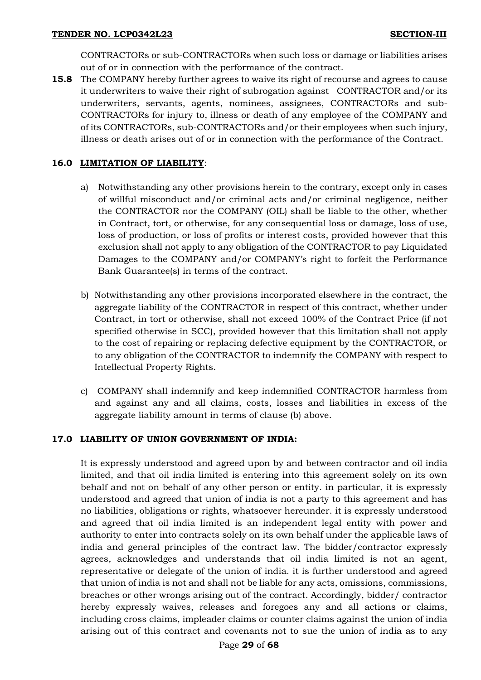CONTRACTORs or sub-CONTRACTORs when such loss or damage or liabilities arises out of or in connection with the performance of the contract.

**15.8** The COMPANY hereby further agrees to waive its right of recourse and agrees to cause it underwriters to waive their right of subrogation against CONTRACTOR and/or its underwriters, servants, agents, nominees, assignees, CONTRACTORs and sub-CONTRACTORs for injury to, illness or death of any employee of the COMPANY and of its CONTRACTORs, sub-CONTRACTORs and/or their employees when such injury, illness or death arises out of or in connection with the performance of the Contract.

# **16.0 LIMITATION OF LIABILITY**:

- a) Notwithstanding any other provisions herein to the contrary, except only in cases of willful misconduct and/or criminal acts and/or criminal negligence, neither the CONTRACTOR nor the COMPANY (OIL) shall be liable to the other, whether in Contract, tort, or otherwise, for any consequential loss or damage, loss of use, loss of production, or loss of profits or interest costs, provided however that this exclusion shall not apply to any obligation of the CONTRACTOR to pay Liquidated Damages to the COMPANY and/or COMPANY's right to forfeit the Performance Bank Guarantee(s) in terms of the contract.
- b) Notwithstanding any other provisions incorporated elsewhere in the contract, the aggregate liability of the CONTRACTOR in respect of this contract, whether under Contract, in tort or otherwise, shall not exceed 100% of the Contract Price (if not specified otherwise in SCC), provided however that this limitation shall not apply to the cost of repairing or replacing defective equipment by the CONTRACTOR, or to any obligation of the CONTRACTOR to indemnify the COMPANY with respect to Intellectual Property Rights.
- c) COMPANY shall indemnify and keep indemnified CONTRACTOR harmless from and against any and all claims, costs, losses and liabilities in excess of the aggregate liability amount in terms of clause (b) above.

## **17.0 LIABILITY OF UNION GOVERNMENT OF INDIA:**

It is expressly understood and agreed upon by and between contractor and oil india limited, and that oil india limited is entering into this agreement solely on its own behalf and not on behalf of any other person or entity. in particular, it is expressly understood and agreed that union of india is not a party to this agreement and has no liabilities, obligations or rights, whatsoever hereunder. it is expressly understood and agreed that oil india limited is an independent legal entity with power and authority to enter into contracts solely on its own behalf under the applicable laws of india and general principles of the contract law. The bidder/contractor expressly agrees, acknowledges and understands that oil india limited is not an agent, representative or delegate of the union of india. it is further understood and agreed that union of india is not and shall not be liable for any acts, omissions, commissions, breaches or other wrongs arising out of the contract. Accordingly, bidder/ contractor hereby expressly waives, releases and foregoes any and all actions or claims, including cross claims, impleader claims or counter claims against the union of india arising out of this contract and covenants not to sue the union of india as to any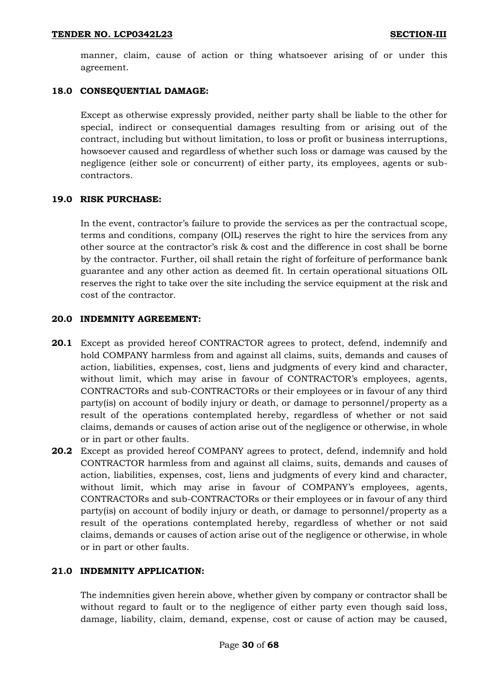manner, claim, cause of action or thing whatsoever arising of or under this agreement.

# **18.0 CONSEQUENTIAL DAMAGE:**

Except as otherwise expressly provided, neither party shall be liable to the other for special, indirect or consequential damages resulting from or arising out of the contract, including but without limitation, to loss or profit or business interruptions, howsoever caused and regardless of whether such loss or damage was caused by the negligence (either sole or concurrent) of either party, its employees, agents or subcontractors.

# **19.0 RISK PURCHASE:**

In the event, contractor's failure to provide the services as per the contractual scope, terms and conditions, company (OIL) reserves the right to hire the services from any other source at the contractor's risk & cost and the difference in cost shall be borne by the contractor. Further, oil shall retain the right of forfeiture of performance bank guarantee and any other action as deemed fit. In certain operational situations OIL reserves the right to take over the site including the service equipment at the risk and cost of the contractor.

# **20.0 INDEMNITY AGREEMENT:**

- **20.1** Except as provided hereof CONTRACTOR agrees to protect, defend, indemnify and hold COMPANY harmless from and against all claims, suits, demands and causes of action, liabilities, expenses, cost, liens and judgments of every kind and character, without limit, which may arise in favour of CONTRACTOR's employees, agents, CONTRACTORs and sub-CONTRACTORs or their employees or in favour of any third party(is) on account of bodily injury or death, or damage to personnel/property as a result of the operations contemplated hereby, regardless of whether or not said claims, demands or causes of action arise out of the negligence or otherwise, in whole or in part or other faults.
- **20.2** Except as provided hereof COMPANY agrees to protect, defend, indemnify and hold CONTRACTOR harmless from and against all claims, suits, demands and causes of action, liabilities, expenses, cost, liens and judgments of every kind and character, without limit, which may arise in favour of COMPANY's employees, agents, CONTRACTORs and sub-CONTRACTORs or their employees or in favour of any third party(is) on account of bodily injury or death, or damage to personnel/property as a result of the operations contemplated hereby, regardless of whether or not said claims, demands or causes of action arise out of the negligence or otherwise, in whole or in part or other faults.

# **21.0 INDEMNITY APPLICATION:**

The indemnities given herein above, whether given by company or contractor shall be without regard to fault or to the negligence of either party even though said loss, damage, liability, claim, demand, expense, cost or cause of action may be caused,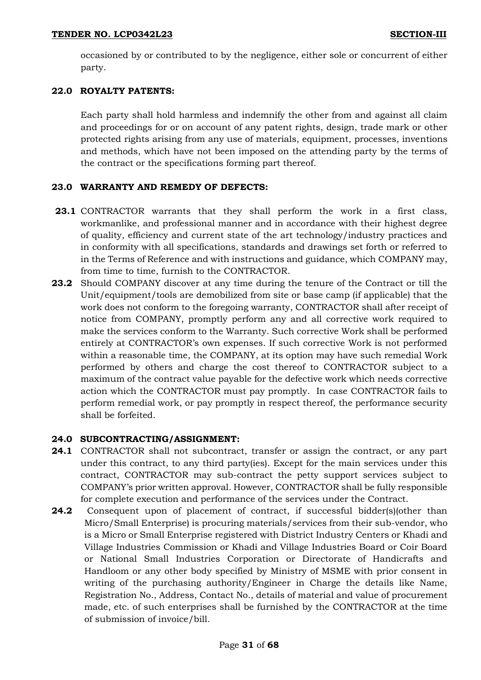occasioned by or contributed to by the negligence, either sole or concurrent of either party.

## **22.0 ROYALTY PATENTS:**

Each party shall hold harmless and indemnify the other from and against all claim and proceedings for or on account of any patent rights, design, trade mark or other protected rights arising from any use of materials, equipment, processes, inventions and methods, which have not been imposed on the attending party by the terms of the contract or the specifications forming part thereof.

# **23.0 WARRANTY AND REMEDY OF DEFECTS:**

- **23.1** CONTRACTOR warrants that they shall perform the work in a first class, workmanlike, and professional manner and in accordance with their highest degree of quality, efficiency and current state of the art technology/industry practices and in conformity with all specifications, standards and drawings set forth or referred to in the Terms of Reference and with instructions and guidance, which COMPANY may, from time to time, furnish to the CONTRACTOR.
- **23.2** Should COMPANY discover at any time during the tenure of the Contract or till the Unit/equipment/tools are demobilized from site or base camp (if applicable) that the work does not conform to the foregoing warranty, CONTRACTOR shall after receipt of notice from COMPANY, promptly perform any and all corrective work required to make the services conform to the Warranty. Such corrective Work shall be performed entirely at CONTRACTOR's own expenses. If such corrective Work is not performed within a reasonable time, the COMPANY, at its option may have such remedial Work performed by others and charge the cost thereof to CONTRACTOR subject to a maximum of the contract value payable for the defective work which needs corrective action which the CONTRACTOR must pay promptly. In case CONTRACTOR fails to perform remedial work, or pay promptly in respect thereof, the performance security shall be forfeited.

# **24.0 SUBCONTRACTING/ASSIGNMENT:**

- **24.1** CONTRACTOR shall not subcontract, transfer or assign the contract, or any part under this contract, to any third party(ies). Except for the main services under this contract, CONTRACTOR may sub-contract the petty support services subject to COMPANY's prior written approval. However, CONTRACTOR shall be fully responsible for complete execution and performance of the services under the Contract.
- **24.2** Consequent upon of placement of contract, if successful bidder(s)(other than Micro/Small Enterprise) is procuring materials/services from their sub-vendor, who is a Micro or Small Enterprise registered with District Industry Centers or Khadi and Village Industries Commission or Khadi and Village Industries Board or Coir Board or National Small Industries Corporation or Directorate of Handicrafts and Handloom or any other body specified by Ministry of MSME with prior consent in writing of the purchasing authority/Engineer in Charge the details like Name, Registration No., Address, Contact No., details of material and value of procurement made, etc. of such enterprises shall be furnished by the CONTRACTOR at the time of submission of invoice/bill.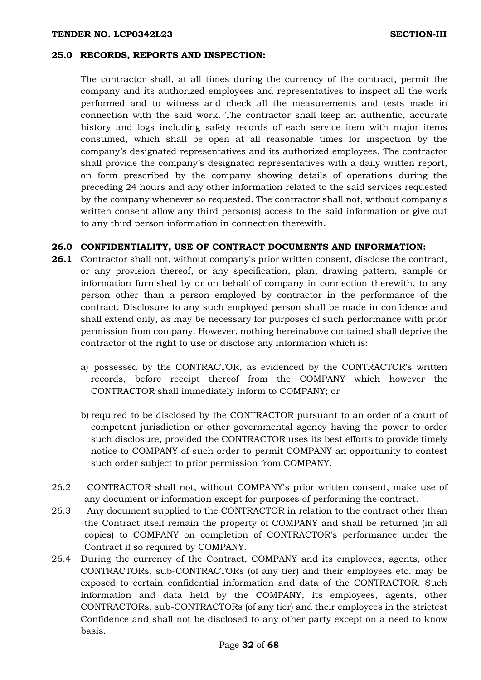### **25.0 RECORDS, REPORTS AND INSPECTION:**

The contractor shall, at all times during the currency of the contract, permit the company and its authorized employees and representatives to inspect all the work performed and to witness and check all the measurements and tests made in connection with the said work. The contractor shall keep an authentic, accurate history and logs including safety records of each service item with major items consumed, which shall be open at all reasonable times for inspection by the company's designated representatives and its authorized employees. The contractor shall provide the company's designated representatives with a daily written report, on form prescribed by the company showing details of operations during the preceding 24 hours and any other information related to the said services requested by the company whenever so requested. The contractor shall not, without company's written consent allow any third person(s) access to the said information or give out to any third person information in connection therewith.

## **26.0 CONFIDENTIALITY, USE OF CONTRACT DOCUMENTS AND INFORMATION:**

- **26.1** Contractor shall not, without company's prior written consent, disclose the contract, or any provision thereof, or any specification, plan, drawing pattern, sample or information furnished by or on behalf of company in connection therewith, to any person other than a person employed by contractor in the performance of the contract. Disclosure to any such employed person shall be made in confidence and shall extend only, as may be necessary for purposes of such performance with prior permission from company. However, nothing hereinabove contained shall deprive the contractor of the right to use or disclose any information which is:
	- a) possessed by the CONTRACTOR, as evidenced by the CONTRACTOR's written records, before receipt thereof from the COMPANY which however the CONTRACTOR shall immediately inform to COMPANY; or
	- b) required to be disclosed by the CONTRACTOR pursuant to an order of a court of competent jurisdiction or other governmental agency having the power to order such disclosure, provided the CONTRACTOR uses its best efforts to provide timely notice to COMPANY of such order to permit COMPANY an opportunity to contest such order subject to prior permission from COMPANY.
- 26.2 CONTRACTOR shall not, without COMPANY's prior written consent, make use of any document or information except for purposes of performing the contract.
- 26.3 Any document supplied to the CONTRACTOR in relation to the contract other than the Contract itself remain the property of COMPANY and shall be returned (in all copies) to COMPANY on completion of CONTRACTOR's performance under the Contract if so required by COMPANY.
- 26.4 During the currency of the Contract, COMPANY and its employees, agents, other CONTRACTORs, sub-CONTRACTORs (of any tier) and their employees etc. may be exposed to certain confidential information and data of the CONTRACTOR. Such information and data held by the COMPANY, its employees, agents, other CONTRACTORs, sub-CONTRACTORs (of any tier) and their employees in the strictest Confidence and shall not be disclosed to any other party except on a need to know basis.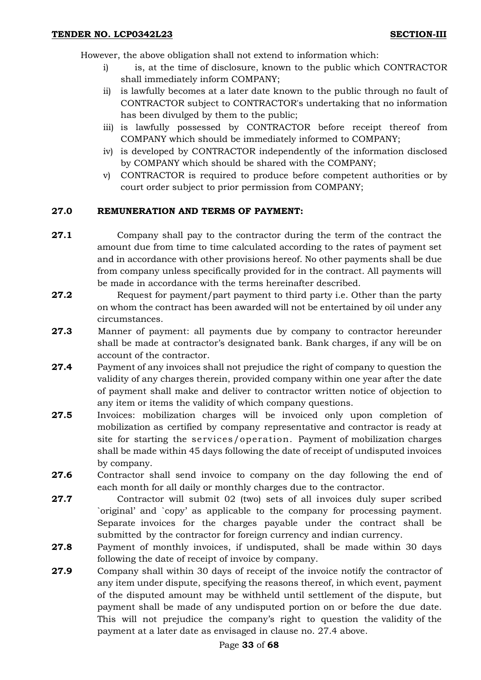However, the above obligation shall not extend to information which:

- i) is, at the time of disclosure, known to the public which CONTRACTOR shall immediately inform COMPANY;
- ii) is lawfully becomes at a later date known to the public through no fault of CONTRACTOR subject to CONTRACTOR's undertaking that no information has been divulged by them to the public;
- iii) is lawfully possessed by CONTRACTOR before receipt thereof from COMPANY which should be immediately informed to COMPANY;
- iv) is developed by CONTRACTOR independently of the information disclosed by COMPANY which should be shared with the COMPANY;
- v) CONTRACTOR is required to produce before competent authorities or by court order subject to prior permission from COMPANY;

# **27.0 REMUNERATION AND TERMS OF PAYMENT:**

- **27.1** Company shall pay to the contractor during the term of the contract the amount due from time to time calculated according to the rates of payment set and in accordance with other provisions hereof. No other payments shall be due from company unless specifically provided for in the contract. All payments will be made in accordance with the terms hereinafter described.
- **27.2** Request for payment/part payment to third party i.e. Other than the party on whom the contract has been awarded will not be entertained by oil under any circumstances.
- **27.3** Manner of payment: all payments due by company to contractor hereunder shall be made at contractor's designated bank. Bank charges, if any will be on account of the contractor.
- **27.4** Payment of any invoices shall not prejudice the right of company to question the validity of any charges therein, provided company within one year after the date of payment shall make and deliver to contractor written notice of objection to any item or items the validity of which company questions.
- **27.5** Invoices: mobilization charges will be invoiced only upon completion of mobilization as certified by company representative and contractor is ready at site for starting the services/operation. Payment of mobilization charges shall be made within 45 days following the date of receipt of undisputed invoices by company.
- **27.6** Contractor shall send invoice to company on the day following the end of each month for all daily or monthly charges due to the contractor.
- **27.7** Contractor will submit 02 (two) sets of all invoices duly super scribed `original' and `copy' as applicable to the company for processing payment. Separate invoices for the charges payable under the contract shall be submitted by the contractor for foreign currency and indian currency.
- **27.8** Payment of monthly invoices, if undisputed, shall be made within 30 days following the date of receipt of invoice by company.
- **27.9** Company shall within 30 days of receipt of the invoice notify the contractor of any item under dispute, specifying the reasons thereof, in which event, payment of the disputed amount may be withheld until settlement of the dispute, but payment shall be made of any undisputed portion on or before the due date. This will not prejudice the company's right to question the validity of the payment at a later date as envisaged in clause no. 27.4 above.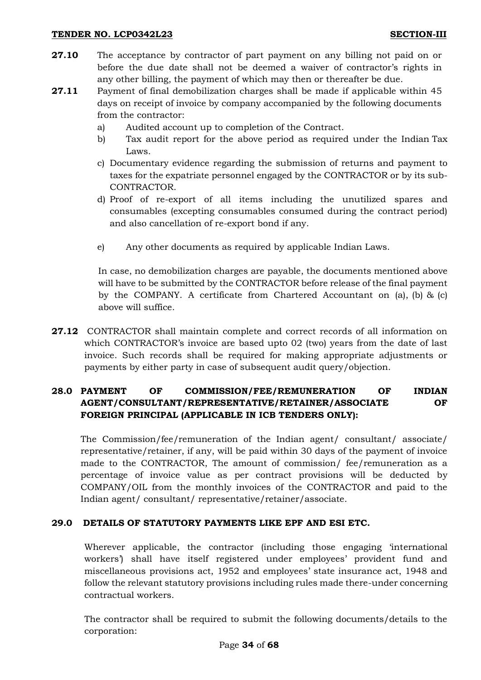- **27.10** The acceptance by contractor of part payment on any billing not paid on or before the due date shall not be deemed a waiver of contractor's rights in any other billing, the payment of which may then or thereafter be due.
- **27.11** Payment of final demobilization charges shall be made if applicable within 45 days on receipt of invoice by company accompanied by the following documents from the contractor:
	- a) Audited account up to completion of the Contract.
	- b) Tax audit report for the above period as required under the Indian Tax Laws.
	- c) Documentary evidence regarding the submission of returns and payment to taxes for the expatriate personnel engaged by the CONTRACTOR or by its sub-CONTRACTOR.
	- d) Proof of re-export of all items including the unutilized spares and consumables (excepting consumables consumed during the contract period) and also cancellation of re-export bond if any.
	- e) Any other documents as required by applicable Indian Laws.

In case, no demobilization charges are payable, the documents mentioned above will have to be submitted by the CONTRACTOR before release of the final payment by the COMPANY. A certificate from Chartered Accountant on (a), (b) & (c) above will suffice.

**27.12** CONTRACTOR shall maintain complete and correct records of all information on which CONTRACTOR's invoice are based upto 02 (two) years from the date of last invoice. Such records shall be required for making appropriate adjustments or payments by either party in case of subsequent audit query/objection.

# **28.0 PAYMENT OF COMMISSION/FEE/REMUNERATION OF INDIAN AGENT/CONSULTANT/REPRESENTATIVE/RETAINER/ASSOCIATE OF FOREIGN PRINCIPAL (APPLICABLE IN ICB TENDERS ONLY):**

The Commission/fee/remuneration of the Indian agent/ consultant/ associate/ representative/retainer, if any, will be paid within 30 days of the payment of invoice made to the CONTRACTOR, The amount of commission/ fee/remuneration as a percentage of invoice value as per contract provisions will be deducted by COMPANY/OIL from the monthly invoices of the CONTRACTOR and paid to the Indian agent/ consultant/ representative/retainer/associate.

# **29.0 DETAILS OF STATUTORY PAYMENTS LIKE EPF AND ESI ETC.**

Wherever applicable, the contractor (including those engaging 'international workers') shall have itself registered under employees' provident fund and miscellaneous provisions act, 1952 and employees' state insurance act, 1948 and follow the relevant statutory provisions including rules made there-under concerning contractual workers.

The contractor shall be required to submit the following documents/details to the corporation: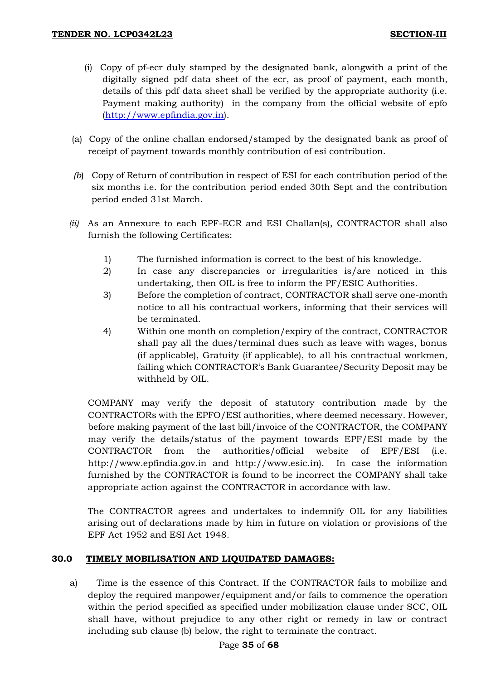- (i) Copy of pf-ecr duly stamped by the designated bank, alongwith a print of the digitally signed pdf data sheet of the ecr, as proof of payment, each month, details of this pdf data sheet shall be verified by the appropriate authority (i.e. Payment making authority) in the company from the official website of epfo [\(http://www.epfindia.gov.in\)](http://www.epfindia.gov.in/).
- (a) Copy of the online challan endorsed/stamped by the designated bank as proof of receipt of payment towards monthly contribution of esi contribution.
- *(b*) Copy of Return of contribution in respect of ESI for each contribution period of the six months i.e. for the contribution period ended 30th Sept and the contribution period ended 31st March.
- *(ii)* As an Annexure to each EPF-ECR and ESI Challan(s), CONTRACTOR shall also furnish the following Certificates:
	- 1) The furnished information is correct to the best of his knowledge.
	- 2) In case any discrepancies or irregularities is/are noticed in this undertaking, then OIL is free to inform the PF/ESIC Authorities.
	- 3) Before the completion of contract, CONTRACTOR shall serve one-month notice to all his contractual workers, informing that their services will be terminated.
	- 4) Within one month on completion/expiry of the contract, CONTRACTOR shall pay all the dues/terminal dues such as leave with wages, bonus (if applicable), Gratuity (if applicable), to all his contractual workmen, failing which CONTRACTOR's Bank Guarantee/Security Deposit may be withheld by OIL.

COMPANY may verify the deposit of statutory contribution made by the CONTRACTORs with the EPFO/ESI authorities, where deemed necessary. However, before making payment of the last bill/invoice of the CONTRACTOR, the COMPANY may verify the details/status of the payment towards EPF/ESI made by the CONTRACTOR from the authorities/official website of EPF/ESI (i.e. http://www.epfindia.gov.in and http://www.esic.in). In case the information furnished by the CONTRACTOR is found to be incorrect the COMPANY shall take appropriate action against the CONTRACTOR in accordance with law.

The CONTRACTOR agrees and undertakes to indemnify OIL for any liabilities arising out of declarations made by him in future on violation or provisions of the EPF Act 1952 and ESI Act 1948.

# **30.0 TIMELY MOBILISATION AND LIQUIDATED DAMAGES:**

a) Time is the essence of this Contract. If the CONTRACTOR fails to mobilize and deploy the required manpower/equipment and/or fails to commence the operation within the period specified as specified under mobilization clause under SCC, OIL shall have, without prejudice to any other right or remedy in law or contract including sub clause (b) below, the right to terminate the contract.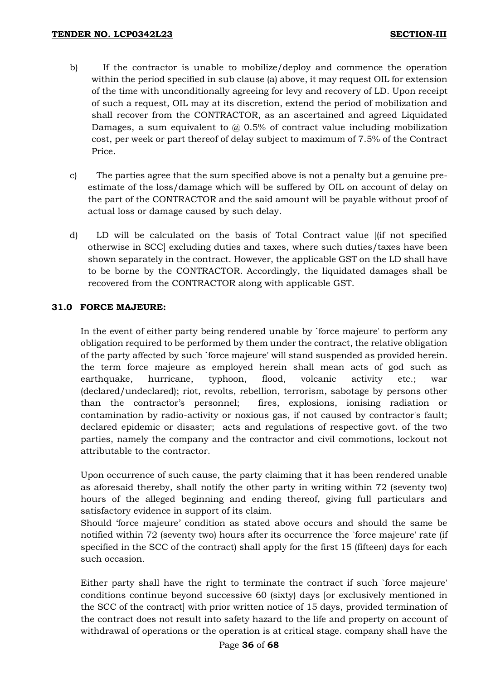- b) If the contractor is unable to mobilize/deploy and commence the operation within the period specified in sub clause (a) above, it may request OIL for extension of the time with unconditionally agreeing for levy and recovery of LD. Upon receipt of such a request, OIL may at its discretion, extend the period of mobilization and shall recover from the CONTRACTOR, as an ascertained and agreed Liquidated Damages, a sum equivalent to  $\omega$  0.5% of contract value including mobilization cost, per week or part thereof of delay subject to maximum of 7.5% of the Contract Price.
- c) The parties agree that the sum specified above is not a penalty but a genuine preestimate of the loss/damage which will be suffered by OIL on account of delay on the part of the CONTRACTOR and the said amount will be payable without proof of actual loss or damage caused by such delay.
- d) LD will be calculated on the basis of Total Contract value [(if not specified otherwise in SCC] excluding duties and taxes, where such duties/taxes have been shown separately in the contract. However, the applicable GST on the LD shall have to be borne by the CONTRACTOR. Accordingly, the liquidated damages shall be recovered from the CONTRACTOR along with applicable GST.

# **31.0 FORCE MAJEURE:**

In the event of either party being rendered unable by `force majeure' to perform any obligation required to be performed by them under the contract, the relative obligation of the party affected by such `force majeure' will stand suspended as provided herein. the term force majeure as employed herein shall mean acts of god such as earthquake, hurricane, typhoon, flood, volcanic activity etc.; war (declared/undeclared); riot, revolts, rebellion, terrorism, sabotage by persons other than the contractor's personnel; fires, explosions, ionising radiation or contamination by radio-activity or noxious gas, if not caused by contractor's fault; declared epidemic or disaster; acts and regulations of respective govt. of the two parties, namely the company and the contractor and civil commotions, lockout not attributable to the contractor.

Upon occurrence of such cause, the party claiming that it has been rendered unable as aforesaid thereby, shall notify the other party in writing within 72 (seventy two) hours of the alleged beginning and ending thereof, giving full particulars and satisfactory evidence in support of its claim.

Should 'force majeure' condition as stated above occurs and should the same be notified within 72 (seventy two) hours after its occurrence the `force majeure' rate (if specified in the SCC of the contract) shall apply for the first 15 (fifteen) days for each such occasion*.* 

Either party shall have the right to terminate the contract if such `force majeure' conditions continue beyond successive 60 (sixty) days [or exclusively mentioned in the SCC of the contract] with prior written notice of 15 days, provided termination of the contract does not result into safety hazard to the life and property on account of withdrawal of operations or the operation is at critical stage. company shall have the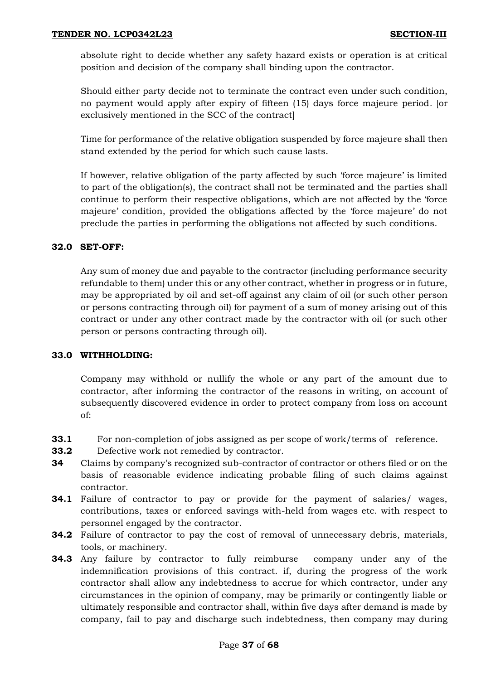absolute right to decide whether any safety hazard exists or operation is at critical position and decision of the company shall binding upon the contractor.

Should either party decide not to terminate the contract even under such condition, no payment would apply after expiry of fifteen (15) days force majeure period*.* [or exclusively mentioned in the SCC of the contract]

Time for performance of the relative obligation suspended by force majeure shall then stand extended by the period for which such cause lasts.

If however, relative obligation of the party affected by such 'force majeure' is limited to part of the obligation(s), the contract shall not be terminated and the parties shall continue to perform their respective obligations, which are not affected by the 'force majeure' condition, provided the obligations affected by the 'force majeure' do not preclude the parties in performing the obligations not affected by such conditions.

# **32.0 SET-OFF:**

Any sum of money due and payable to the contractor (including performance security refundable to them) under this or any other contract, whether in progress or in future, may be appropriated by oil and set-off against any claim of oil (or such other person or persons contracting through oil) for payment of a sum of money arising out of this contract or under any other contract made by the contractor with oil (or such other person or persons contracting through oil).

## **33.0 WITHHOLDING:**

Company may withhold or nullify the whole or any part of the amount due to contractor, after informing the contractor of the reasons in writing, on account of subsequently discovered evidence in order to protect company from loss on account of:

- **33.1** For non-completion of jobs assigned as per scope of work/terms of reference.
- **33.2** Defective work not remedied by contractor.
- **34** Claims by company's recognized sub-contractor of contractor or others filed or on the basis of reasonable evidence indicating probable filing of such claims against contractor.
- **34.1** Failure of contractor to pay or provide for the payment of salaries/ wages, contributions, taxes or enforced savings with-held from wages etc. with respect to personnel engaged by the contractor.
- **34.2** Failure of contractor to pay the cost of removal of unnecessary debris, materials, tools, or machinery.
- **34.3** Any failure by contractor to fully reimburse company under any of the indemnification provisions of this contract. if, during the progress of the work contractor shall allow any indebtedness to accrue for which contractor, under any circumstances in the opinion of company, may be primarily or contingently liable or ultimately responsible and contractor shall, within five days after demand is made by company, fail to pay and discharge such indebtedness, then company may during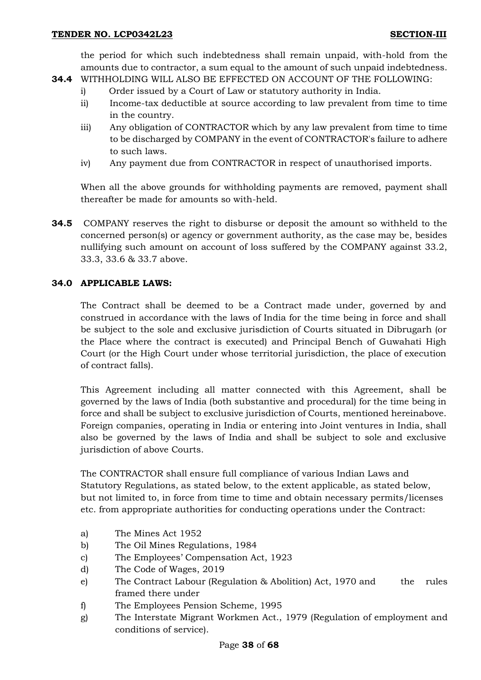the period for which such indebtedness shall remain unpaid, with-hold from the amounts due to contractor, a sum equal to the amount of such unpaid indebtedness.

- **34.4** WITHHOLDING WILL ALSO BE EFFECTED ON ACCOUNT OF THE FOLLOWING:
	- i) Order issued by a Court of Law or statutory authority in India.
	- ii) Income-tax deductible at source according to law prevalent from time to time in the country.
	- iii) Any obligation of CONTRACTOR which by any law prevalent from time to time to be discharged by COMPANY in the event of CONTRACTOR's failure to adhere to such laws.
	- iv) Any payment due from CONTRACTOR in respect of unauthorised imports.

When all the above grounds for withholding payments are removed, payment shall thereafter be made for amounts so with-held.

**34.5** COMPANY reserves the right to disburse or deposit the amount so withheld to the concerned person(s) or agency or government authority, as the case may be, besides nullifying such amount on account of loss suffered by the COMPANY against 33.2, 33.3, 33.6 & 33.7 above.

# **34.0 APPLICABLE LAWS:**

The Contract shall be deemed to be a Contract made under, governed by and construed in accordance with the laws of India for the time being in force and shall be subject to the sole and exclusive jurisdiction of Courts situated in Dibrugarh (or the Place where the contract is executed) and Principal Bench of Guwahati High Court (or the High Court under whose territorial jurisdiction, the place of execution of contract falls).

This Agreement including all matter connected with this Agreement, shall be governed by the laws of India (both substantive and procedural) for the time being in force and shall be subject to exclusive jurisdiction of Courts, mentioned hereinabove. Foreign companies, operating in India or entering into Joint ventures in India, shall also be governed by the laws of India and shall be subject to sole and exclusive jurisdiction of above Courts.

The CONTRACTOR shall ensure full compliance of various Indian Laws and Statutory Regulations, as stated below, to the extent applicable, as stated below, but not limited to, in force from time to time and obtain necessary permits/licenses etc. from appropriate authorities for conducting operations under the Contract:

- a) The Mines Act 1952
- b) The Oil Mines Regulations, 1984
- c) The Employees' Compensation Act, 1923
- d) The Code of Wages, 2019
- e) The Contract Labour (Regulation & Abolition) Act, 1970 and the rules framed there under
- f) The Employees Pension Scheme, 1995
- g) The Interstate Migrant Workmen Act., 1979 (Regulation of employment and conditions of service).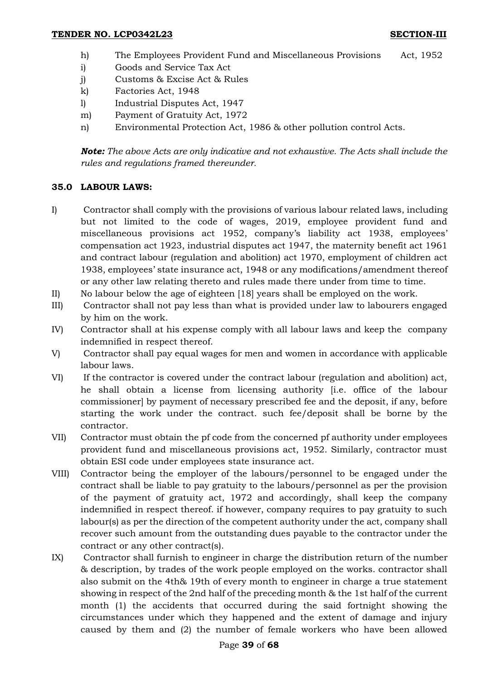- h) The Employees Provident Fund and Miscellaneous Provisions Act, 1952
- i) Goods and Service Tax Act
- j) Customs & Excise Act & Rules
- k) Factories Act, 1948
- l) Industrial Disputes Act, 1947
- m) Payment of Gratuity Act, 1972
- n) Environmental Protection Act, 1986 & other pollution control Acts.

*Note: The above Acts are only indicative and not exhaustive. The Acts shall include the rules and regulations framed thereunder.* 

# **35.0 LABOUR LAWS:**

- I) Contractor shall comply with the provisions of various labour related laws, including but not limited to the code of wages, 2019, employee provident fund and miscellaneous provisions act 1952, company's liability act 1938, employees' compensation act 1923, industrial disputes act 1947, the maternity benefit act 1961 and contract labour (regulation and abolition) act 1970, employment of children act 1938, employees' state insurance act, 1948 or any modifications/amendment thereof or any other law relating thereto and rules made there under from time to time.
- II) No labour below the age of eighteen [18] years shall be employed on the work.
- III) Contractor shall not pay less than what is provided under law to labourers engaged by him on the work.
- IV) Contractor shall at his expense comply with all labour laws and keep the company indemnified in respect thereof.
- V) Contractor shall pay equal wages for men and women in accordance with applicable labour laws.
- VI) If the contractor is covered under the contract labour (regulation and abolition) act, he shall obtain a license from licensing authority [i.e. office of the labour commissioner] by payment of necessary prescribed fee and the deposit, if any, before starting the work under the contract. such fee/deposit shall be borne by the contractor.
- VII) Contractor must obtain the pf code from the concerned pf authority under employees provident fund and miscellaneous provisions act, 1952. Similarly, contractor must obtain ESI code under employees state insurance act.
- VIII) Contractor being the employer of the labours/personnel to be engaged under the contract shall be liable to pay gratuity to the labours/personnel as per the provision of the payment of gratuity act, 1972 and accordingly, shall keep the company indemnified in respect thereof. if however, company requires to pay gratuity to such labour(s) as per the direction of the competent authority under the act, company shall recover such amount from the outstanding dues payable to the contractor under the contract or any other contract(s).
- IX) Contractor shall furnish to engineer in charge the distribution return of the number & description, by trades of the work people employed on the works. contractor shall also submit on the 4th& 19th of every month to engineer in charge a true statement showing in respect of the 2nd half of the preceding month & the 1st half of the current month (1) the accidents that occurred during the said fortnight showing the circumstances under which they happened and the extent of damage and injury caused by them and (2) the number of female workers who have been allowed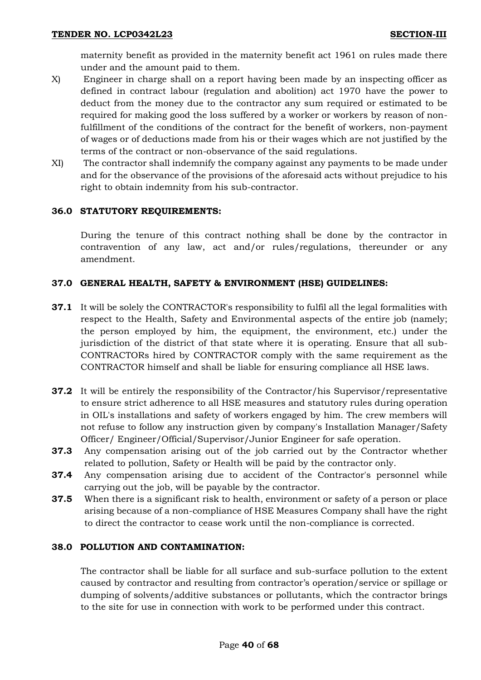maternity benefit as provided in the maternity benefit act 1961 on rules made there under and the amount paid to them.

- X) Engineer in charge shall on a report having been made by an inspecting officer as defined in contract labour (regulation and abolition) act 1970 have the power to deduct from the money due to the contractor any sum required or estimated to be required for making good the loss suffered by a worker or workers by reason of nonfulfillment of the conditions of the contract for the benefit of workers, non-payment of wages or of deductions made from his or their wages which are not justified by the terms of the contract or non-observance of the said regulations.
- XI) The contractor shall indemnify the company against any payments to be made under and for the observance of the provisions of the aforesaid acts without prejudice to his right to obtain indemnity from his sub-contractor.

## **36.0 STATUTORY REQUIREMENTS:**

During the tenure of this contract nothing shall be done by the contractor in contravention of any law, act and/or rules/regulations, thereunder or any amendment.

## **37.0 GENERAL HEALTH, SAFETY & ENVIRONMENT (HSE) GUIDELINES:**

- **37.1** It will be solely the CONTRACTOR's responsibility to fulfil all the legal formalities with respect to the Health, Safety and Environmental aspects of the entire job (namely; the person employed by him, the equipment, the environment, etc.) under the jurisdiction of the district of that state where it is operating. Ensure that all sub-CONTRACTORs hired by CONTRACTOR comply with the same requirement as the CONTRACTOR himself and shall be liable for ensuring compliance all HSE laws.
- **37.2** It will be entirely the responsibility of the Contractor/his Supervisor/representative to ensure strict adherence to all HSE measures and statutory rules during operation in OIL's installations and safety of workers engaged by him. The crew members will not refuse to follow any instruction given by company's Installation Manager/Safety Officer/ Engineer/Official/Supervisor/Junior Engineer for safe operation.
- **37.3** Any compensation arising out of the job carried out by the Contractor whether related to pollution, Safety or Health will be paid by the contractor only.
- **37.4** Any compensation arising due to accident of the Contractor's personnel while carrying out the job, will be payable by the contractor.
- **37.5** When there is a significant risk to health, environment or safety of a person or place arising because of a non-compliance of HSE Measures Company shall have the right to direct the contractor to cease work until the non-compliance is corrected.

## **38.0 POLLUTION AND CONTAMINATION:**

The contractor shall be liable for all surface and sub-surface pollution to the extent caused by contractor and resulting from contractor's operation/service or spillage or dumping of solvents/additive substances or pollutants, which the contractor brings to the site for use in connection with work to be performed under this contract.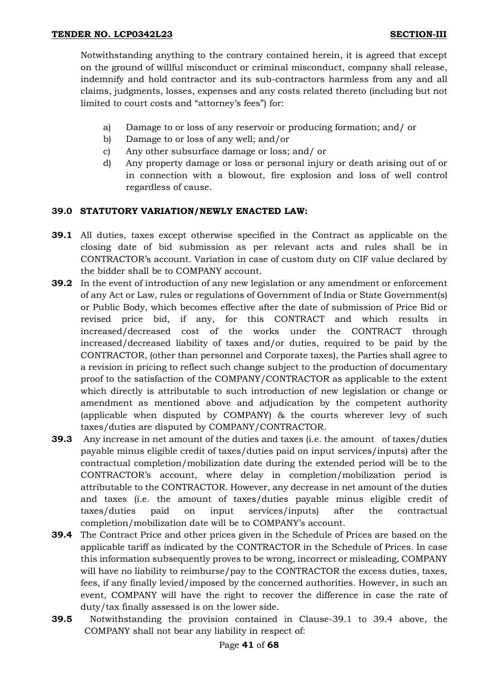Notwithstanding anything to the contrary contained herein, it is agreed that except on the ground of willful misconduct or criminal misconduct, company shall release, indemnify and hold contractor and its sub-contractors harmless from any and all claims, judgments, losses, expenses and any costs related thereto (including but not limited to court costs and "attorney's fees") for:

- a) Damage to or loss of any reservoir or producing formation; and/ or
- b) Damage to or loss of any well; and/or
- c) Any other subsurface damage or loss; and/ or
- d) Any property damage or loss or personal injury or death arising out of or in connection with a blowout, fire explosion and loss of well control regardless of cause.

# **39.0 STATUTORY VARIATION/NEWLY ENACTED LAW:**

- **39.1** All duties, taxes except otherwise specified in the Contract as applicable on the closing date of bid submission as per relevant acts and rules shall be in CONTRACTOR's account. Variation in case of custom duty on CIF value declared by the bidder shall be to COMPANY account.
- **39.2** In the event of introduction of any new legislation or any amendment or enforcement of any Act or Law, rules or regulations of Government of India or State Government(s) or Public Body, which becomes effective after the date of submission of Price Bid or revised price bid, if any, for this CONTRACT and which results in increased/decreased cost of the works under the CONTRACT through increased/decreased liability of taxes and/or duties, required to be paid by the CONTRACTOR, (other than personnel and Corporate taxes), the Parties shall agree to a revision in pricing to reflect such change subject to the production of documentary proof to the satisfaction of the COMPANY/CONTRACTOR as applicable to the extent which directly is attributable to such introduction of new legislation or change or amendment as mentioned above and adjudication by the competent authority (applicable when disputed by COMPANY) & the courts wherever levy of such taxes/duties are disputed by COMPANY/CONTRACTOR.
- **39.3** Any increase in net amount of the duties and taxes (i.e. the amount of taxes/duties payable minus eligible credit of taxes/duties paid on input services/inputs) after the contractual completion/mobilization date during the extended period will be to the CONTRACTOR's account, where delay in completion/mobilization period is attributable to the CONTRACTOR. However, any decrease in net amount of the duties and taxes (i.e. the amount of taxes/duties payable minus eligible credit of taxes/duties paid on input services/inputs) after the contractual completion/mobilization date will be to COMPANY's account.
- **39.4** The Contract Price and other prices given in the Schedule of Prices are based on the applicable tariff as indicated by the CONTRACTOR in the Schedule of Prices. In case this information subsequently proves to be wrong, incorrect or misleading, COMPANY will have no liability to reimburse/pay to the CONTRACTOR the excess duties, taxes, fees, if any finally levied/imposed by the concerned authorities. However, in such an event, COMPANY will have the right to recover the difference in case the rate of duty/tax finally assessed is on the lower side.
- **39.5** Notwithstanding the provision contained in Clause-39.1 to 39.4 above, the COMPANY shall not bear any liability in respect of: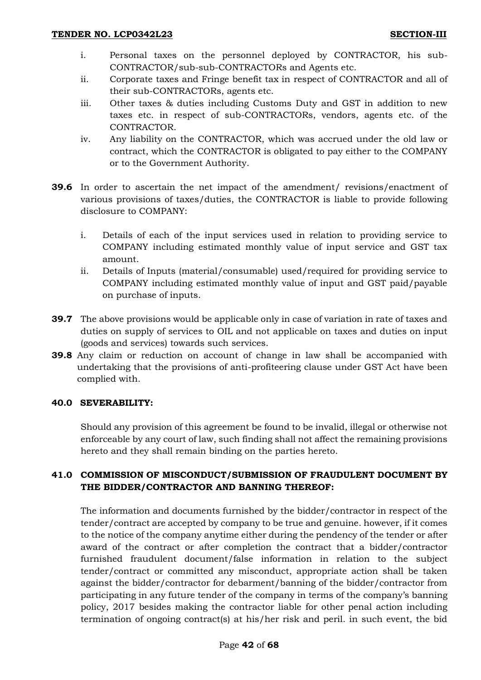- i. Personal taxes on the personnel deployed by CONTRACTOR, his sub-CONTRACTOR/sub-sub-CONTRACTORs and Agents etc.
- ii. Corporate taxes and Fringe benefit tax in respect of CONTRACTOR and all of their sub-CONTRACTORs, agents etc.
- iii. Other taxes & duties including Customs Duty and GST in addition to new taxes etc. in respect of sub-CONTRACTORs, vendors, agents etc. of the CONTRACTOR.
- iv. Any liability on the CONTRACTOR, which was accrued under the old law or contract, which the CONTRACTOR is obligated to pay either to the COMPANY or to the Government Authority.
- **39.6** In order to ascertain the net impact of the amendment/ revisions/enactment of various provisions of taxes/duties, the CONTRACTOR is liable to provide following disclosure to COMPANY:
	- i. Details of each of the input services used in relation to providing service to COMPANY including estimated monthly value of input service and GST tax amount.
	- ii. Details of Inputs (material/consumable) used/required for providing service to COMPANY including estimated monthly value of input and GST paid/payable on purchase of inputs.
- **39.7** The above provisions would be applicable only in case of variation in rate of taxes and duties on supply of services to OIL and not applicable on taxes and duties on input (goods and services) towards such services.
- **39.8** Any claim or reduction on account of change in law shall be accompanied with undertaking that the provisions of anti-profiteering clause under GST Act have been complied with.

# **40.0 SEVERABILITY:**

Should any provision of this agreement be found to be invalid, illegal or otherwise not enforceable by any court of law, such finding shall not affect the remaining provisions hereto and they shall remain binding on the parties hereto.

# **41.0 COMMISSION OF MISCONDUCT/SUBMISSION OF FRAUDULENT DOCUMENT BY THE BIDDER/CONTRACTOR AND BANNING THEREOF:**

The information and documents furnished by the bidder/contractor in respect of the tender/contract are accepted by company to be true and genuine. however, if it comes to the notice of the company anytime either during the pendency of the tender or after award of the contract or after completion the contract that a bidder/contractor furnished fraudulent document/false information in relation to the subject tender/contract or committed any misconduct, appropriate action shall be taken against the bidder/contractor for debarment/banning of the bidder/contractor from participating in any future tender of the company in terms of the company's banning policy, 2017 besides making the contractor liable for other penal action including termination of ongoing contract(s) at his/her risk and peril. in such event, the bid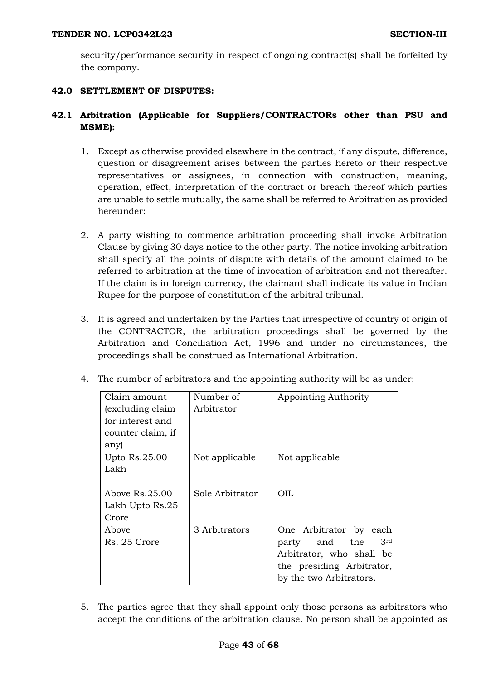security/performance security in respect of ongoing contract(s) shall be forfeited by the company.

# **42.0 SETTLEMENT OF DISPUTES:**

# **42.1 Arbitration (Applicable for Suppliers/CONTRACTORs other than PSU and MSME):**

- 1. Except as otherwise provided elsewhere in the contract, if any dispute, difference, question or disagreement arises between the parties hereto or their respective representatives or assignees, in connection with construction, meaning, operation, effect, interpretation of the contract or breach thereof which parties are unable to settle mutually, the same shall be referred to Arbitration as provided hereunder:
- 2. A party wishing to commence arbitration proceeding shall invoke Arbitration Clause by giving 30 days notice to the other party. The notice invoking arbitration shall specify all the points of dispute with details of the amount claimed to be referred to arbitration at the time of invocation of arbitration and not thereafter. If the claim is in foreign currency, the claimant shall indicate its value in Indian Rupee for the purpose of constitution of the arbitral tribunal.
- 3. It is agreed and undertaken by the Parties that irrespective of country of origin of the CONTRACTOR, the arbitration proceedings shall be governed by the Arbitration and Conciliation Act, 1996 and under no circumstances, the proceedings shall be construed as International Arbitration.

| Claim amount      | Number of       | Appointing Authority             |
|-------------------|-----------------|----------------------------------|
| excluding claim)  | Arbitrator      |                                  |
| for interest and  |                 |                                  |
| counter claim, if |                 |                                  |
| any)              |                 |                                  |
| Upto $Rs.25.00$   | Not applicable  | Not applicable                   |
| Lakh              |                 |                                  |
|                   |                 |                                  |
| Above $Rs.25.00$  | Sole Arbitrator | OIL                              |
| Lakh Upto Rs.25   |                 |                                  |
| Crore             |                 |                                  |
| Above             | 3 Arbitrators   | One Arbitrator by each           |
| Rs. 25 Crore      |                 | 3 <sup>rd</sup><br>party and the |
|                   |                 | Arbitrator, who shall be         |
|                   |                 | the presiding Arbitrator,        |
|                   |                 | by the two Arbitrators.          |

4. The number of arbitrators and the appointing authority will be as under:

5. The parties agree that they shall appoint only those persons as arbitrators who accept the conditions of the arbitration clause. No person shall be appointed as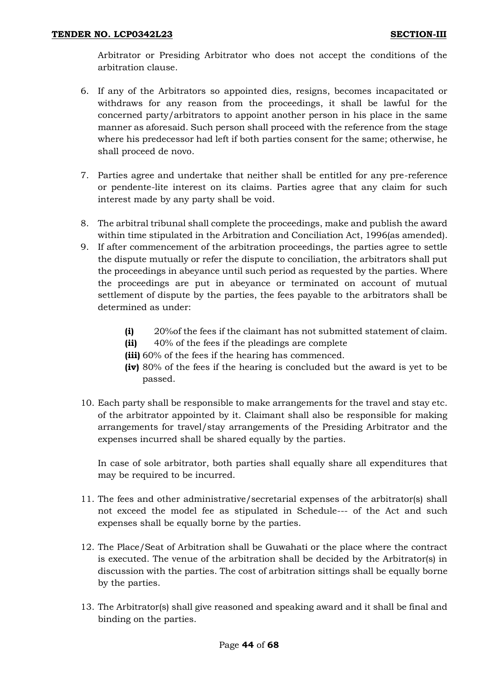Arbitrator or Presiding Arbitrator who does not accept the conditions of the arbitration clause.

- 6. If any of the Arbitrators so appointed dies, resigns, becomes incapacitated or withdraws for any reason from the proceedings, it shall be lawful for the concerned party/arbitrators to appoint another person in his place in the same manner as aforesaid. Such person shall proceed with the reference from the stage where his predecessor had left if both parties consent for the same; otherwise, he shall proceed de novo.
- 7. Parties agree and undertake that neither shall be entitled for any pre-reference or pendente-lite interest on its claims. Parties agree that any claim for such interest made by any party shall be void.
- 8. The arbitral tribunal shall complete the proceedings, make and publish the award within time stipulated in the Arbitration and Conciliation Act, 1996(as amended).
- 9. If after commencement of the arbitration proceedings, the parties agree to settle the dispute mutually or refer the dispute to conciliation, the arbitrators shall put the proceedings in abeyance until such period as requested by the parties. Where the proceedings are put in abeyance or terminated on account of mutual settlement of dispute by the parties, the fees payable to the arbitrators shall be determined as under:
	- **(i)** 20%of the fees if the claimant has not submitted statement of claim.
	- **(ii)** 40% of the fees if the pleadings are complete
	- **(iii)** 60% of the fees if the hearing has commenced.
	- **(iv)** 80% of the fees if the hearing is concluded but the award is yet to be passed.
- 10. Each party shall be responsible to make arrangements for the travel and stay etc. of the arbitrator appointed by it. Claimant shall also be responsible for making arrangements for travel/stay arrangements of the Presiding Arbitrator and the expenses incurred shall be shared equally by the parties.

In case of sole arbitrator, both parties shall equally share all expenditures that may be required to be incurred.

- 11. The fees and other administrative/secretarial expenses of the arbitrator(s) shall not exceed the model fee as stipulated in Schedule--- of the Act and such expenses shall be equally borne by the parties.
- 12. The Place/Seat of Arbitration shall be Guwahati or the place where the contract is executed. The venue of the arbitration shall be decided by the Arbitrator(s) in discussion with the parties. The cost of arbitration sittings shall be equally borne by the parties.
- 13. The Arbitrator(s) shall give reasoned and speaking award and it shall be final and binding on the parties.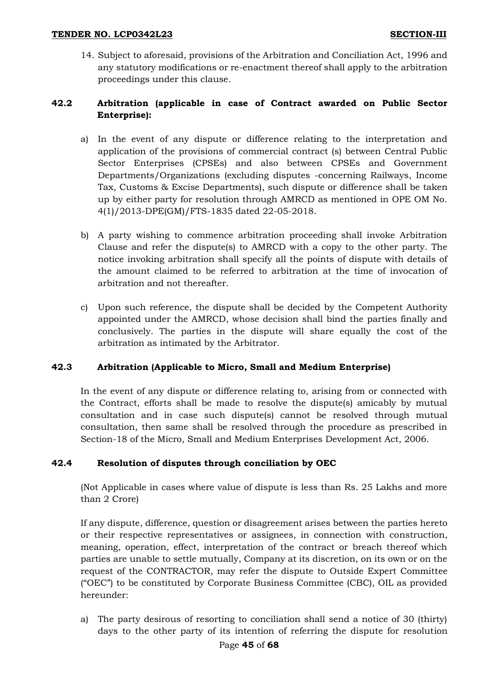14. Subject to aforesaid, provisions of the Arbitration and Conciliation Act, 1996 and any statutory modifications or re-enactment thereof shall apply to the arbitration proceedings under this clause.

# **42.2 Arbitration (applicable in case of Contract awarded on Public Sector Enterprise):**

- a) In the event of any dispute or difference relating to the interpretation and application of the provisions of commercial contract (s) between Central Public Sector Enterprises (CPSEs) and also between CPSEs and Government Departments/Organizations (excluding disputes -concerning Railways, Income Tax, Customs & Excise Departments), such dispute or difference shall be taken up by either party for resolution through AMRCD as mentioned in OPE OM No. 4(1)/2013-DPE(GM)/FTS-1835 dated 22-05-2018.
- b) A party wishing to commence arbitration proceeding shall invoke Arbitration Clause and refer the dispute(s) to AMRCD with a copy to the other party. The notice invoking arbitration shall specify all the points of dispute with details of the amount claimed to be referred to arbitration at the time of invocation of arbitration and not thereafter.
- c) Upon such reference, the dispute shall be decided by the Competent Authority appointed under the AMRCD, whose decision shall bind the parties finally and conclusively. The parties in the dispute will share equally the cost of the arbitration as intimated by the Arbitrator.

# **42.3 Arbitration (Applicable to Micro, Small and Medium Enterprise)**

In the event of any dispute or difference relating to, arising from or connected with the Contract, efforts shall be made to resolve the dispute(s) amicably by mutual consultation and in case such dispute(s) cannot be resolved through mutual consultation, then same shall be resolved through the procedure as prescribed in Section-18 of the Micro, Small and Medium Enterprises Development Act, 2006.

# **42.4 Resolution of disputes through conciliation by OEC**

(Not Applicable in cases where value of dispute is less than Rs. 25 Lakhs and more than 2 Crore)

If any dispute, difference, question or disagreement arises between the parties hereto or their respective representatives or assignees, in connection with construction, meaning, operation, effect, interpretation of the contract or breach thereof which parties are unable to settle mutually, Company at its discretion, on its own or on the request of the CONTRACTOR, may refer the dispute to Outside Expert Committee ("OEC") to be constituted by Corporate Business Committee (CBC), OIL as provided hereunder:

a) The party desirous of resorting to conciliation shall send a notice of 30 (thirty) days to the other party of its intention of referring the dispute for resolution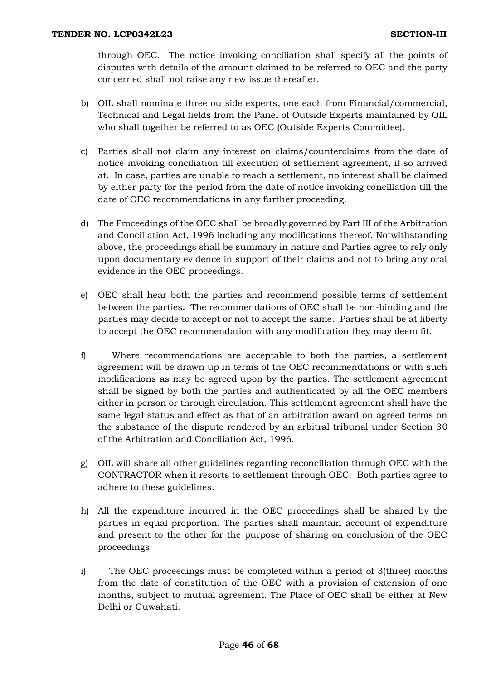through OEC. The notice invoking conciliation shall specify all the points of disputes with details of the amount claimed to be referred to OEC and the party concerned shall not raise any new issue thereafter.

- b) OIL shall nominate three outside experts, one each from Financial/commercial, Technical and Legal fields from the Panel of Outside Experts maintained by OIL who shall together be referred to as OEC (Outside Experts Committee).
- c) Parties shall not claim any interest on claims/counterclaims from the date of notice invoking conciliation till execution of settlement agreement, if so arrived at. In case, parties are unable to reach a settlement, no interest shall be claimed by either party for the period from the date of notice invoking conciliation till the date of OEC recommendations in any further proceeding.
- d) The Proceedings of the OEC shall be broadly governed by Part III of the Arbitration and Conciliation Act, 1996 including any modifications thereof. Notwithstanding above, the proceedings shall be summary in nature and Parties agree to rely only upon documentary evidence in support of their claims and not to bring any oral evidence in the OEC proceedings.
- e) OEC shall hear both the parties and recommend possible terms of settlement between the parties. The recommendations of OEC shall be non-binding and the parties may decide to accept or not to accept the same. Parties shall be at liberty to accept the OEC recommendation with any modification they may deem fit.
- f) Where recommendations are acceptable to both the parties, a settlement agreement will be drawn up in terms of the OEC recommendations or with such modifications as may be agreed upon by the parties. The settlement agreement shall be signed by both the parties and authenticated by all the OEC members either in person or through circulation. This settlement agreement shall have the same legal status and effect as that of an arbitration award on agreed terms on the substance of the dispute rendered by an arbitral tribunal under Section 30 of the Arbitration and Conciliation Act, 1996.
- g) OIL will share all other guidelines regarding reconciliation through OEC with the CONTRACTOR when it resorts to settlement through OEC. Both parties agree to adhere to these guidelines.
- h) All the expenditure incurred in the OEC proceedings shall be shared by the parties in equal proportion. The parties shall maintain account of expenditure and present to the other for the purpose of sharing on conclusion of the OEC proceedings.
- i) The OEC proceedings must be completed within a period of 3(three) months from the date of constitution of the OEC with a provision of extension of one months, subject to mutual agreement. The Place of OEC shall be either at New Delhi or Guwahati.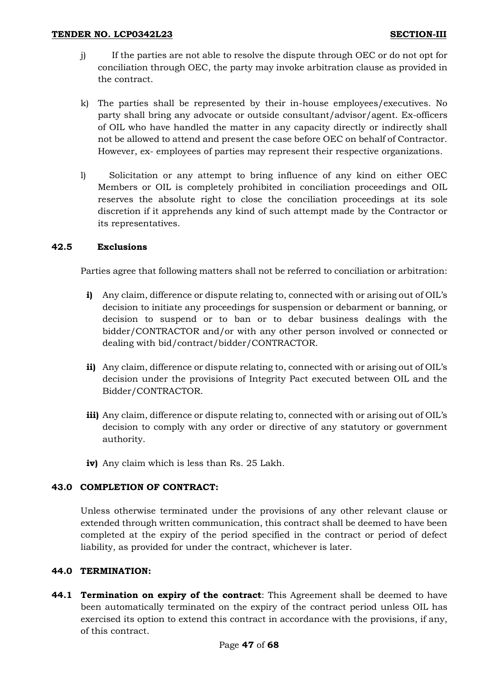- j) If the parties are not able to resolve the dispute through OEC or do not opt for conciliation through OEC, the party may invoke arbitration clause as provided in the contract.
- k) The parties shall be represented by their in-house employees/executives. No party shall bring any advocate or outside consultant/advisor/agent. Ex-officers of OIL who have handled the matter in any capacity directly or indirectly shall not be allowed to attend and present the case before OEC on behalf of Contractor. However, ex- employees of parties may represent their respective organizations.
- l) Solicitation or any attempt to bring influence of any kind on either OEC Members or OIL is completely prohibited in conciliation proceedings and OIL reserves the absolute right to close the conciliation proceedings at its sole discretion if it apprehends any kind of such attempt made by the Contractor or its representatives.

# **42.5 Exclusions**

Parties agree that following matters shall not be referred to conciliation or arbitration:

- **i)** Any claim, difference or dispute relating to, connected with or arising out of OIL's decision to initiate any proceedings for suspension or debarment or banning, or decision to suspend or to ban or to debar business dealings with the bidder/CONTRACTOR and/or with any other person involved or connected or dealing with bid/contract/bidder/CONTRACTOR.
- **ii)** Any claim, difference or dispute relating to, connected with or arising out of OIL's decision under the provisions of Integrity Pact executed between OIL and the Bidder/CONTRACTOR.
- iii) Any claim, difference or dispute relating to, connected with or arising out of OIL's decision to comply with any order or directive of any statutory or government authority.
- **iv)** Any claim which is less than Rs. 25 Lakh.

# **43.0 COMPLETION OF CONTRACT:**

Unless otherwise terminated under the provisions of any other relevant clause or extended through written communication, this contract shall be deemed to have been completed at the expiry of the period specified in the contract or period of defect liability, as provided for under the contract, whichever is later.

## **44.0 TERMINATION:**

**44.1 Termination on expiry of the contract**: This Agreement shall be deemed to have been automatically terminated on the expiry of the contract period unless OIL has exercised its option to extend this contract in accordance with the provisions, if any, of this contract.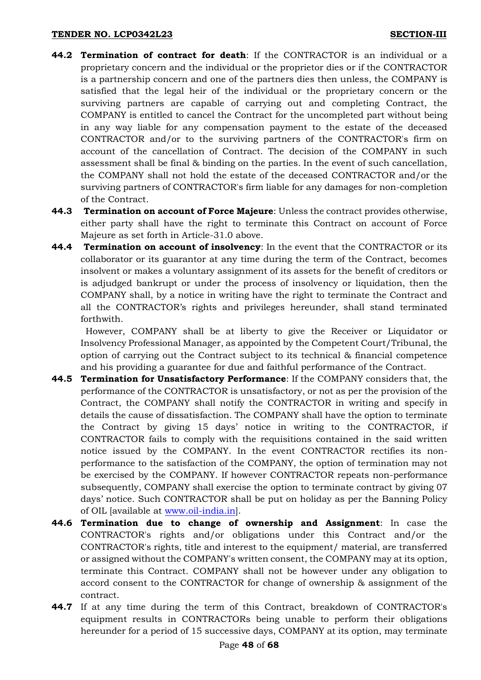- **44.2 Termination of contract for death**: If the CONTRACTOR is an individual or a proprietary concern and the individual or the proprietor dies or if the CONTRACTOR is a partnership concern and one of the partners dies then unless, the COMPANY is satisfied that the legal heir of the individual or the proprietary concern or the surviving partners are capable of carrying out and completing Contract, the COMPANY is entitled to cancel the Contract for the uncompleted part without being in any way liable for any compensation payment to the estate of the deceased CONTRACTOR and/or to the surviving partners of the CONTRACTOR's firm on account of the cancellation of Contract. The decision of the COMPANY in such assessment shall be final & binding on the parties. In the event of such cancellation, the COMPANY shall not hold the estate of the deceased CONTRACTOR and/or the surviving partners of CONTRACTOR's firm liable for any damages for non-completion of the Contract.
- **44.3 Termination on account of Force Majeure**: Unless the contract provides otherwise, either party shall have the right to terminate this Contract on account of Force Majeure as set forth in Article-31.0 above.
- **44.4 Termination on account of insolvency**: In the event that the CONTRACTOR or its collaborator or its guarantor at any time during the term of the Contract, becomes insolvent or makes a voluntary assignment of its assets for the benefit of creditors or is adjudged bankrupt or under the process of insolvency or liquidation, then the COMPANY shall, by a notice in writing have the right to terminate the Contract and all the CONTRACTOR's rights and privileges hereunder, shall stand terminated forthwith.

 However, COMPANY shall be at liberty to give the Receiver or Liquidator or Insolvency Professional Manager, as appointed by the Competent Court/Tribunal, the option of carrying out the Contract subject to its technical & financial competence and his providing a guarantee for due and faithful performance of the Contract.

- **44.5 Termination for Unsatisfactory Performance**: If the COMPANY considers that, the performance of the CONTRACTOR is unsatisfactory, or not as per the provision of the Contract, the COMPANY shall notify the CONTRACTOR in writing and specify in details the cause of dissatisfaction. The COMPANY shall have the option to terminate the Contract by giving 15 days' notice in writing to the CONTRACTOR, if CONTRACTOR fails to comply with the requisitions contained in the said written notice issued by the COMPANY. In the event CONTRACTOR rectifies its nonperformance to the satisfaction of the COMPANY, the option of termination may not be exercised by the COMPANY. If however CONTRACTOR repeats non-performance subsequently, COMPANY shall exercise the option to terminate contract by giving 07 days' notice. Such CONTRACTOR shall be put on holiday as per the Banning Policy of OIL [available at [www.oil-india.in\]](http://www.oil-india.in/).
- **44.6 Termination due to change of ownership and Assignment**: In case the CONTRACTOR's rights and/or obligations under this Contract and/or the CONTRACTOR's rights, title and interest to the equipment/ material, are transferred or assigned without the COMPANY's written consent, the COMPANY may at its option, terminate this Contract. COMPANY shall not be however under any obligation to accord consent to the CONTRACTOR for change of ownership & assignment of the contract.
- **44.7** If at any time during the term of this Contract, breakdown of CONTRACTOR's equipment results in CONTRACTORs being unable to perform their obligations hereunder for a period of 15 successive days, COMPANY at its option, may terminate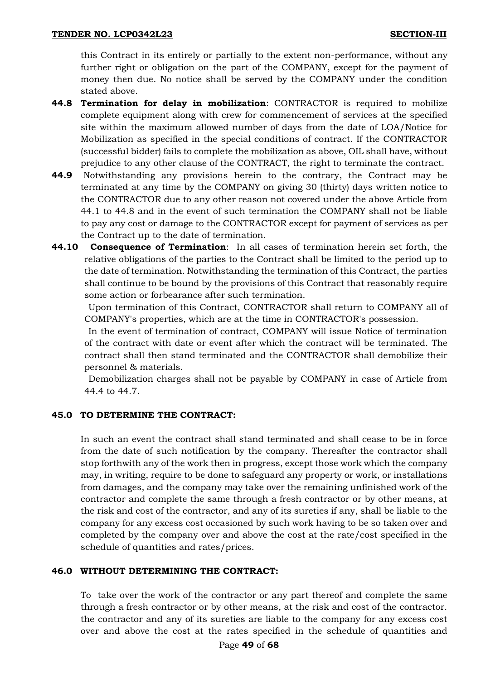this Contract in its entirely or partially to the extent non-performance, without any further right or obligation on the part of the COMPANY, except for the payment of money then due. No notice shall be served by the COMPANY under the condition stated above.

- **44.8 Termination for delay in mobilization**: CONTRACTOR is required to mobilize complete equipment along with crew for commencement of services at the specified site within the maximum allowed number of days from the date of LOA/Notice for Mobilization as specified in the special conditions of contract. If the CONTRACTOR (successful bidder) fails to complete the mobilization as above, OIL shall have, without prejudice to any other clause of the CONTRACT, the right to terminate the contract.
- **44.9** Notwithstanding any provisions herein to the contrary, the Contract may be terminated at any time by the COMPANY on giving 30 (thirty) days written notice to the CONTRACTOR due to any other reason not covered under the above Article from 44.1 to 44.8 and in the event of such termination the COMPANY shall not be liable to pay any cost or damage to the CONTRACTOR except for payment of services as per the Contract up to the date of termination.
- **44.10 Consequence of Termination**: In all cases of termination herein set forth, the relative obligations of the parties to the Contract shall be limited to the period up to the date of termination. Notwithstanding the termination of this Contract, the parties shall continue to be bound by the provisions of this Contract that reasonably require some action or forbearance after such termination.

 Upon termination of this Contract, CONTRACTOR shall return to COMPANY all of COMPANY's properties, which are at the time in CONTRACTOR's possession.

 In the event of termination of contract, COMPANY will issue Notice of termination of the contract with date or event after which the contract will be terminated. The contract shall then stand terminated and the CONTRACTOR shall demobilize their personnel & materials.

 Demobilization charges shall not be payable by COMPANY in case of Article from 44.4 to 44.7.

# **45.0 TO DETERMINE THE CONTRACT:**

In such an event the contract shall stand terminated and shall cease to be in force from the date of such notification by the company. Thereafter the contractor shall stop forthwith any of the work then in progress, except those work which the company may, in writing, require to be done to safeguard any property or work, or installations from damages, and the company may take over the remaining unfinished work of the contractor and complete the same through a fresh contractor or by other means, at the risk and cost of the contractor, and any of its sureties if any, shall be liable to the company for any excess cost occasioned by such work having to be so taken over and completed by the company over and above the cost at the rate/cost specified in the schedule of quantities and rates/prices.

# **46.0 WITHOUT DETERMINING THE CONTRACT:**

To take over the work of the contractor or any part thereof and complete the same through a fresh contractor or by other means, at the risk and cost of the contractor. the contractor and any of its sureties are liable to the company for any excess cost over and above the cost at the rates specified in the schedule of quantities and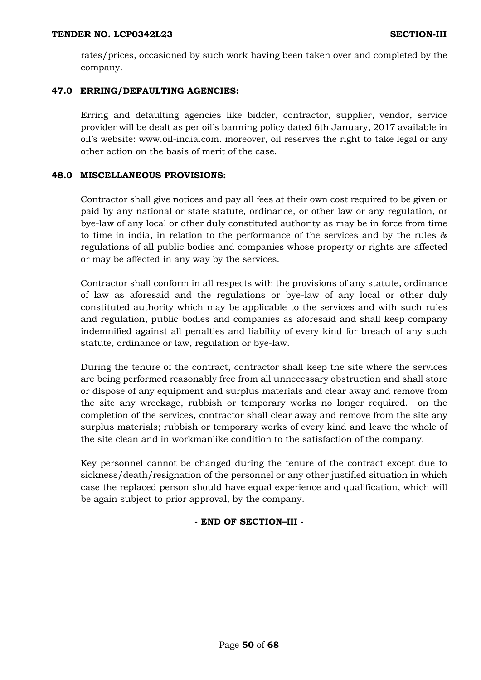rates/prices, occasioned by such work having been taken over and completed by the company.

## **47.0 ERRING/DEFAULTING AGENCIES:**

Erring and defaulting agencies like bidder, contractor, supplier, vendor, service provider will be dealt as per oil's banning policy dated 6th January, 2017 available in oil's website: www.oil-india.com. moreover, oil reserves the right to take legal or any other action on the basis of merit of the case.

## **48.0 MISCELLANEOUS PROVISIONS:**

Contractor shall give notices and pay all fees at their own cost required to be given or paid by any national or state statute, ordinance, or other law or any regulation, or bye-law of any local or other duly constituted authority as may be in force from time to time in india, in relation to the performance of the services and by the rules & regulations of all public bodies and companies whose property or rights are affected or may be affected in any way by the services.

Contractor shall conform in all respects with the provisions of any statute, ordinance of law as aforesaid and the regulations or bye-law of any local or other duly constituted authority which may be applicable to the services and with such rules and regulation, public bodies and companies as aforesaid and shall keep company indemnified against all penalties and liability of every kind for breach of any such statute, ordinance or law, regulation or bye-law.

During the tenure of the contract, contractor shall keep the site where the services are being performed reasonably free from all unnecessary obstruction and shall store or dispose of any equipment and surplus materials and clear away and remove from the site any wreckage, rubbish or temporary works no longer required. on the completion of the services, contractor shall clear away and remove from the site any surplus materials; rubbish or temporary works of every kind and leave the whole of the site clean and in workmanlike condition to the satisfaction of the company.

Key personnel cannot be changed during the tenure of the contract except due to sickness/death/resignation of the personnel or any other justified situation in which case the replaced person should have equal experience and qualification, which will be again subject to prior approval, by the company.

## **- END OF SECTION–III -**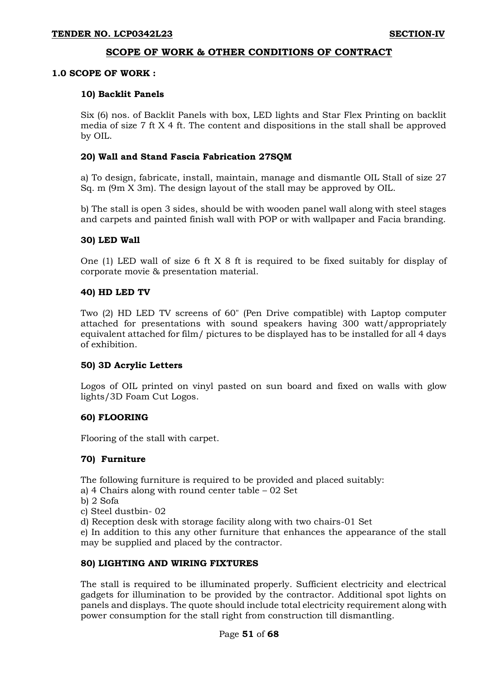## **SCOPE OF WORK & OTHER CONDITIONS OF CONTRACT**

### **1.0 SCOPE OF WORK :**

### **10) Backlit Panels**

Six (6) nos. of Backlit Panels with box, LED lights and Star Flex Printing on backlit media of size 7 ft X 4 ft. The content and dispositions in the stall shall be approved by OIL.

### **20) Wall and Stand Fascia Fabrication 27SQM**

a) To design, fabricate, install, maintain, manage and dismantle OIL Stall of size 27 Sq. m (9m X 3m). The design layout of the stall may be approved by OIL.

b) The stall is open 3 sides, should be with wooden panel wall along with steel stages and carpets and painted finish wall with POP or with wallpaper and Facia branding.

### **30) LED Wall**

One (1) LED wall of size 6 ft X 8 ft is required to be fixed suitably for display of corporate movie & presentation material.

#### **40) HD LED TV**

Two (2) HD LED TV screens of 60" (Pen Drive compatible) with Laptop computer attached for presentations with sound speakers having 300 watt/appropriately equivalent attached for film/ pictures to be displayed has to be installed for all 4 days of exhibition.

## **50) 3D Acrylic Letters**

Logos of OIL printed on vinyl pasted on sun board and fixed on walls with glow lights/3D Foam Cut Logos.

#### **60) FLOORING**

Flooring of the stall with carpet.

#### **70) Furniture**

The following furniture is required to be provided and placed suitably:

- a) 4 Chairs along with round center table 02 Set
- b) 2 Sofa
- c) Steel dustbin- 02

d) Reception desk with storage facility along with two chairs-01 Set

e) In addition to this any other furniture that enhances the appearance of the stall may be supplied and placed by the contractor.

#### **80) LIGHTING AND WIRING FIXTURES**

The stall is required to be illuminated properly. Sufficient electricity and electrical gadgets for illumination to be provided by the contractor. Additional spot lights on panels and displays. The quote should include total electricity requirement along with power consumption for the stall right from construction till dismantling.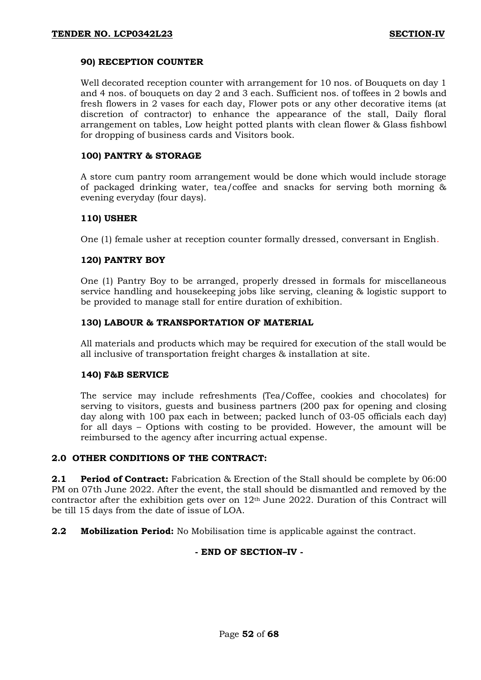## **90) RECEPTION COUNTER**

Well decorated reception counter with arrangement for 10 nos. of Bouquets on day 1 and 4 nos. of bouquets on day 2 and 3 each. Sufficient nos. of toffees in 2 bowls and fresh flowers in 2 vases for each day, Flower pots or any other decorative items (at discretion of contractor) to enhance the appearance of the stall, Daily floral arrangement on tables, Low height potted plants with clean flower & Glass fishbowl for dropping of business cards and Visitors book.

#### **100) PANTRY & STORAGE**

A store cum pantry room arrangement would be done which would include storage of packaged drinking water, tea/coffee and snacks for serving both morning & evening everyday (four days).

### **110) USHER**

One (1) female usher at reception counter formally dressed, conversant in English.

## **120) PANTRY BOY**

One (1) Pantry Boy to be arranged, properly dressed in formals for miscellaneous service handling and housekeeping jobs like serving, cleaning & logistic support to be provided to manage stall for entire duration of exhibition.

### **130) LABOUR & TRANSPORTATION OF MATERIAL**

All materials and products which may be required for execution of the stall would be all inclusive of transportation freight charges & installation at site.

#### **140) F&B SERVICE**

The service may include refreshments (Tea/Coffee, cookies and chocolates) for serving to visitors, guests and business partners (200 pax for opening and closing day along with 100 pax each in between; packed lunch of 03-05 officials each day) for all days – Options with costing to be provided. However, the amount will be reimbursed to the agency after incurring actual expense.

#### **2.0 OTHER CONDITIONS OF THE CONTRACT:**

**2.1 Period of Contract:** Fabrication & Erection of the Stall should be complete by 06:00 PM on 07th June 2022. After the event, the stall should be dismantled and removed by the contractor after the exhibition gets over on  $12<sup>th</sup>$  June 2022. Duration of this Contract will be till 15 days from the date of issue of LOA.

**2.2 Mobilization Period:** No Mobilisation time is applicable against the contract.

## **- END OF SECTION–IV -**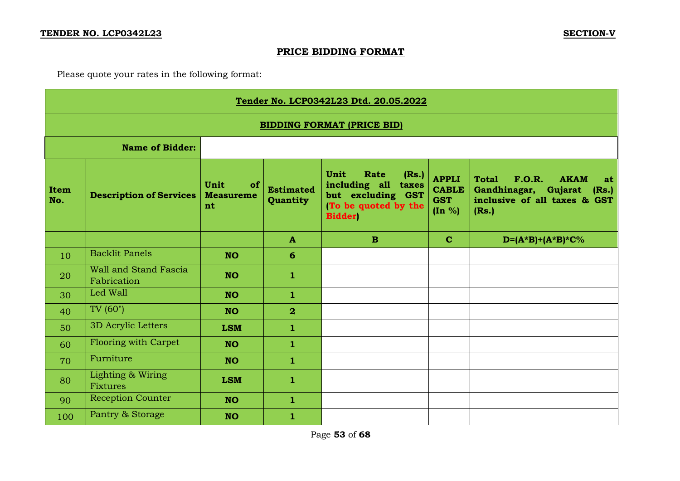# **PRICE BIDDING FORMAT**

Please quote your rates in the following format:

|                    | Tender No. LCP0342L23 Dtd. 20.05.2022 |                                      |                              |                                                                                                                 |                                                      |                                                                                                                          |
|--------------------|---------------------------------------|--------------------------------------|------------------------------|-----------------------------------------------------------------------------------------------------------------|------------------------------------------------------|--------------------------------------------------------------------------------------------------------------------------|
|                    |                                       |                                      |                              | <b>BIDDING FORMAT (PRICE BID)</b>                                                                               |                                                      |                                                                                                                          |
|                    | <b>Name of Bidder:</b>                |                                      |                              |                                                                                                                 |                                                      |                                                                                                                          |
| <b>Item</b><br>No. | <b>Description of Services</b>        | Unit<br>of<br><b>Measureme</b><br>nt | <b>Estimated</b><br>Quantity | Unit<br>Rate<br>(Rs.)<br>including all<br>taxes<br>but excluding GST<br>(To be quoted by the<br><b>Bidder</b> ) | <b>APPLI</b><br><b>CABLE</b><br><b>GST</b><br>(In %) | <b>Total</b><br>F.O.R.<br><b>AKAM</b><br>at<br>Gandhinagar,<br>Gujarat<br>(Rs.)<br>inclusive of all taxes & GST<br>(Rs.) |
|                    |                                       |                                      | $\mathbf{A}$                 | $\mathbf{B}$                                                                                                    | $\mathbf{C}$                                         | $D = (A * B) + (A * B) * C$ %                                                                                            |
| 10                 | <b>Backlit Panels</b>                 | <b>NO</b>                            | 6                            |                                                                                                                 |                                                      |                                                                                                                          |
| 20                 | Wall and Stand Fascia<br>Fabrication  | <b>NO</b>                            | $\mathbf{1}$                 |                                                                                                                 |                                                      |                                                                                                                          |
| 30                 | Led Wall                              | <b>NO</b>                            | $\mathbf{1}$                 |                                                                                                                 |                                                      |                                                                                                                          |
| 40                 | TV (60")                              | <b>NO</b>                            | $\overline{\mathbf{2}}$      |                                                                                                                 |                                                      |                                                                                                                          |
| 50                 | 3D Acrylic Letters                    | <b>LSM</b>                           | $\mathbf{1}$                 |                                                                                                                 |                                                      |                                                                                                                          |
| 60                 | <b>Flooring with Carpet</b>           | <b>NO</b>                            | $\mathbf{1}$                 |                                                                                                                 |                                                      |                                                                                                                          |
| 70                 | Furniture                             | <b>NO</b>                            | 1                            |                                                                                                                 |                                                      |                                                                                                                          |
| 80                 | Lighting & Wiring<br>Fixtures         | <b>LSM</b>                           | $\mathbf{1}$                 |                                                                                                                 |                                                      |                                                                                                                          |
| 90                 | <b>Reception Counter</b>              | <b>NO</b>                            | $\mathbf{1}$                 |                                                                                                                 |                                                      |                                                                                                                          |
| 100                | Pantry & Storage                      | <b>NO</b>                            | $\mathbf{1}$                 |                                                                                                                 |                                                      |                                                                                                                          |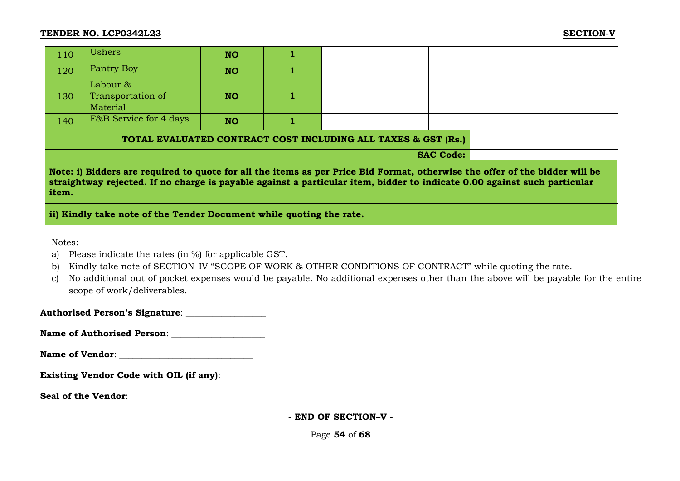#### **TENDER NO. LCP0342L23 SECTION-V**

| 110   | <b>Ushers</b>                             | <b>NO</b> |                                                               |                  |                                                                                                                                                                                                                                                         |
|-------|-------------------------------------------|-----------|---------------------------------------------------------------|------------------|---------------------------------------------------------------------------------------------------------------------------------------------------------------------------------------------------------------------------------------------------------|
| 120   | Pantry Boy                                | <b>NO</b> |                                                               |                  |                                                                                                                                                                                                                                                         |
| 130   | Labour &<br>Transportation of<br>Material | <b>NO</b> |                                                               |                  |                                                                                                                                                                                                                                                         |
| 140   | F&B Service for 4 days                    | <b>NO</b> |                                                               |                  |                                                                                                                                                                                                                                                         |
|       |                                           |           | TOTAL EVALUATED CONTRACT COST INCLUDING ALL TAXES & GST (Rs.) |                  |                                                                                                                                                                                                                                                         |
|       |                                           |           |                                                               | <b>SAC Code:</b> |                                                                                                                                                                                                                                                         |
| item. |                                           |           |                                                               |                  | Note: i) Bidders are required to quote for all the items as per Price Bid Format, otherwise the offer of the bidder will be<br>straightway rejected. If no charge is payable against a particular item, bidder to indicate 0.00 against such particular |

**ii) Kindly take note of the Tender Document while quoting the rate.**

Notes:

- a) Please indicate the rates (in %) for applicable GST.
- b) Kindly take note of SECTION–IV "SCOPE OF WORK & OTHER CONDITIONS OF CONTRACT" while quoting the rate.
- c) No additional out of pocket expenses would be payable. No additional expenses other than the above will be payable for the entire scope of work/deliverables.

**Authorised Person's Signature**: \_\_\_\_\_\_\_\_\_\_\_\_\_\_\_\_\_\_

Name of Authorised Person: **with all all of Authorised Person**:

Name of Vendor:

| <b>Existing Vendor Code with OIL (if any):</b> |  |  |  |
|------------------------------------------------|--|--|--|
|------------------------------------------------|--|--|--|

**Seal of the Vendor**:

**- END OF SECTION–V -**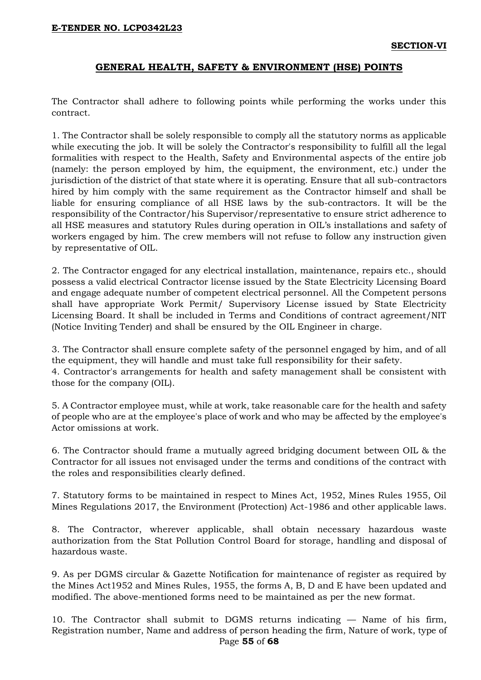### **GENERAL HEALTH, SAFETY & ENVIRONMENT (HSE) POINTS**

The Contractor shall adhere to following points while performing the works under this contract.

1. The Contractor shall be solely responsible to comply all the statutory norms as applicable while executing the job. It will be solely the Contractor's responsibility to fulfill all the legal formalities with respect to the Health, Safety and Environmental aspects of the entire job (namely: the person employed by him, the equipment, the environment, etc.) under the jurisdiction of the district of that state where it is operating. Ensure that all sub-contractors hired by him comply with the same requirement as the Contractor himself and shall be liable for ensuring compliance of all HSE laws by the sub-contractors. It will be the responsibility of the Contractor/his Supervisor/representative to ensure strict adherence to all HSE measures and statutory Rules during operation in OIL's installations and safety of workers engaged by him. The crew members will not refuse to follow any instruction given by representative of OIL.

2. The Contractor engaged for any electrical installation, maintenance, repairs etc., should possess a valid electrical Contractor license issued by the State Electricity Licensing Board and engage adequate number of competent electrical personnel. All the Competent persons shall have appropriate Work Permit/ Supervisory License issued by State Electricity Licensing Board. It shall be included in Terms and Conditions of contract agreement/NIT (Notice Inviting Tender) and shall be ensured by the OIL Engineer in charge.

3. The Contractor shall ensure complete safety of the personnel engaged by him, and of all the equipment, they will handle and must take full responsibility for their safety. 4. Contractor's arrangements for health and safety management shall be consistent with those for the company (OIL).

5. A Contractor employee must, while at work, take reasonable care for the health and safety of people who are at the employee's place of work and who may be affected by the employee's Actor omissions at work.

6. The Contractor should frame a mutually agreed bridging document between OIL & the Contractor for all issues not envisaged under the terms and conditions of the contract with the roles and responsibilities clearly defined.

7. Statutory forms to be maintained in respect to Mines Act, 1952, Mines Rules 1955, Oil Mines Regulations 2017, the Environment (Protection) Act-1986 and other applicable laws.

8. The Contractor, wherever applicable, shall obtain necessary hazardous waste authorization from the Stat Pollution Control Board for storage, handling and disposal of hazardous waste.

9. As per DGMS circular & Gazette Notification for maintenance of register as required by the Mines Act1952 and Mines Rules, 1955, the forms A, B, D and E have been updated and modified. The above-mentioned forms need to be maintained as per the new format.

Page **55** of **68** 10. The Contractor shall submit to DGMS returns indicating — Name of his firm, Registration number, Name and address of person heading the firm, Nature of work, type of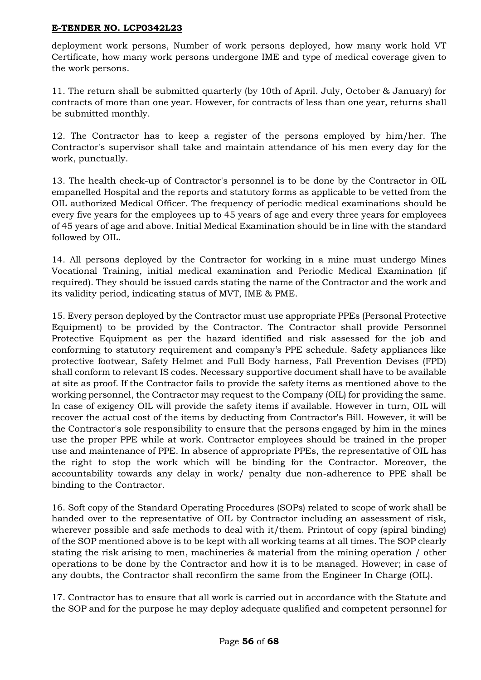deployment work persons, Number of work persons deployed, how many work hold VT Certificate, how many work persons undergone IME and type of medical coverage given to the work persons.

11. The return shall be submitted quarterly (by 10th of April. July, October & January) for contracts of more than one year. However, for contracts of less than one year, returns shall be submitted monthly.

12. The Contractor has to keep a register of the persons employed by him/her. The Contractor's supervisor shall take and maintain attendance of his men every day for the work, punctually.

13. The health check-up of Contractor's personnel is to be done by the Contractor in OIL empanelled Hospital and the reports and statutory forms as applicable to be vetted from the OIL authorized Medical Officer. The frequency of periodic medical examinations should be every five years for the employees up to 45 years of age and every three years for employees of 45 years of age and above. Initial Medical Examination should be in line with the standard followed by OIL.

14. All persons deployed by the Contractor for working in a mine must undergo Mines Vocational Training, initial medical examination and Periodic Medical Examination (if required). They should be issued cards stating the name of the Contractor and the work and its validity period, indicating status of MVT, IME & PME.

15. Every person deployed by the Contractor must use appropriate PPEs (Personal Protective Equipment) to be provided by the Contractor. The Contractor shall provide Personnel Protective Equipment as per the hazard identified and risk assessed for the job and conforming to statutory requirement and company's PPE schedule. Safety appliances like protective footwear, Safety Helmet and Full Body harness, Fall Prevention Devises (FPD) shall conform to relevant IS codes. Necessary supportive document shall have to be available at site as proof. If the Contractor fails to provide the safety items as mentioned above to the working personnel, the Contractor may request to the Company (OIL) for providing the same. In case of exigency OIL will provide the safety items if available. However in turn, OIL will recover the actual cost of the items by deducting from Contractor's Bill. However, it will be the Contractor's sole responsibility to ensure that the persons engaged by him in the mines use the proper PPE while at work. Contractor employees should be trained in the proper use and maintenance of PPE. In absence of appropriate PPEs, the representative of OIL has the right to stop the work which will be binding for the Contractor. Moreover, the accountability towards any delay in work/ penalty due non-adherence to PPE shall be binding to the Contractor.

16. Soft copy of the Standard Operating Procedures (SOPs) related to scope of work shall be handed over to the representative of OIL by Contractor including an assessment of risk, wherever possible and safe methods to deal with it/them. Printout of copy (spiral binding) of the SOP mentioned above is to be kept with all working teams at all times. The SOP clearly stating the risk arising to men, machineries & material from the mining operation / other operations to be done by the Contractor and how it is to be managed. However; in case of any doubts, the Contractor shall reconfirm the same from the Engineer In Charge (OIL).

17. Contractor has to ensure that all work is carried out in accordance with the Statute and the SOP and for the purpose he may deploy adequate qualified and competent personnel for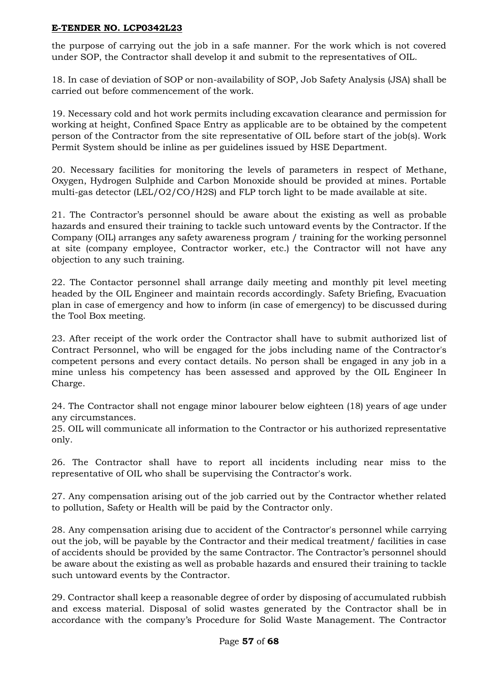the purpose of carrying out the job in a safe manner. For the work which is not covered under SOP, the Contractor shall develop it and submit to the representatives of OIL.

18. In case of deviation of SOP or non-availability of SOP, Job Safety Analysis (JSA) shall be carried out before commencement of the work.

19. Necessary cold and hot work permits including excavation clearance and permission for working at height, Confined Space Entry as applicable are to be obtained by the competent person of the Contractor from the site representative of OIL before start of the job(s). Work Permit System should be inline as per guidelines issued by HSE Department.

20. Necessary facilities for monitoring the levels of parameters in respect of Methane, Oxygen, Hydrogen Sulphide and Carbon Monoxide should be provided at mines. Portable multi-gas detector (LEL/O2/CO/H2S) and FLP torch light to be made available at site.

21. The Contractor's personnel should be aware about the existing as well as probable hazards and ensured their training to tackle such untoward events by the Contractor. If the Company (OIL) arranges any safety awareness program / training for the working personnel at site (company employee, Contractor worker, etc.) the Contractor will not have any objection to any such training.

22. The Contactor personnel shall arrange daily meeting and monthly pit level meeting headed by the OIL Engineer and maintain records accordingly. Safety Briefing, Evacuation plan in case of emergency and how to inform (in case of emergency) to be discussed during the Tool Box meeting.

23. After receipt of the work order the Contractor shall have to submit authorized list of Contract Personnel, who will be engaged for the jobs including name of the Contractor's competent persons and every contact details. No person shall be engaged in any job in a mine unless his competency has been assessed and approved by the OIL Engineer In Charge.

24. The Contractor shall not engage minor labourer below eighteen (18) years of age under any circumstances.

25. OIL will communicate all information to the Contractor or his authorized representative only.

26. The Contractor shall have to report all incidents including near miss to the representative of OIL who shall be supervising the Contractor's work.

27. Any compensation arising out of the job carried out by the Contractor whether related to pollution, Safety or Health will be paid by the Contractor only.

28. Any compensation arising due to accident of the Contractor's personnel while carrying out the job, will be payable by the Contractor and their medical treatment/ facilities in case of accidents should be provided by the same Contractor. The Contractor's personnel should be aware about the existing as well as probable hazards and ensured their training to tackle such untoward events by the Contractor.

29. Contractor shall keep a reasonable degree of order by disposing of accumulated rubbish and excess material. Disposal of solid wastes generated by the Contractor shall be in accordance with the company's Procedure for Solid Waste Management. The Contractor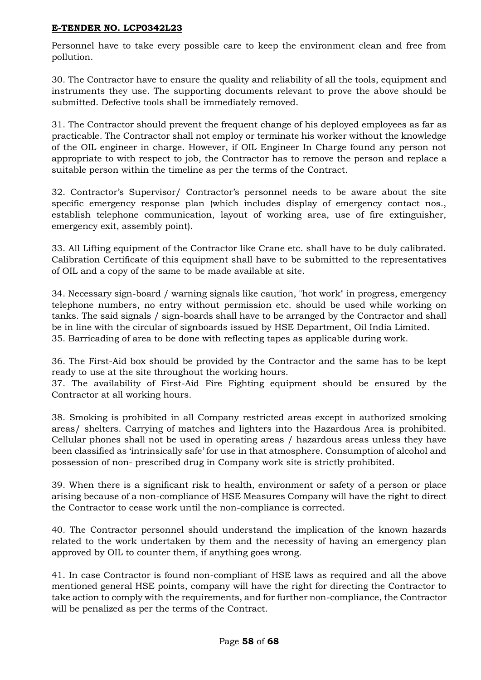Personnel have to take every possible care to keep the environment clean and free from pollution.

30. The Contractor have to ensure the quality and reliability of all the tools, equipment and instruments they use. The supporting documents relevant to prove the above should be submitted. Defective tools shall be immediately removed.

31. The Contractor should prevent the frequent change of his deployed employees as far as practicable. The Contractor shall not employ or terminate his worker without the knowledge of the OIL engineer in charge. However, if OIL Engineer In Charge found any person not appropriate to with respect to job, the Contractor has to remove the person and replace a suitable person within the timeline as per the terms of the Contract.

32. Contractor's Supervisor/ Contractor's personnel needs to be aware about the site specific emergency response plan (which includes display of emergency contact nos., establish telephone communication, layout of working area, use of fire extinguisher, emergency exit, assembly point).

33. All Lifting equipment of the Contractor like Crane etc. shall have to be duly calibrated. Calibration Certificate of this equipment shall have to be submitted to the representatives of OIL and a copy of the same to be made available at site.

34. Necessary sign-board / warning signals like caution, "hot work" in progress, emergency telephone numbers, no entry without permission etc. should be used while working on tanks. The said signals / sign-boards shall have to be arranged by the Contractor and shall be in line with the circular of signboards issued by HSE Department, Oil India Limited. 35. Barricading of area to be done with reflecting tapes as applicable during work.

36. The First-Aid box should be provided by the Contractor and the same has to be kept ready to use at the site throughout the working hours.

37. The availability of First-Aid Fire Fighting equipment should be ensured by the Contractor at all working hours.

38. Smoking is prohibited in all Company restricted areas except in authorized smoking areas/ shelters. Carrying of matches and lighters into the Hazardous Area is prohibited. Cellular phones shall not be used in operating areas / hazardous areas unless they have been classified as 'intrinsically safe' for use in that atmosphere. Consumption of alcohol and possession of non- prescribed drug in Company work site is strictly prohibited.

39. When there is a significant risk to health, environment or safety of a person or place arising because of a non-compliance of HSE Measures Company will have the right to direct the Contractor to cease work until the non-compliance is corrected.

40. The Contractor personnel should understand the implication of the known hazards related to the work undertaken by them and the necessity of having an emergency plan approved by OIL to counter them, if anything goes wrong.

41. In case Contractor is found non-compliant of HSE laws as required and all the above mentioned general HSE points, company will have the right for directing the Contractor to take action to comply with the requirements, and for further non-compliance, the Contractor will be penalized as per the terms of the Contract.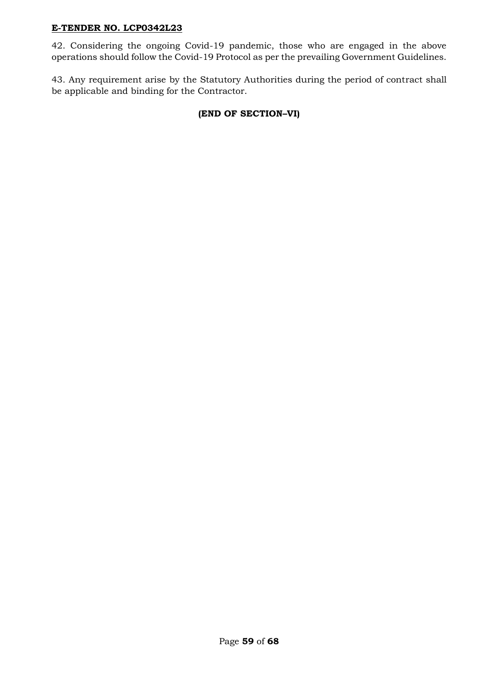42. Considering the ongoing Covid-19 pandemic, those who are engaged in the above operations should follow the Covid-19 Protocol as per the prevailing Government Guidelines.

43. Any requirement arise by the Statutory Authorities during the period of contract shall be applicable and binding for the Contractor.

# **(END OF SECTION–VI)**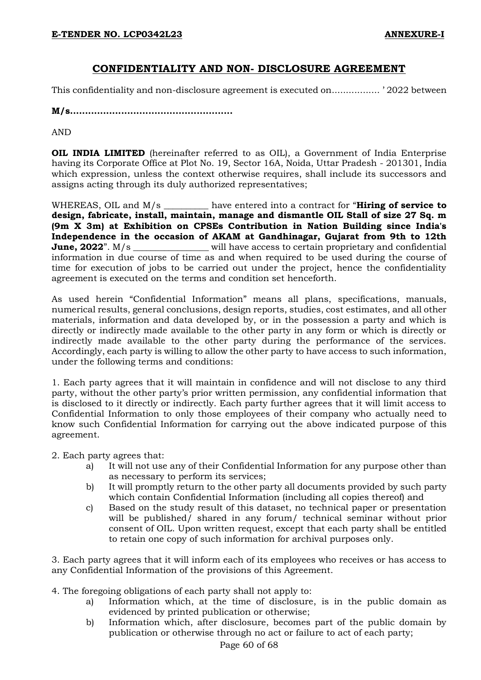# **CONFIDENTIALITY AND NON- DISCLOSURE AGREEMENT**

This confidentiality and non-disclosure agreement is executed on................. ' 2022 between

**M/s......................................................**

AND

**OIL INDIA LIMITED** (hereinafter referred to as OIL), a Government of India Enterprise having its Corporate Office at Plot No. 19, Sector 16A, Noida, Uttar Pradesh - 201301, India which expression, unless the context otherwise requires, shall include its successors and assigns acting through its duly authorized representatives;

WHEREAS, OIL and M/s \_\_\_\_\_\_\_\_\_\_ have entered into a contract for "**Hiring of service to design, fabricate, install, maintain, manage and dismantle OIL Stall of size 27 Sq. m (9m X 3m) at Exhibition on CPSEs Contribution in Nation Building since India's Independence in the occasion of AKAM at Gandhinagar, Gujarat from 9th to 12th June, 2022**". M/s \_\_\_\_\_\_\_\_\_\_\_\_\_\_\_\_\_\_ will have access to certain proprietary and confidential information in due course of time as and when required to be used during the course of time for execution of jobs to be carried out under the project, hence the confidentiality agreement is executed on the terms and condition set henceforth.

As used herein "Confidential Information" means all plans, specifications, manuals, numerical results, general conclusions, design reports, studies, cost estimates, and all other materials, information and data developed by, or in the possession a party and which is directly or indirectly made available to the other party in any form or which is directly or indirectly made available to the other party during the performance of the services. Accordingly, each party is willing to allow the other party to have access to such information, under the following terms and conditions:

1. Each party agrees that it will maintain in confidence and will not disclose to any third party, without the other party's prior written permission, any confidential information that is disclosed to it directly or indirectly. Each party further agrees that it will limit access to Confidential Information to only those employees of their company who actually need to know such Confidential Information for carrying out the above indicated purpose of this agreement.

2. Each party agrees that:

- a) It will not use any of their Confidential Information for any purpose other than as necessary to perform its services;
- b) It will promptly return to the other party all documents provided by such party which contain Confidential Information (including all copies thereof) and
- c) Based on the study result of this dataset, no technical paper or presentation will be published/ shared in any forum/ technical seminar without prior consent of OIL. Upon written request, except that each party shall be entitled to retain one copy of such information for archival purposes only.

3. Each party agrees that it will inform each of its employees who receives or has access to any Confidential Information of the provisions of this Agreement.

4. The foregoing obligations of each party shall not apply to:

- a) Information which, at the time of disclosure, is in the public domain as evidenced by printed publication or otherwise;
- b) Information which, after disclosure, becomes part of the public domain by publication or otherwise through no act or failure to act of each party;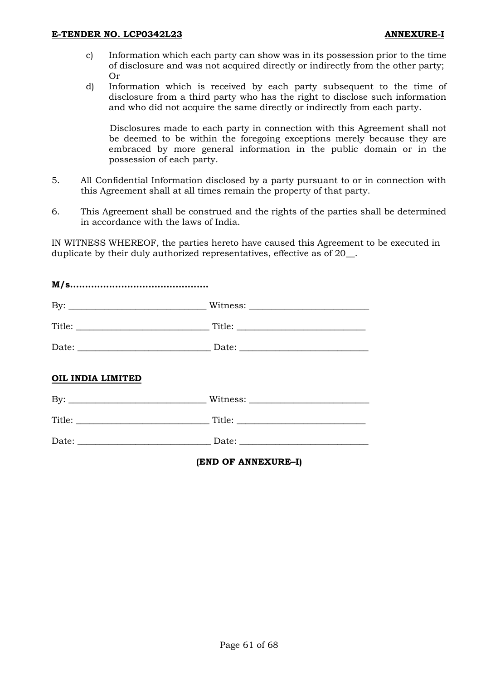- c) Information which each party can show was in its possession prior to the time of disclosure and was not acquired directly or indirectly from the other party; Or
- d) Information which is received by each party subsequent to the time of disclosure from a third party who has the right to disclose such information and who did not acquire the same directly or indirectly from each party.

Disclosures made to each party in connection with this Agreement shall not be deemed to be within the foregoing exceptions merely because they are embraced by more general information in the public domain or in the possession of each party.

- 5. All Confidential Information disclosed by a party pursuant to or in connection with this Agreement shall at all times remain the property of that party.
- 6. This Agreement shall be construed and the rights of the parties shall be determined in accordance with the laws of India.

IN WITNESS WHEREOF, the parties hereto have caused this Agreement to be executed in duplicate by their duly authorized representatives, effective as of 20\_\_.

| OIL INDIA LIMITED |  |  |
|-------------------|--|--|
|                   |  |  |
|                   |  |  |
|                   |  |  |

**(END OF ANNEXURE–I)**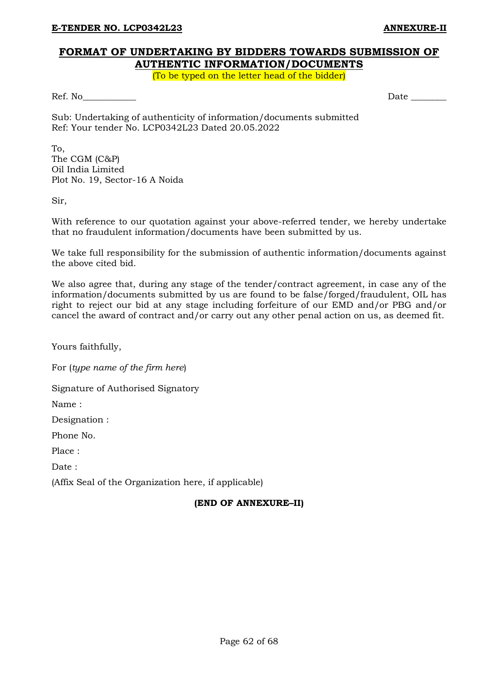# **FORMAT OF UNDERTAKING BY BIDDERS TOWARDS SUBMISSION OF AUTHENTIC INFORMATION/DOCUMENTS**

(To be typed on the letter head of the bidder)

Ref. No\_\_\_\_\_\_\_\_\_\_\_\_ Date \_\_\_\_\_\_\_\_

| Date |  |  |
|------|--|--|
|      |  |  |

Sub: Undertaking of authenticity of information/documents submitted Ref: Your tender No. LCP0342L23 Dated 20.05.2022

To, The CGM (C&P) Oil India Limited Plot No. 19, Sector-16 A Noida

Sir,

With reference to our quotation against your above-referred tender, we hereby undertake that no fraudulent information/documents have been submitted by us.

We take full responsibility for the submission of authentic information/documents against the above cited bid.

We also agree that, during any stage of the tender/contract agreement, in case any of the information/documents submitted by us are found to be false/forged/fraudulent, OIL has right to reject our bid at any stage including forfeiture of our EMD and/or PBG and/or cancel the award of contract and/or carry out any other penal action on us, as deemed fit.

Yours faithfully,

For (*type name of the firm here*)

Signature of Authorised Signatory

Name :

Designation :

Phone No.

Place :

Date :

(Affix Seal of the Organization here, if applicable)

#### **(END OF ANNEXURE–II)**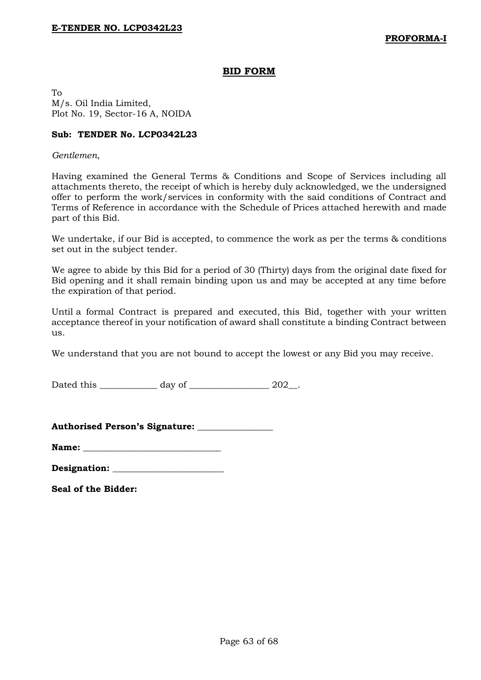#### **BID FORM**

To M/s. Oil India Limited, Plot No. 19, Sector-16 A, NOIDA

#### **Sub: TENDER No. LCP0342L23**

#### *Gentlemen*,

Having examined the General Terms & Conditions and Scope of Services including all attachments thereto, the receipt of which is hereby duly acknowledged, we the undersigned offer to perform the work/services in conformity with the said conditions of Contract and Terms of Reference in accordance with the Schedule of Prices attached herewith and made part of this Bid.

We undertake, if our Bid is accepted, to commence the work as per the terms & conditions set out in the subject tender.

We agree to abide by this Bid for a period of 30 (Thirty) days from the original date fixed for Bid opening and it shall remain binding upon us and may be accepted at any time before the expiration of that period.

Until a formal Contract is prepared and executed, this Bid, together with your written acceptance thereof in your notification of award shall constitute a binding Contract between us.

We understand that you are not bound to accept the lowest or any Bid you may receive.

Dated this day of 202.

|  |  | <b>Authorised Person's Signature:</b> |  |
|--|--|---------------------------------------|--|
|--|--|---------------------------------------|--|

**Name:**  $\blacksquare$ 

| Designation: |  |
|--------------|--|
|--------------|--|

**Seal of the Bidder:**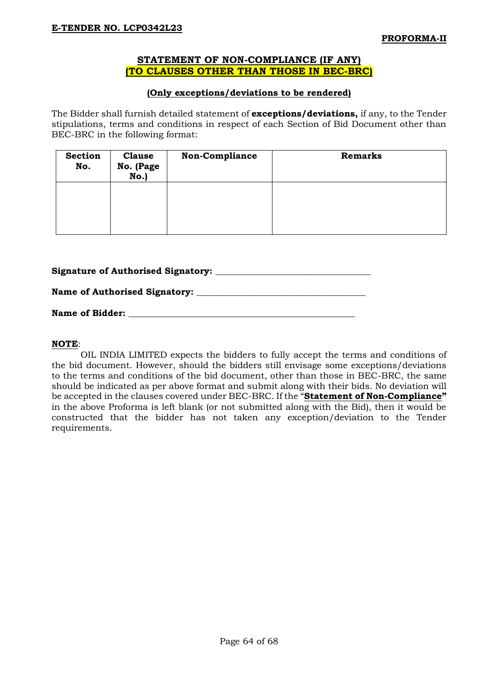#### **STATEMENT OF NON-COMPLIANCE (IF ANY) (TO CLAUSES OTHER THAN THOSE IN BEC-BRC)**

### **(Only exceptions/deviations to be rendered)**

The Bidder shall furnish detailed statement of **exceptions/deviations,** if any, to the Tender stipulations, terms and conditions in respect of each Section of Bid Document other than BEC-BRC in the following format:

| <b>Section</b><br>No. | <b>Clause</b><br>No. (Page<br>No.) | <b>Non-Compliance</b> | <b>Remarks</b> |
|-----------------------|------------------------------------|-----------------------|----------------|
|                       |                                    |                       |                |

**Signature of Authorised Signatory: \_\_\_\_\_\_\_\_\_\_\_\_\_\_\_\_\_\_\_\_\_\_\_\_\_\_\_\_\_\_\_\_\_\_\_** 

#### **Name of Authorised Signatory: \_\_\_\_\_\_\_\_\_\_\_\_\_\_\_\_\_\_\_\_\_\_\_\_\_\_\_\_\_\_\_\_\_\_\_\_\_\_**

## Name of Bidder:

#### **NOTE**:

OIL INDIA LIMITED expects the bidders to fully accept the terms and conditions of the bid document. However, should the bidders still envisage some exceptions/deviations to the terms and conditions of the bid document, other than those in BEC-BRC, the same should be indicated as per above format and submit along with their bids. No deviation will be accepted in the clauses covered under BEC-BRC. If the "**Statement of Non-Compliance"**  in the above Proforma is left blank (or not submitted along with the Bid), then it would be constructed that the bidder has not taken any exception/deviation to the Tender requirements.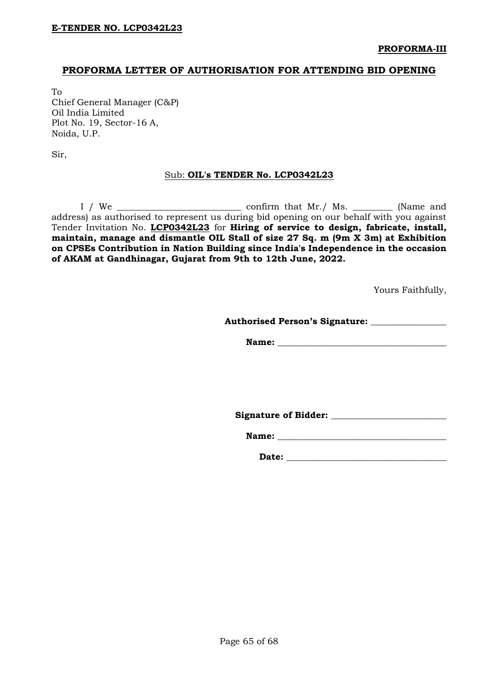**PROFORMA-III**

#### **PROFORMA LETTER OF AUTHORISATION FOR ATTENDING BID OPENING**

To Chief General Manager (C&P) Oil India Limited Plot No. 19, Sector-16 A, Noida, U.P.

Sir,

#### Sub: **OIL's TENDER No. LCP0342L23**

I / We \_\_\_\_\_\_\_\_\_\_\_\_\_\_\_\_\_\_\_\_\_\_\_\_\_\_\_\_ confirm that Mr./ Ms. \_\_\_\_\_\_\_\_\_ (Name and address) as authorised to represent us during bid opening on our behalf with you against Tender Invitation No. **LCP0342L23** for **Hiring of service to design, fabricate, install, maintain, manage and dismantle OIL Stall of size 27 Sq. m (9m X 3m) at Exhibition on CPSEs Contribution in Nation Building since India's Independence in the occasion of AKAM at Gandhinagar, Gujarat from 9th to 12th June, 2022.**

Yours Faithfully,

**Authorised Person's Signature: \_\_\_\_\_\_\_\_\_\_\_\_\_\_\_\_\_** 

Name:

**Signature of Bidder: \_\_\_\_\_\_\_\_\_\_\_\_\_\_\_\_\_\_\_\_\_\_\_\_\_\_** 

**Name: \_\_\_\_\_\_\_\_\_\_\_\_\_\_\_\_\_\_\_\_\_\_\_\_\_\_\_\_\_\_\_\_\_\_\_\_\_\_** 

 **Date: \_\_\_\_\_\_\_\_\_\_\_\_\_\_\_\_\_\_\_\_\_\_\_\_\_\_\_\_\_\_\_\_\_\_\_\_**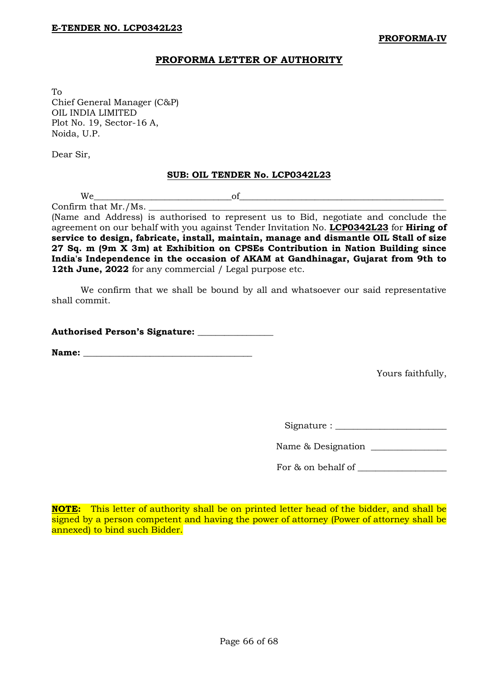## **PROFORMA LETTER OF AUTHORITY**

To Chief General Manager (C&P) OIL INDIA LIMITED Plot No. 19, Sector-16 A, Noida, U.P.

Dear Sir,

#### **SUB: OIL TENDER No. LCP0342L23**

 $We$  of Confirm that Mr./Ms.

(Name and Address) is authorised to represent us to Bid, negotiate and conclude the agreement on our behalf with you against Tender Invitation No. **LCP0342L23** for **Hiring of service to design, fabricate, install, maintain, manage and dismantle OIL Stall of size 27 Sq. m (9m X 3m) at Exhibition on CPSEs Contribution in Nation Building since India's Independence in the occasion of AKAM at Gandhinagar, Gujarat from 9th to**  12th June, 2022 for any commercial / Legal purpose etc.

We confirm that we shall be bound by all and whatsoever our said representative shall commit.

**Authorised Person's Signature: \_\_\_\_\_\_\_\_\_\_\_\_\_\_\_\_\_** 

**Name: \_\_\_\_\_\_\_\_\_\_\_\_\_\_\_\_\_\_\_\_\_\_\_\_\_\_\_\_\_\_\_\_\_\_\_\_\_\_** 

Yours faithfully,

Signature : \_\_\_\_\_\_\_\_\_\_\_\_\_\_\_\_\_\_\_\_\_\_\_\_\_

Name & Designation \_\_\_\_\_\_\_\_\_\_\_\_\_\_\_\_\_

For & on behalf of \_\_\_\_\_\_\_\_\_\_\_\_\_\_\_\_\_\_\_\_

**NOTE:** This letter of authority shall be on printed letter head of the bidder, and shall be signed by a person competent and having the power of attorney (Power of attorney shall be annexed) to bind such Bidder.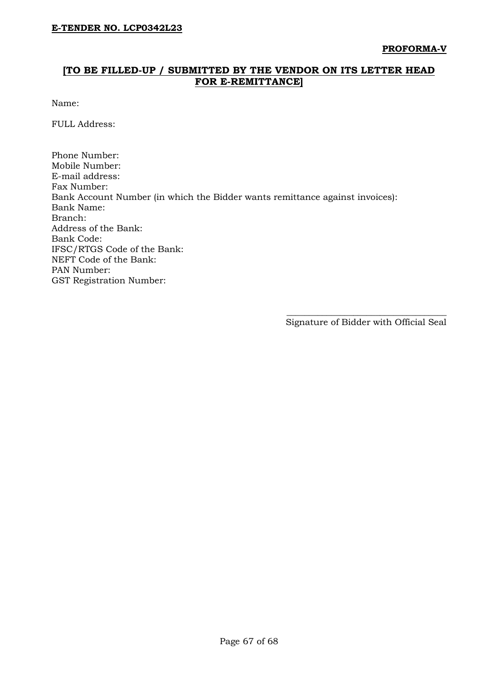# **[TO BE FILLED-UP / SUBMITTED BY THE VENDOR ON ITS LETTER HEAD FOR E-REMITTANCE]**

Name:

FULL Address:

Phone Number: Mobile Number: E-mail address: Fax Number: Bank Account Number (in which the Bidder wants remittance against invoices): Bank Name: Branch: Address of the Bank: Bank Code: IFSC/RTGS Code of the Bank: NEFT Code of the Bank: PAN Number: GST Registration Number:

> \_\_\_\_\_\_\_\_\_\_\_\_\_\_\_\_\_\_\_\_\_\_\_\_\_\_\_\_\_\_\_\_\_\_\_\_ Signature of Bidder with Official Seal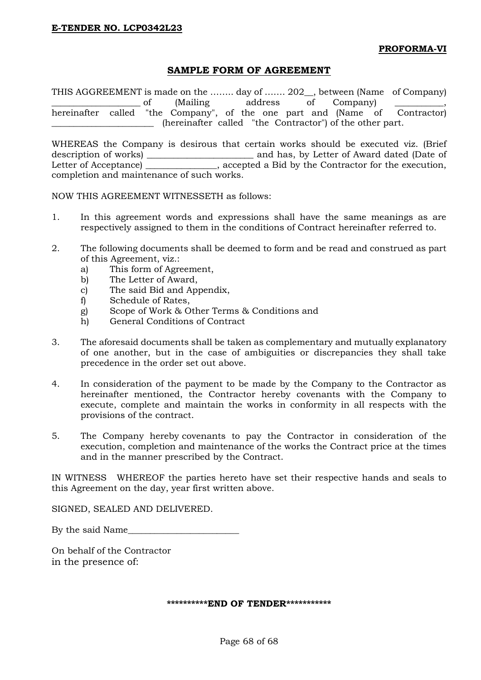### **SAMPLE FORM OF AGREEMENT**

THIS AGGREEMENT is made on the …….. day of ……. 202\_\_, between (Name of Company) \_\_\_\_\_\_\_\_\_\_\_\_\_\_\_\_\_\_\_\_ of (Mailing address of Company) \_\_\_\_\_\_\_\_\_\_\_, hereinafter called "the Company", of the one part and (Name of Contractor) \_\_\_\_\_\_\_\_\_\_\_\_\_\_\_\_\_\_\_\_\_\_\_ (hereinafter called "the Contractor") of the other part.

WHEREAS the Company is desirous that certain works should be executed viz. (Brief description of works) \_\_\_\_\_\_\_\_\_\_\_\_\_\_\_\_\_\_\_\_\_\_\_\_ and has, by Letter of Award dated (Date of Letter of Acceptance) accepted a Bid by the Contractor for the execution, completion and maintenance of such works.

NOW THIS AGREEMENT WITNESSETH as follows:

- 1. In this agreement words and expressions shall have the same meanings as are respectively assigned to them in the conditions of Contract hereinafter referred to.
- 2. The following documents shall be deemed to form and be read and construed as part of this Agreement, viz.:
	- a) This form of Agreement,
	- b) The Letter of Award,
	- c) The said Bid and Appendix,
	- f) Schedule of Rates,
	- g) Scope of Work & Other Terms & Conditions and
	- h) General Conditions of Contract
- 3. The aforesaid documents shall be taken as complementary and mutually explanatory of one another, but in the case of ambiguities or discrepancies they shall take precedence in the order set out above.
- 4. In consideration of the payment to be made by the Company to the Contractor as hereinafter mentioned, the Contractor hereby covenants with the Company to execute, complete and maintain the works in conformity in all respects with the provisions of the contract.
- 5. The Company hereby covenants to pay the Contractor in consideration of the execution, completion and maintenance of the works the Contract price at the times and in the manner prescribed by the Contract.

IN WITNESS WHEREOF the parties hereto have set their respective hands and seals to this Agreement on the day, year first written above.

SIGNED, SEALED AND DELIVERED.

By the said Name

On behalf of the Contractor in the presence of:

**\*\*\*\*\*\*\*\*\*\*END OF TENDER\*\*\*\*\*\*\*\*\*\*\***